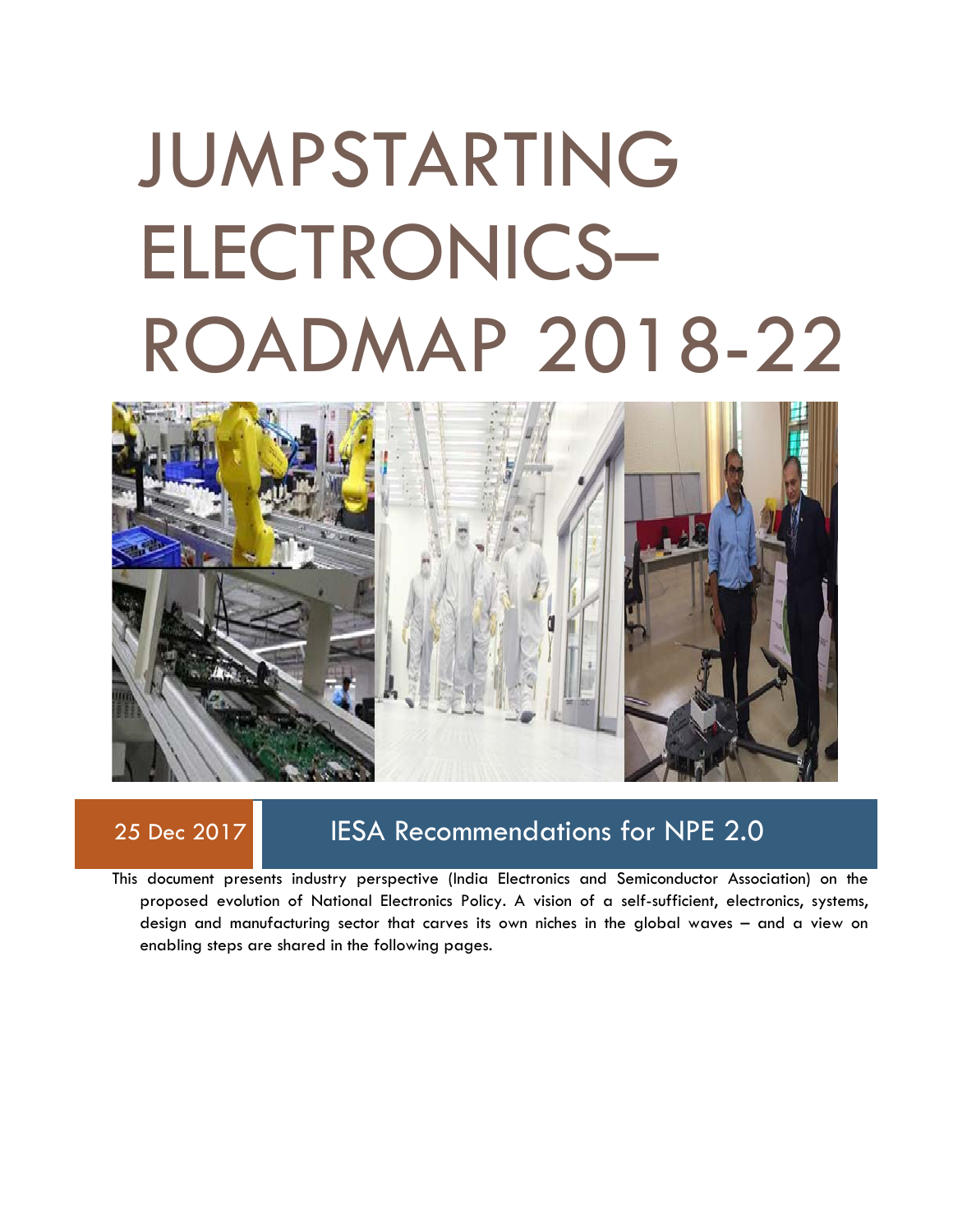## JUMPSTARTING ELECTRONICS– ROADMAP 2018-22



## 25 Dec 2017 **IESA Recommendations for NPE 2.0**

This document presents industry perspective (India Electronics and Semiconductor Association) on the proposed evolution of National Electronics Policy. A vision of a self-sufficient, electronics, systems, design and manufacturing sector that carves its own niches in the global waves – and a view on enabling steps are shared in the following pages.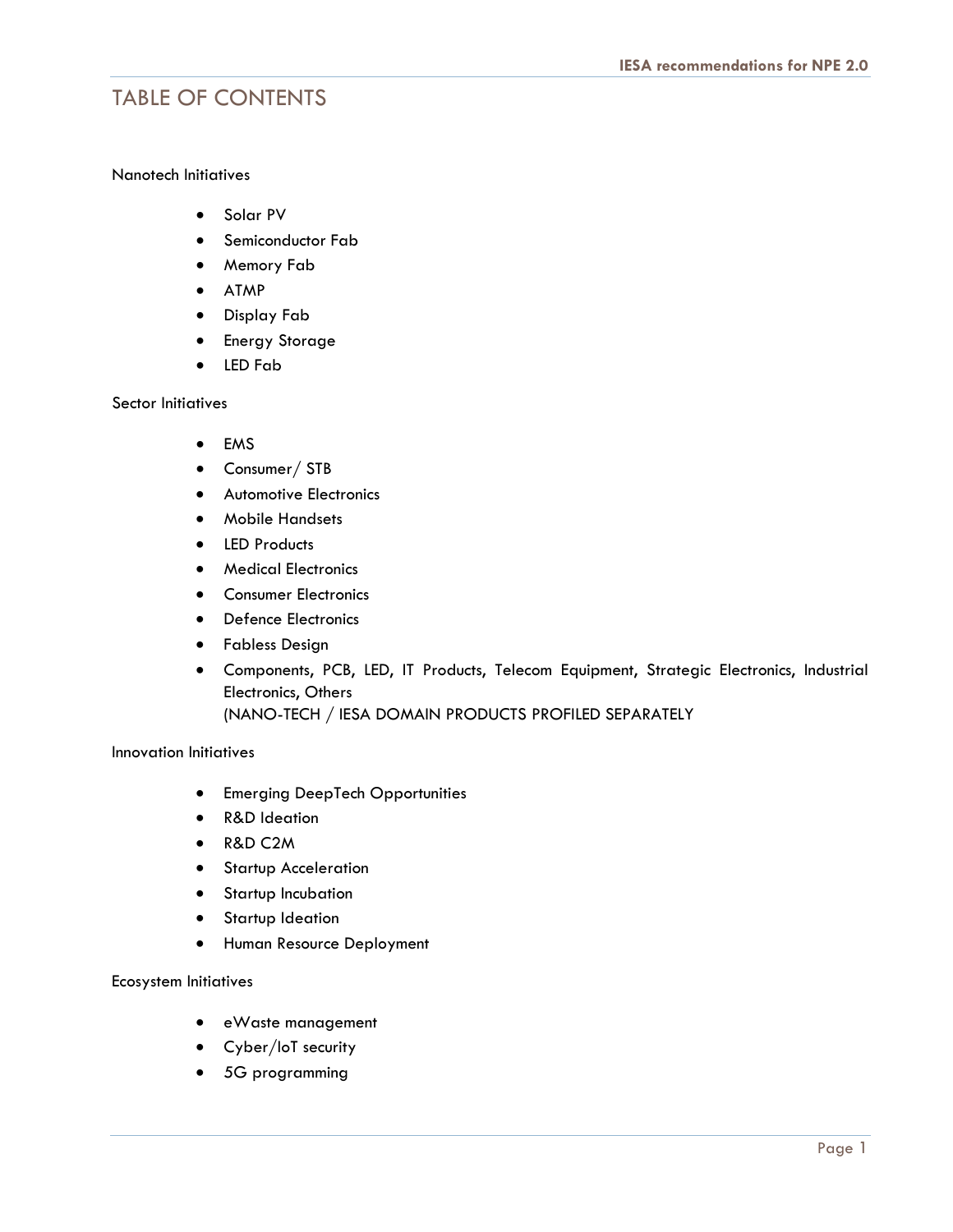## TABLE OF CONTENTS

#### Nanotech Initiatives

- Solar PV
- Semiconductor Fab
- Memory Fab
- ATMP
- Display Fab
- Energy Storage
- LED Fab

#### Sector Initiatives

- EMS
- Consumer/ STB
- Automotive Electronics
- Mobile Handsets
- LED Products
- Medical Electronics
- Consumer Electronics
- Defence Electronics
- Fabless Design
- Components, PCB, LED, IT Products, Telecom Equipment, Strategic Electronics, Industrial Electronics, Others (NANO-TECH / IESA DOMAIN PRODUCTS PROFILED SEPARATELY

#### Innovation Initiatives

- Emerging DeepTech Opportunities
- R&D Ideation
- R&D C2M
- Startup Acceleration
- Startup Incubation
- Startup Ideation
- Human Resource Deployment

#### Ecosystem Initiatives

- eWaste management
- Cyber/IoT security
- 5G programming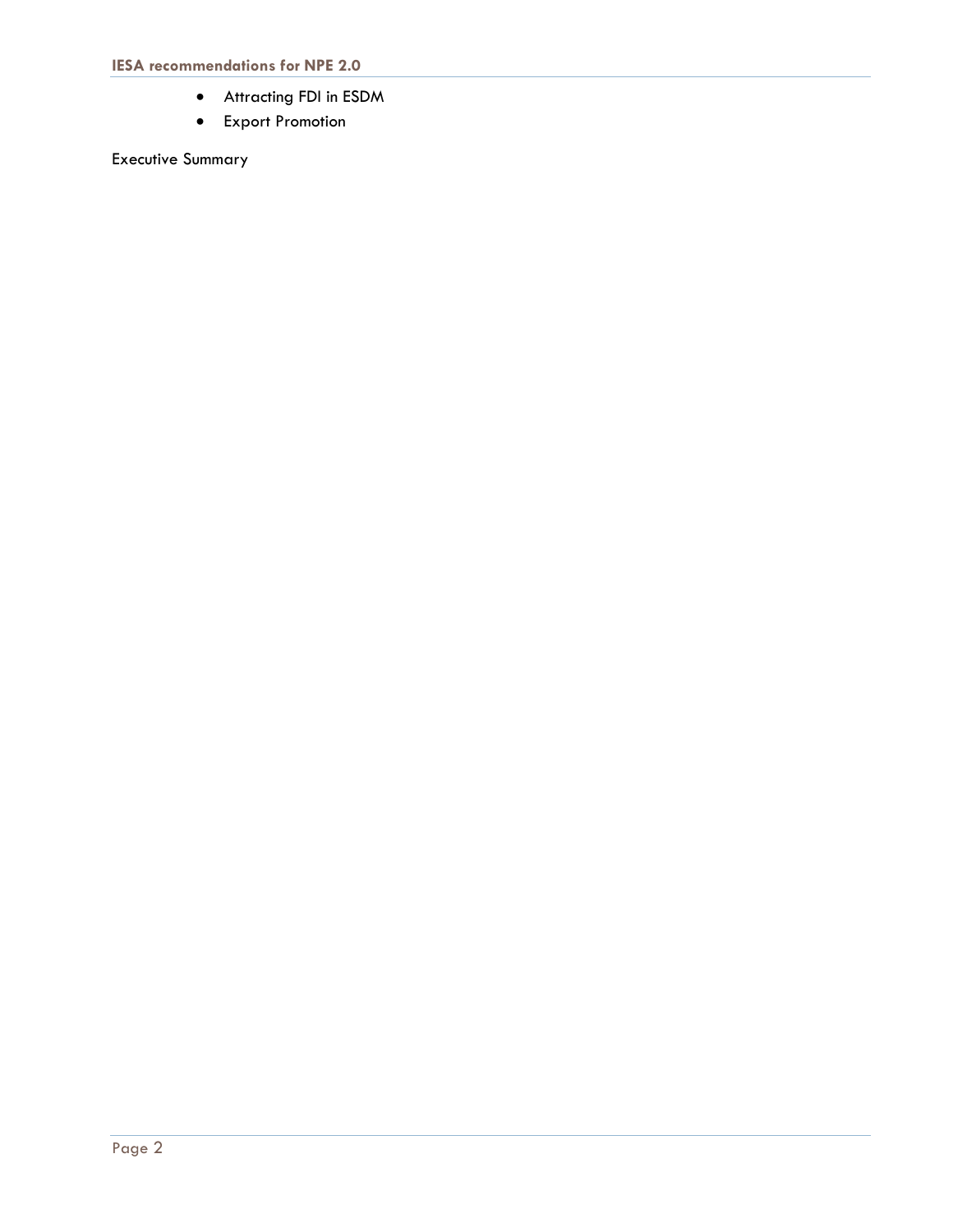- Attracting FDI in ESDM
- Export Promotion

Executive Summary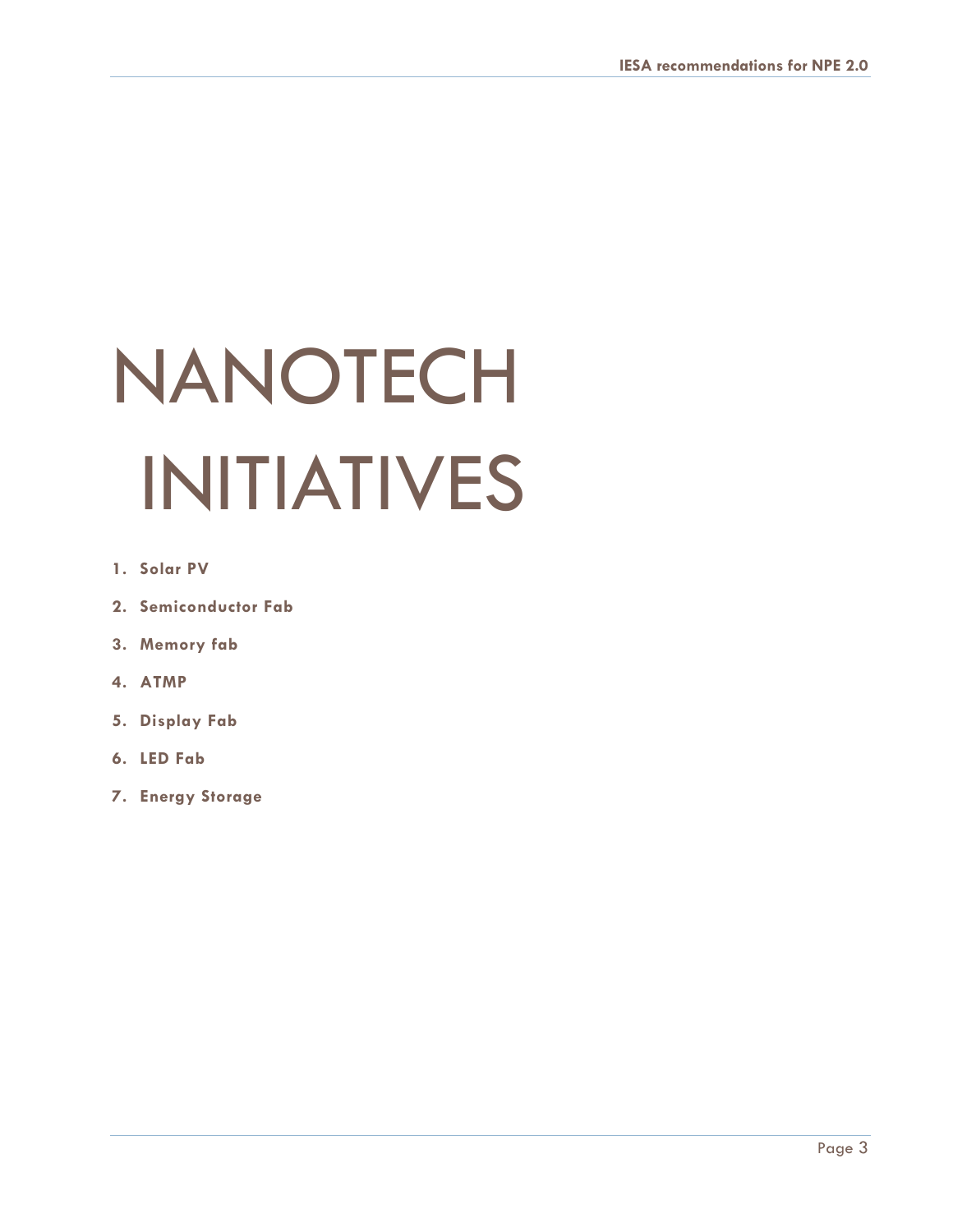## NANOTECH INITIATIVES

- **1. Solar PV**
- **2. Semiconductor Fab**
- **3. Memory fab**
- **4. ATMP**
- **5. Display Fab**
- **6. LED Fab**
- **7. Energy Storage**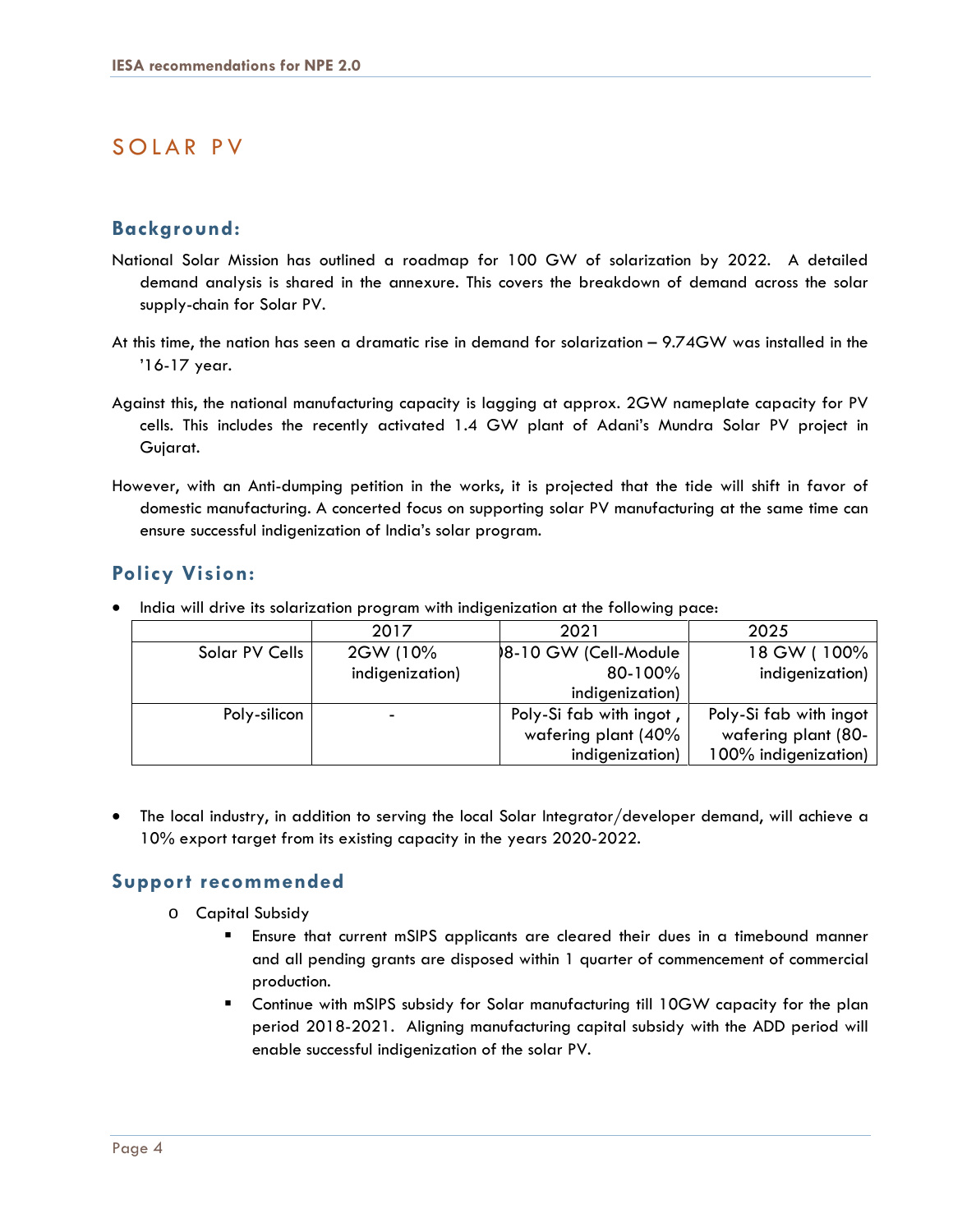## SOLAR PV

#### **Background:**

- National Solar Mission has outlined a roadmap for 100 GW of solarization by 2022. A detailed demand analysis is shared in the annexure. This covers the breakdown of demand across the solar supply-chain for Solar PV.
- At this time, the nation has seen a dramatic rise in demand for solarization 9.74GW was installed in the '16-17 year.
- Against this, the national manufacturing capacity is lagging at approx. 2GW nameplate capacity for PV cells. This includes the recently activated 1.4 GW plant of Adani's Mundra Solar PV project in Gujarat.
- However, with an Anti-dumping petition in the works, it is projected that the tide will shift in favor of domestic manufacturing. A concerted focus on supporting solar PV manufacturing at the same time can ensure successful indigenization of India's solar program.

## **Policy Vision:**

• India will drive its solarization program with indigenization at the following pace:

|                | 2017            | 2021                    | 2025                   |
|----------------|-----------------|-------------------------|------------------------|
| Solar PV Cells | 2GW (10%        | 8-10 GW (Cell-Module    | 18 GW (100%            |
|                | indigenization) | 80-100%                 | indigenization)        |
|                |                 | indigenization)         |                        |
| Poly-silicon   |                 | Poly-Si fab with ingot, | Poly-Si fab with ingot |
|                |                 | wafering plant (40%     | wafering plant (80-    |
|                |                 | indigenization)         | 100% indigenization)   |

• The local industry, in addition to serving the local Solar Integrator/developer demand, will achieve a 10% export target from its existing capacity in the years 2020-2022.

#### **Support recommended**

- o Capital Subsidy
	- Ensure that current mSIPS applicants are cleared their dues in a timebound manner and all pending grants are disposed within 1 quarter of commencement of commercial production.
	- Continue with mSIPS subsidy for Solar manufacturing till 10GW capacity for the plan period 2018-2021. Aligning manufacturing capital subsidy with the ADD period will enable successful indigenization of the solar PV.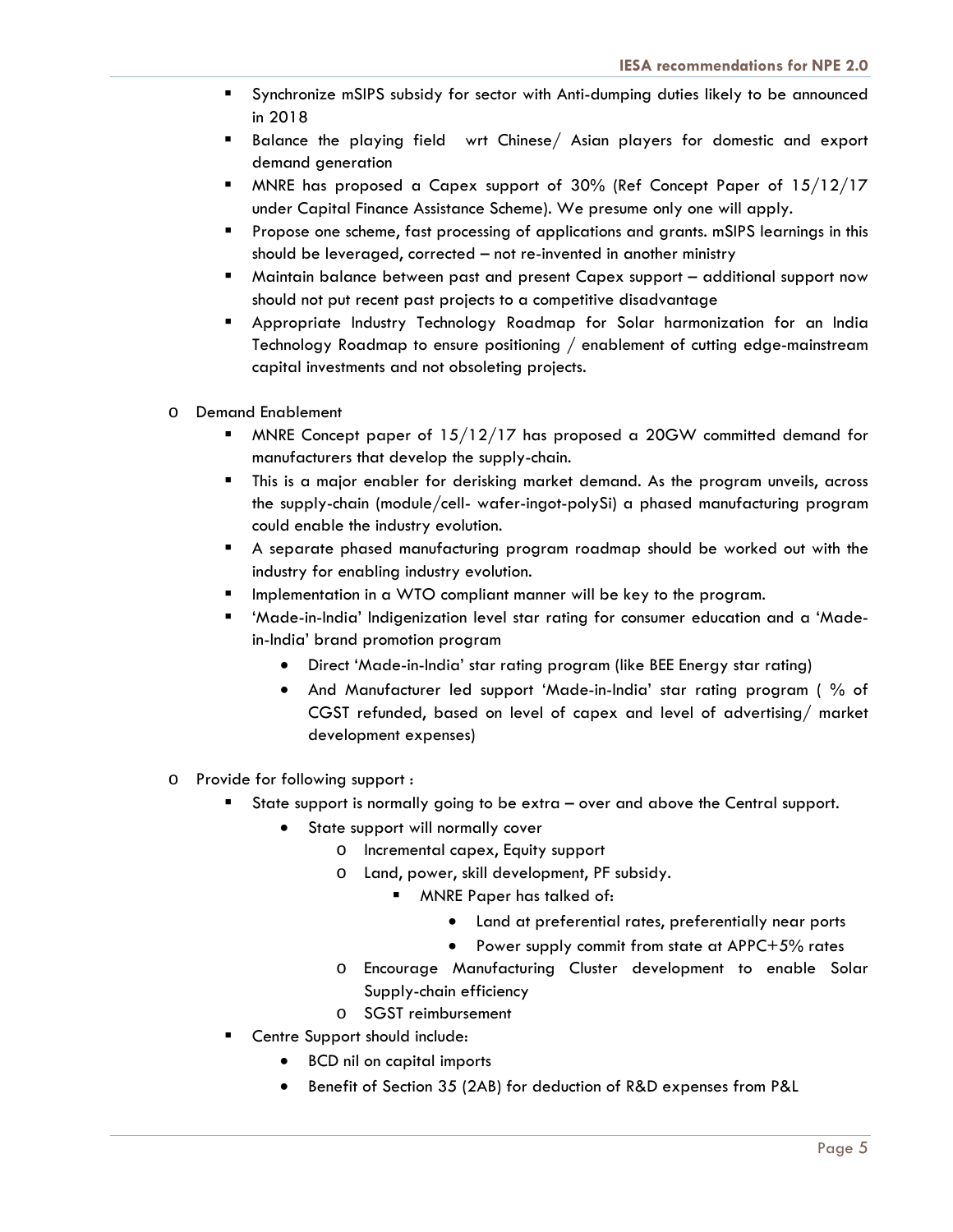- Synchronize mSIPS subsidy for sector with Anti-dumping duties likely to be announced in 2018
- Balance the playing field wrt Chinese/ Asian players for domestic and export demand generation
- MNRE has proposed a Capex support of 30% (Ref Concept Paper of 15/12/17 under Capital Finance Assistance Scheme). We presume only one will apply.
- Propose one scheme, fast processing of applications and grants. mSIPS learnings in this should be leveraged, corrected – not re-invented in another ministry
- Maintain balance between past and present Capex support additional support now should not put recent past projects to a competitive disadvantage
- Appropriate Industry Technology Roadmap for Solar harmonization for an India Technology Roadmap to ensure positioning / enablement of cutting edge-mainstream capital investments and not obsoleting projects.
- o Demand Enablement
	- MNRE Concept paper of 15/12/17 has proposed a 20GW committed demand for manufacturers that develop the supply-chain.
	- This is a major enabler for derisking market demand. As the program unveils, across the supply-chain (module/cell- wafer-ingot-polySi) a phased manufacturing program could enable the industry evolution.
	- A separate phased manufacturing program roadmap should be worked out with the industry for enabling industry evolution.
	- Implementation in a WTO compliant manner will be key to the program.
	- 'Made-in-India' Indigenization level star rating for consumer education and a 'Madein-India' brand promotion program
		- Direct 'Made-in-India' star rating program (like BEE Energy star rating)
		- And Manufacturer led support 'Made-in-India' star rating program ( % of CGST refunded, based on level of capex and level of advertising/ market development expenses)
- o Provide for following support :
	- State support is normally going to be extra over and above the Central support.
		- State support will normally cover
			- o Incremental capex, Equity support
			- o Land, power, skill development, PF subsidy.
				- **MNRE Paper has talked of:** 
					- Land at preferential rates, preferentially near ports
					- Power supply commit from state at APPC+5% rates
			- o Encourage Manufacturing Cluster development to enable Solar Supply-chain efficiency
			- o SGST reimbursement
	- **EXEC** Centre Support should include:
		- BCD nil on capital imports
		- Benefit of Section 35 (2AB) for deduction of R&D expenses from P&L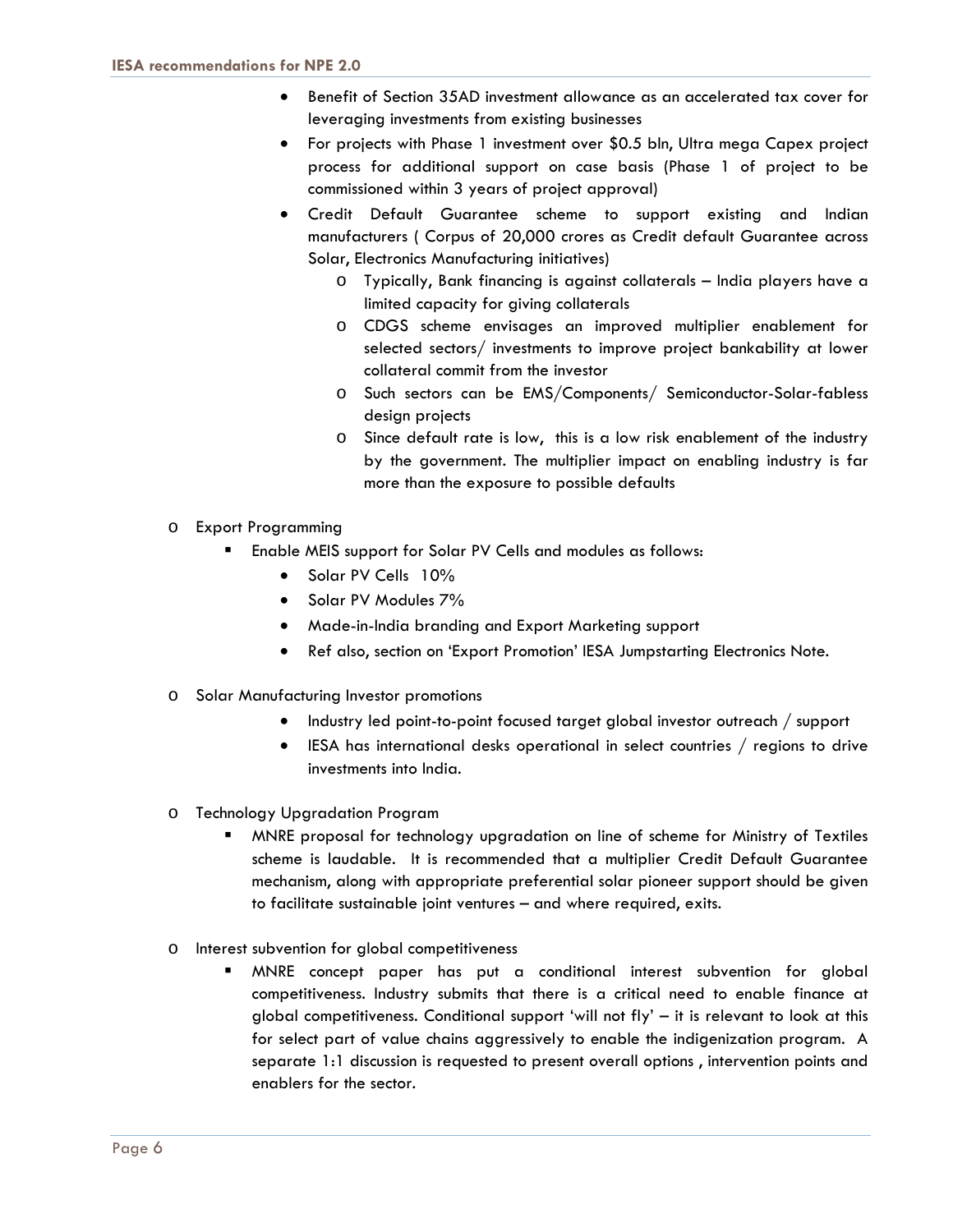- Benefit of Section 35AD investment allowance as an accelerated tax cover for leveraging investments from existing businesses
- For projects with Phase 1 investment over \$0.5 bln, Ultra mega Capex project process for additional support on case basis (Phase 1 of project to be commissioned within 3 years of project approval)
- Credit Default Guarantee scheme to support existing and Indian manufacturers ( Corpus of 20,000 crores as Credit default Guarantee across Solar, Electronics Manufacturing initiatives)
	- o Typically, Bank financing is against collaterals India players have a limited capacity for giving collaterals
	- o CDGS scheme envisages an improved multiplier enablement for selected sectors/ investments to improve project bankability at lower collateral commit from the investor
	- o Such sectors can be EMS/Components/ Semiconductor-Solar-fabless design projects
	- o Since default rate is low, this is a low risk enablement of the industry by the government. The multiplier impact on enabling industry is far more than the exposure to possible defaults
- o Export Programming
	- Enable MEIS support for Solar PV Cells and modules as follows:
		- Solar PV Cells 10%
		- Solar PV Modules 7%
		- Made-in-India branding and Export Marketing support
		- Ref also, section on 'Export Promotion' IESA Jumpstarting Electronics Note.
- o Solar Manufacturing Investor promotions
	- Industry led point-to-point focused target global investor outreach / support
	- IESA has international desks operational in select countries / regions to drive investments into India.
- o Technology Upgradation Program
	- MNRE proposal for technology upgradation on line of scheme for Ministry of Textiles scheme is laudable. It is recommended that a multiplier Credit Default Guarantee mechanism, along with appropriate preferential solar pioneer support should be given to facilitate sustainable joint ventures – and where required, exits.
- o Interest subvention for global competitiveness
	- MNRE concept paper has put a conditional interest subvention for global competitiveness. Industry submits that there is a critical need to enable finance at global competitiveness. Conditional support 'will not fly' – it is relevant to look at this for select part of value chains aggressively to enable the indigenization program. A separate 1:1 discussion is requested to present overall options , intervention points and enablers for the sector.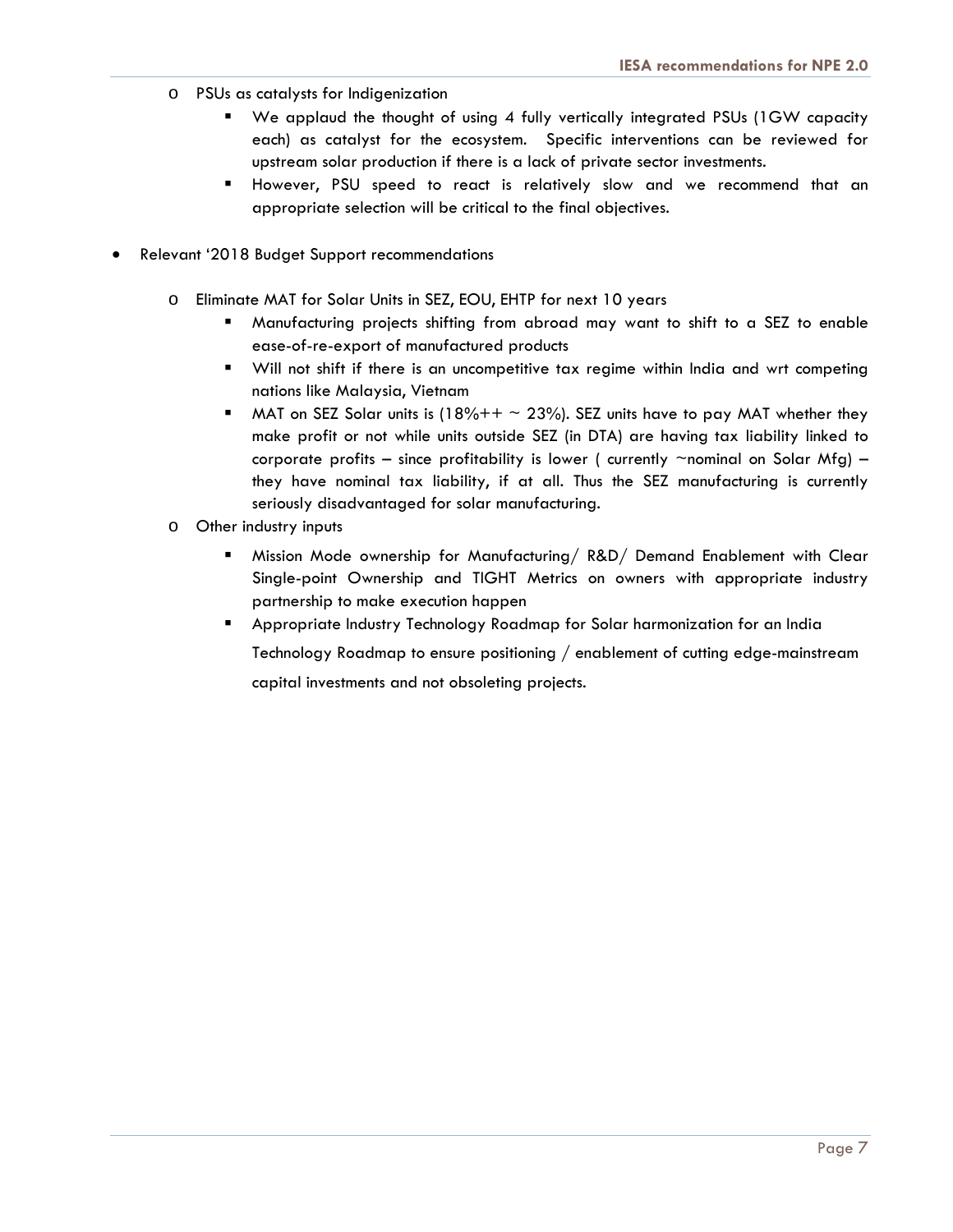- o PSUs as catalysts for Indigenization
	- We applaud the thought of using 4 fully vertically integrated PSUs (1GW capacity each) as catalyst for the ecosystem. Specific interventions can be reviewed for upstream solar production if there is a lack of private sector investments.
	- However, PSU speed to react is relatively slow and we recommend that an appropriate selection will be critical to the final objectives.
- Relevant '2018 Budget Support recommendations
	- o Eliminate MAT for Solar Units in SEZ, EOU, EHTP for next 10 years
		- Manufacturing projects shifting from abroad may want to shift to a SEZ to enable ease-of-re-export of manufactured products
		- Will not shift if there is an uncompetitive tax regime within India and wrt competing nations like Malaysia, Vietnam
		- **MAT** on SEZ Solar units is (18% $++ \sim 23$ %). SEZ units have to pay MAT whether they make profit or not while units outside SEZ (in DTA) are having tax liability linked to corporate profits – since profitability is lower ( currently  $\sim$ nominal on Solar Mfg) – they have nominal tax liability, if at all. Thus the SEZ manufacturing is currently seriously disadvantaged for solar manufacturing.
	- o Other industry inputs
		- **Mission Mode ownership for Manufacturing/ R&D/ Demand Enablement with Clear** Single-point Ownership and TIGHT Metrics on owners with appropriate industry partnership to make execution happen
		- Appropriate Industry Technology Roadmap for Solar harmonization for an India Technology Roadmap to ensure positioning / enablement of cutting edge-mainstream capital investments and not obsoleting projects.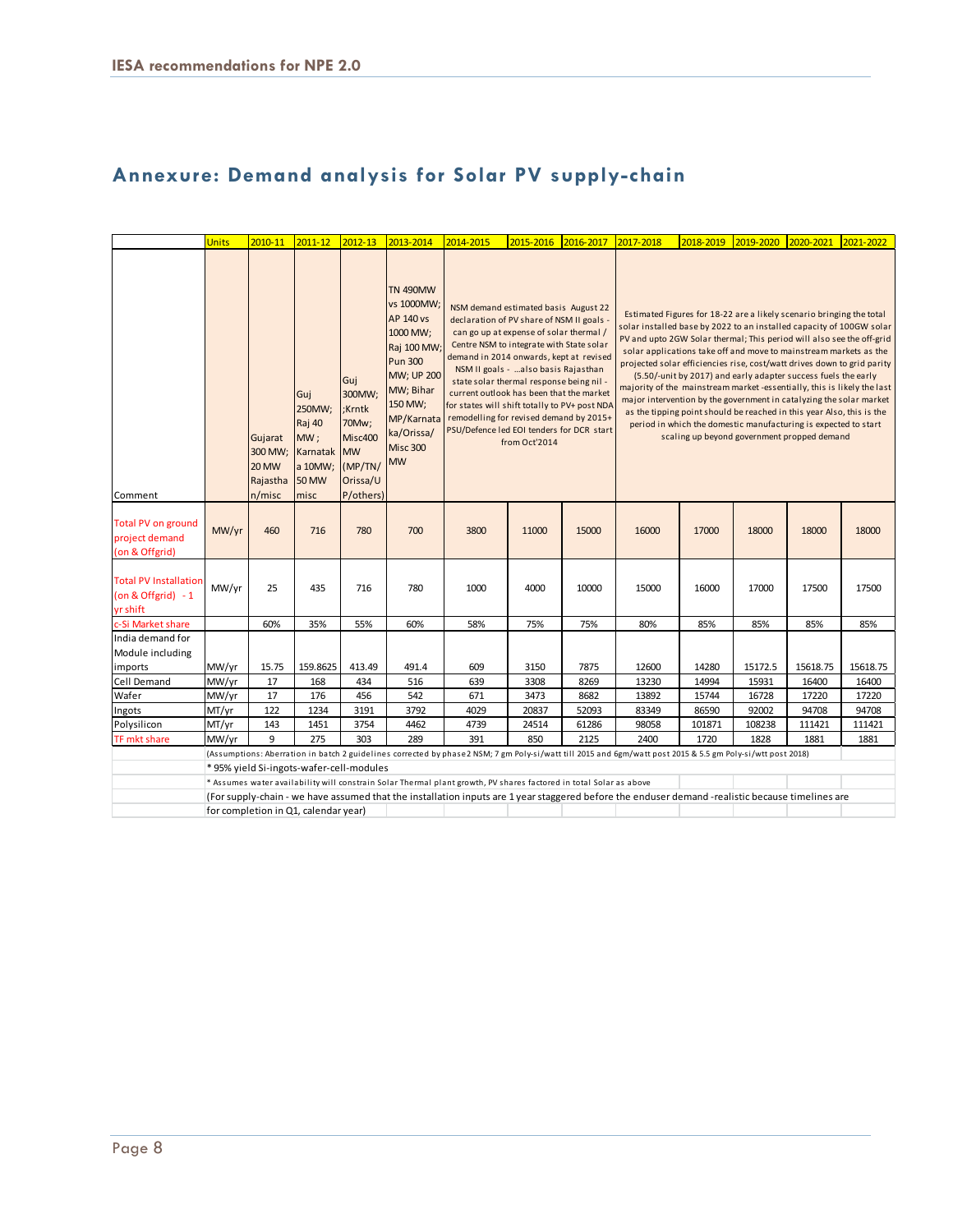## **Annexure: Demand analysis for Solar PV supply-chain**

|                                                                | <b>Units</b>                                                                                                                                                                                                                                                                                                                                                                                                                                                                                                             | 2010-11                                                  | 2011-12                                                                       | 2012-13                                                                                      | 2013-2014                                                                                                                                                                                       | 2014-2015                                                                                                                                                                                                                                                                                                                                                                                                                                                                                 | 2015-2016     | 2016-2017 | 2017-2018                                                                                                                                                                                                                                                                                                                                                                                                                                                                                                                                                                                       | 2018-2019 | 2019-2020 | 2020-2021                                                                                                                                                                        | 2021-2022 |
|----------------------------------------------------------------|--------------------------------------------------------------------------------------------------------------------------------------------------------------------------------------------------------------------------------------------------------------------------------------------------------------------------------------------------------------------------------------------------------------------------------------------------------------------------------------------------------------------------|----------------------------------------------------------|-------------------------------------------------------------------------------|----------------------------------------------------------------------------------------------|-------------------------------------------------------------------------------------------------------------------------------------------------------------------------------------------------|-------------------------------------------------------------------------------------------------------------------------------------------------------------------------------------------------------------------------------------------------------------------------------------------------------------------------------------------------------------------------------------------------------------------------------------------------------------------------------------------|---------------|-----------|-------------------------------------------------------------------------------------------------------------------------------------------------------------------------------------------------------------------------------------------------------------------------------------------------------------------------------------------------------------------------------------------------------------------------------------------------------------------------------------------------------------------------------------------------------------------------------------------------|-----------|-----------|----------------------------------------------------------------------------------------------------------------------------------------------------------------------------------|-----------|
| Comment                                                        |                                                                                                                                                                                                                                                                                                                                                                                                                                                                                                                          | Gujarat<br>300 MW;<br><b>20 MW</b><br>Rajastha<br>n/misc | Guj<br>250MW;<br>Raj 40<br>MW:<br>Karnatak<br>a 10MW;<br><b>50 MW</b><br>misc | Guj<br>300MW;<br>;Krntk<br>70Mw;<br>Misc400<br><b>MW</b><br>(MP/TN/<br>Orissa/U<br>P/others) | <b>TN 490MW</b><br>vs 1000MW<br><b>AP 140 vs</b><br>1000 MW;<br>Raj 100 MW;<br>Pun 300<br><b>MW; UP 200</b><br>MW; Bihar<br>150 MW;<br>MP/Karnata<br>ka/Orissa/<br><b>Misc 300</b><br><b>MW</b> | NSM demand estimated basis August 22<br>declaration of PV share of NSM II goals<br>can go up at expense of solar thermal /<br>Centre NSM to integrate with State solar<br>demand in 2014 onwards, kept at revised<br>NSM II goals - also basis Rajasthan<br>state solar thermal response being nil -<br>current outlook has been that the market<br>for states will shift totally to PV+ post NDA<br>remodelling for revised demand by 2015+<br>PSU/Defence led EOI tenders for DCR start | from Oct'2014 |           | Estimated Figures for 18-22 are a likely scenario bringing the total<br>solar installed base by 2022 to an installed capacity of 100GW solar<br>PV and upto 2GW Solar thermal; This period will also see the off-grid<br>solar applications take off and move to mainstream markets as the<br>projected solar efficiencies rise, cost/watt drives down to grid parity<br>majority of the mainstream market-essentially, this is likely the last<br>major intervention by the government in catalyzing the solar market<br>as the tipping point should be reached in this year Also, this is the |           |           | (5.50/-unit by 2017) and early adapter success fuels the early<br>period in which the domestic manufacturing is expected to start<br>scaling up beyond government propped demand |           |
| <b>Total PV on ground</b><br>project demand<br>(on & Offgrid)  | MW/yr                                                                                                                                                                                                                                                                                                                                                                                                                                                                                                                    | 460                                                      | 716                                                                           | 780                                                                                          | 700                                                                                                                                                                                             | 3800                                                                                                                                                                                                                                                                                                                                                                                                                                                                                      | 11000         | 15000     | 16000                                                                                                                                                                                                                                                                                                                                                                                                                                                                                                                                                                                           | 17000     | 18000     | 18000                                                                                                                                                                            | 18000     |
| <b>Total PV Installation</b><br>(on & Offgrid) - 1<br>yr shift | MW/yr                                                                                                                                                                                                                                                                                                                                                                                                                                                                                                                    | 25                                                       | 435                                                                           | 716                                                                                          | 780                                                                                                                                                                                             | 1000                                                                                                                                                                                                                                                                                                                                                                                                                                                                                      | 4000          | 10000     | 15000                                                                                                                                                                                                                                                                                                                                                                                                                                                                                                                                                                                           | 16000     | 17000     | 17500                                                                                                                                                                            | 17500     |
| c-Si Market share                                              |                                                                                                                                                                                                                                                                                                                                                                                                                                                                                                                          | 60%                                                      | 35%                                                                           | 55%                                                                                          | 60%                                                                                                                                                                                             | 58%                                                                                                                                                                                                                                                                                                                                                                                                                                                                                       | 75%           | 75%       | 80%                                                                                                                                                                                                                                                                                                                                                                                                                                                                                                                                                                                             | 85%       | 85%       | 85%                                                                                                                                                                              | 85%       |
| India demand for<br>Module including<br>imports                | MW/yr                                                                                                                                                                                                                                                                                                                                                                                                                                                                                                                    | 15.75                                                    | 159.8625                                                                      | 413.49                                                                                       | 491.4                                                                                                                                                                                           | 609                                                                                                                                                                                                                                                                                                                                                                                                                                                                                       | 3150          | 7875      | 12600                                                                                                                                                                                                                                                                                                                                                                                                                                                                                                                                                                                           | 14280     | 15172.5   | 15618.75                                                                                                                                                                         | 15618.75  |
| Cell Demand                                                    | MW/yr                                                                                                                                                                                                                                                                                                                                                                                                                                                                                                                    | 17                                                       | 168                                                                           | 434                                                                                          | 516                                                                                                                                                                                             | 639                                                                                                                                                                                                                                                                                                                                                                                                                                                                                       | 3308          | 8269      | 13230                                                                                                                                                                                                                                                                                                                                                                                                                                                                                                                                                                                           | 14994     | 15931     | 16400                                                                                                                                                                            | 16400     |
| Wafer                                                          | MW/yr                                                                                                                                                                                                                                                                                                                                                                                                                                                                                                                    | 17                                                       | 176                                                                           | 456                                                                                          | 542                                                                                                                                                                                             | 671                                                                                                                                                                                                                                                                                                                                                                                                                                                                                       | 3473          | 8682      | 13892                                                                                                                                                                                                                                                                                                                                                                                                                                                                                                                                                                                           | 15744     | 16728     | 17220                                                                                                                                                                            | 17220     |
| Ingots                                                         | MT/yr                                                                                                                                                                                                                                                                                                                                                                                                                                                                                                                    | 122                                                      | 1234                                                                          | 3191                                                                                         | 3792                                                                                                                                                                                            | 4029                                                                                                                                                                                                                                                                                                                                                                                                                                                                                      | 20837         | 52093     | 83349                                                                                                                                                                                                                                                                                                                                                                                                                                                                                                                                                                                           | 86590     | 92002     | 94708                                                                                                                                                                            | 94708     |
| Polysilicon                                                    | MT/yr                                                                                                                                                                                                                                                                                                                                                                                                                                                                                                                    | 143                                                      | 1451                                                                          | 3754                                                                                         | 4462                                                                                                                                                                                            | 4739                                                                                                                                                                                                                                                                                                                                                                                                                                                                                      | 24514         | 61286     | 98058                                                                                                                                                                                                                                                                                                                                                                                                                                                                                                                                                                                           | 101871    | 108238    | 111421                                                                                                                                                                           | 111421    |
| <b>TF mkt share</b>                                            | MW/yr                                                                                                                                                                                                                                                                                                                                                                                                                                                                                                                    | 9                                                        | 275                                                                           | 303                                                                                          | 289                                                                                                                                                                                             | 391                                                                                                                                                                                                                                                                                                                                                                                                                                                                                       | 850           | 2125      | 2400                                                                                                                                                                                                                                                                                                                                                                                                                                                                                                                                                                                            | 1720      | 1828      | 1881                                                                                                                                                                             | 1881      |
|                                                                | (Assumptions: Aberration in batch 2 guidelines corrected by phase2 NSM; 7 gm Poly-si/watt till 2015 and 6gm/watt post 2015 & 5.5 gm Poly-si/wtt post 2018)<br>* 95% yield Si-ingots-wafer-cell-modules<br>* Assumes water availability will constrain Solar Thermal plant growth, PV shares factored in total Solar as above<br>(For supply-chain - we have assumed that the installation inputs are 1 year staggered before the enduser demand -realistic because timelines are<br>for completion in Q1, calendar year) |                                                          |                                                                               |                                                                                              |                                                                                                                                                                                                 |                                                                                                                                                                                                                                                                                                                                                                                                                                                                                           |               |           |                                                                                                                                                                                                                                                                                                                                                                                                                                                                                                                                                                                                 |           |           |                                                                                                                                                                                  |           |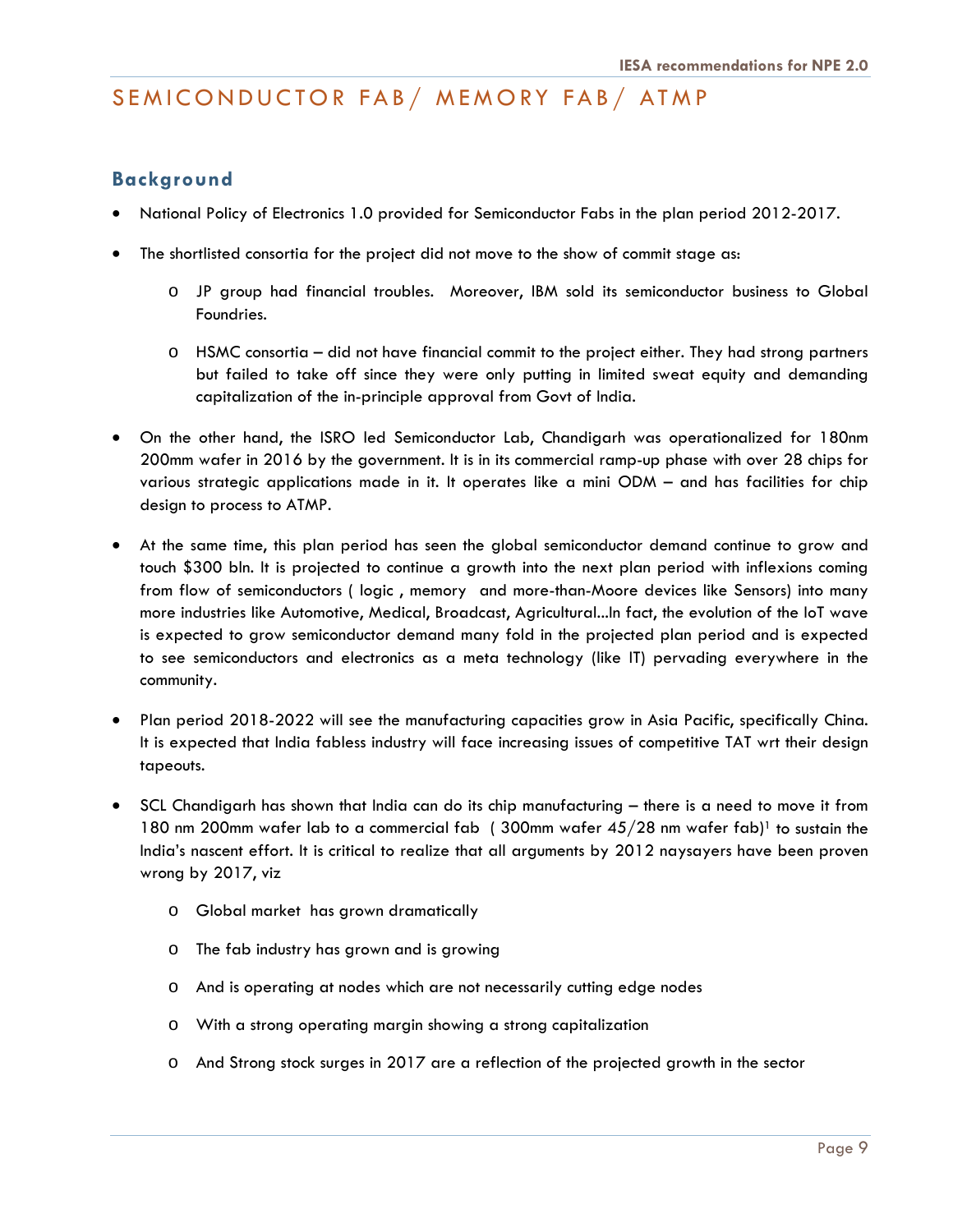## SEMICONDUCTOR FAB / MEMORY FAB/ ATMP

#### **Background**

- National Policy of Electronics 1.0 provided for Semiconductor Fabs in the plan period 2012-2017.
- The shortlisted consortia for the project did not move to the show of commit stage as:
	- o JP group had financial troubles. Moreover, IBM sold its semiconductor business to Global Foundries.
	- o HSMC consortia did not have financial commit to the project either. They had strong partners but failed to take off since they were only putting in limited sweat equity and demanding capitalization of the in-principle approval from Govt of India.
- On the other hand, the ISRO led Semiconductor Lab, Chandigarh was operationalized for 180nm 200mm wafer in 2016 by the government. It is in its commercial ramp-up phase with over 28 chips for various strategic applications made in it. It operates like a mini ODM – and has facilities for chip design to process to ATMP.
- At the same time, this plan period has seen the global semiconductor demand continue to grow and touch \$300 bln. It is projected to continue a growth into the next plan period with inflexions coming from flow of semiconductors ( logic , memory and more-than-Moore devices like Sensors) into many more industries like Automotive, Medical, Broadcast, Agricultural...In fact, the evolution of the IoT wave is expected to grow semiconductor demand many fold in the projected plan period and is expected to see semiconductors and electronics as a meta technology (like IT) pervading everywhere in the community.
- Plan period 2018-2022 will see the manufacturing capacities grow in Asia Pacific, specifically China. It is expected that India fabless industry will face increasing issues of competitive TAT wrt their design tapeouts.
- SCL Chandigarh has shown that India can do its chip manufacturing there is a need to move it from 180 nm 200mm wafer lab to a commercial fab (300mm wafer  $45/28$  nm wafer fab)<sup>1</sup> to sustain the India's nascent effort. It is critical to realize that all arguments by 2012 naysayers have been proven wrong by 2017, viz
	- o Global market has grown dramatically
	- o The fab industry has grown and is growing
	- o And is operating at nodes which are not necessarily cutting edge nodes
	- o With a strong operating margin showing a strong capitalization
	- o And Strong stock surges in 2017 are a reflection of the projected growth in the sector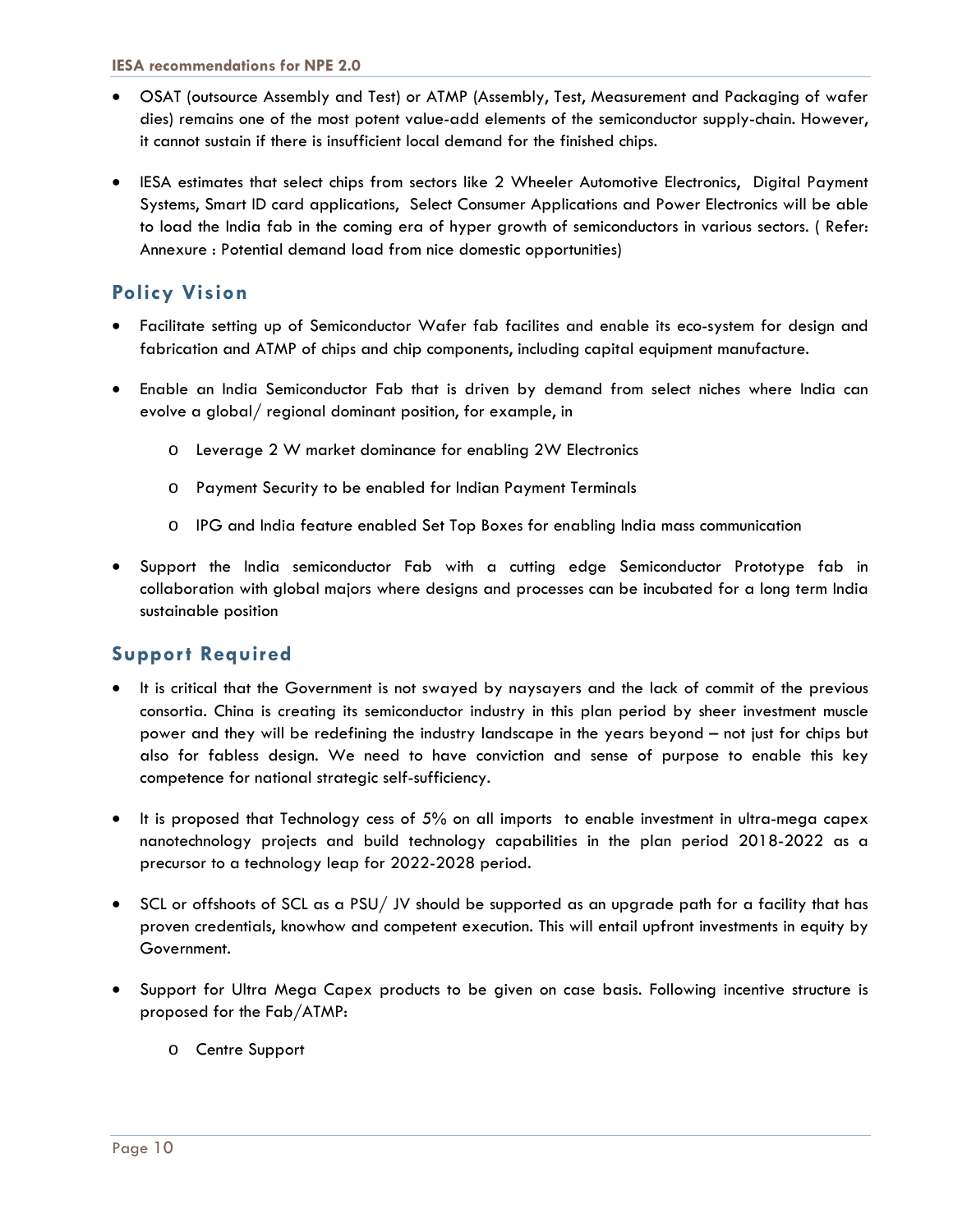- OSAT (outsource Assembly and Test) or ATMP (Assembly, Test, Measurement and Packaging of wafer dies) remains one of the most potent value-add elements of the semiconductor supply-chain. However, it cannot sustain if there is insufficient local demand for the finished chips.
- IESA estimates that select chips from sectors like 2 Wheeler Automotive Electronics, Digital Payment Systems, Smart ID card applications, Select Consumer Applications and Power Electronics will be able to load the India fab in the coming era of hyper growth of semiconductors in various sectors. ( Refer: Annexure : Potential demand load from nice domestic opportunities)

## **Policy Vision**

- Facilitate setting up of Semiconductor Wafer fab facilites and enable its eco-system for design and fabrication and ATMP of chips and chip components, including capital equipment manufacture.
- Enable an India Semiconductor Fab that is driven by demand from select niches where India can evolve a global/ regional dominant position, for example, in
	- o Leverage 2 W market dominance for enabling 2W Electronics
	- o Payment Security to be enabled for Indian Payment Terminals
	- o IPG and India feature enabled Set Top Boxes for enabling India mass communication
- Support the India semiconductor Fab with a cutting edge Semiconductor Prototype fab in collaboration with global majors where designs and processes can be incubated for a long term India sustainable position

### **Support Required**

- It is critical that the Government is not swayed by naysayers and the lack of commit of the previous consortia. China is creating its semiconductor industry in this plan period by sheer investment muscle power and they will be redefining the industry landscape in the years beyond – not just for chips but also for fabless design. We need to have conviction and sense of purpose to enable this key competence for national strategic self-sufficiency.
- It is proposed that Technology cess of 5% on all imports to enable investment in ultra-mega capex nanotechnology projects and build technology capabilities in the plan period 2018-2022 as a precursor to a technology leap for 2022-2028 period.
- SCL or offshoots of SCL as a PSU/ JV should be supported as an upgrade path for a facility that has proven credentials, knowhow and competent execution. This will entail upfront investments in equity by Government.
- Support for Ultra Mega Capex products to be given on case basis. Following incentive structure is proposed for the Fab/ATMP:
	- o Centre Support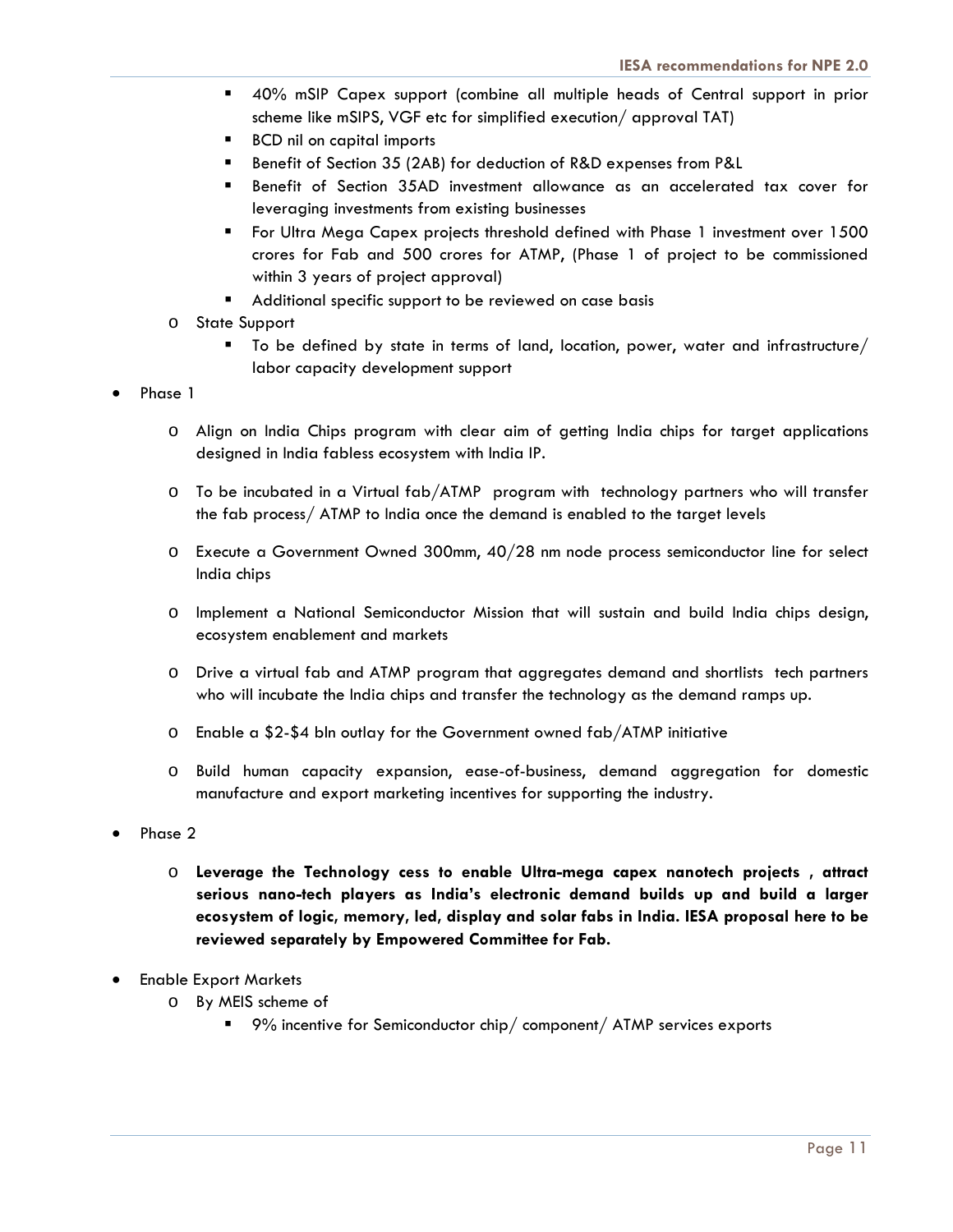- 40% mSIP Capex support (combine all multiple heads of Central support in prior scheme like mSIPS, VGF etc for simplified execution/ approval TAT)
- **BCD nil on capital imports**
- Benefit of Section 35 (2AB) for deduction of R&D expenses from P&L
- Benefit of Section 35AD investment allowance as an accelerated tax cover for leveraging investments from existing businesses
- For Ultra Mega Capex projects threshold defined with Phase 1 investment over 1500 crores for Fab and 500 crores for ATMP, (Phase 1 of project to be commissioned within 3 years of project approval)
- Additional specific support to be reviewed on case basis
- o State Support
	- To be defined by state in terms of land, location, power, water and infrastructure/ labor capacity development support
- Phase 1
	- o Align on India Chips program with clear aim of getting India chips for target applications designed in India fabless ecosystem with India IP.
	- o To be incubated in a Virtual fab/ATMP program with technology partners who will transfer the fab process/ ATMP to India once the demand is enabled to the target levels
	- o Execute a Government Owned 300mm, 40/28 nm node process semiconductor line for select India chips
	- o Implement a National Semiconductor Mission that will sustain and build India chips design, ecosystem enablement and markets
	- o Drive a virtual fab and ATMP program that aggregates demand and shortlists tech partners who will incubate the India chips and transfer the technology as the demand ramps up.
	- o Enable a \$2-\$4 bln outlay for the Government owned fab/ATMP initiative
	- o Build human capacity expansion, ease-of-business, demand aggregation for domestic manufacture and export marketing incentives for supporting the industry.
- Phase 2
	- o **Leverage the Technology cess to enable Ultra-mega capex nanotech projects , attract serious nano-tech players as India's electronic demand builds up and build a larger ecosystem of logic, memory, led, display and solar fabs in India. IESA proposal here to be reviewed separately by Empowered Committee for Fab.**
- Enable Export Markets
	- o By MEIS scheme of
		- $\blacksquare$  9% incentive for Semiconductor chip/component/ ATMP services exports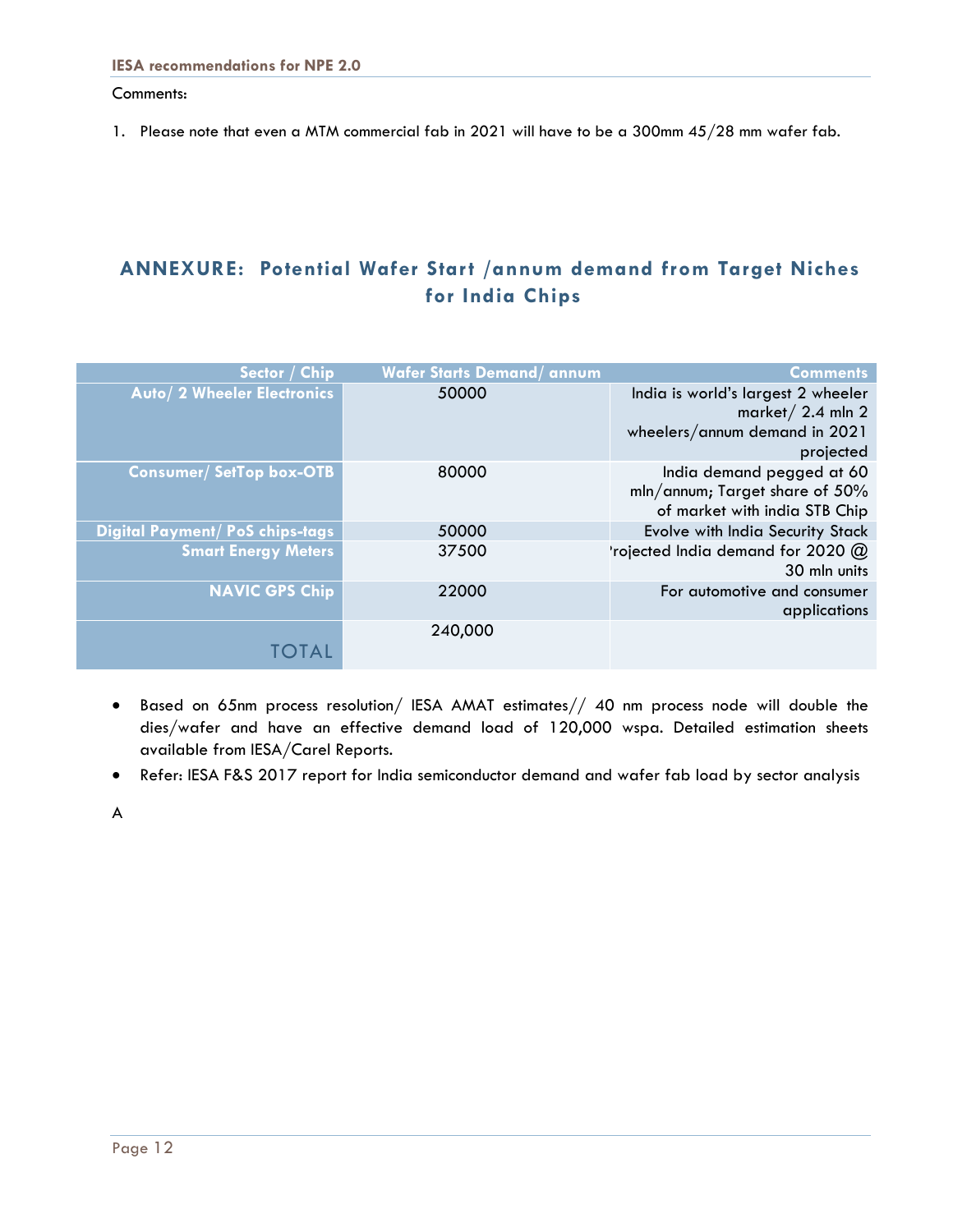1. Please note that even a MTM commercial fab in 2021 will have to be a 300mm 45/28 mm wafer fab.

## **ANNEXURE: Potential Wafer Start /annum demand from Target Niches for India Chips**

| Sector / Chip                          | <b>Wafer Starts Demand/annum</b> | <b>Comments</b>                                                                                           |
|----------------------------------------|----------------------------------|-----------------------------------------------------------------------------------------------------------|
| Auto/ 2 Wheeler Electronics            | 50000                            | India is world's largest 2 wheeler<br>market/ $2.4$ mln $2$<br>wheelers/annum demand in 2021<br>projected |
| <b>Consumer/ SetTop box-OTB</b>        | 80000                            | India demand pegged at 60<br>mln/annum; Target share of 50%<br>of market with india STB Chip              |
| <b>Digital Payment/ PoS chips-tags</b> | 50000                            | <b>Evolve with India Security Stack</b>                                                                   |
| <b>Smart Energy Meters</b>             | 37500                            | 'rojected India demand for 2020 @<br>30 mln units                                                         |
| <b>NAVIC GPS Chip</b>                  | 22000                            | For automotive and consumer<br>applications                                                               |
| <b>TOTAL</b>                           | 240,000                          |                                                                                                           |

- Based on 65nm process resolution/ IESA AMAT estimates// 40 nm process node will double the dies/wafer and have an effective demand load of 120,000 wspa. Detailed estimation sheets available from IESA/Carel Reports.
- Refer: IESA F&S 2017 report for India semiconductor demand and wafer fab load by sector analysis

A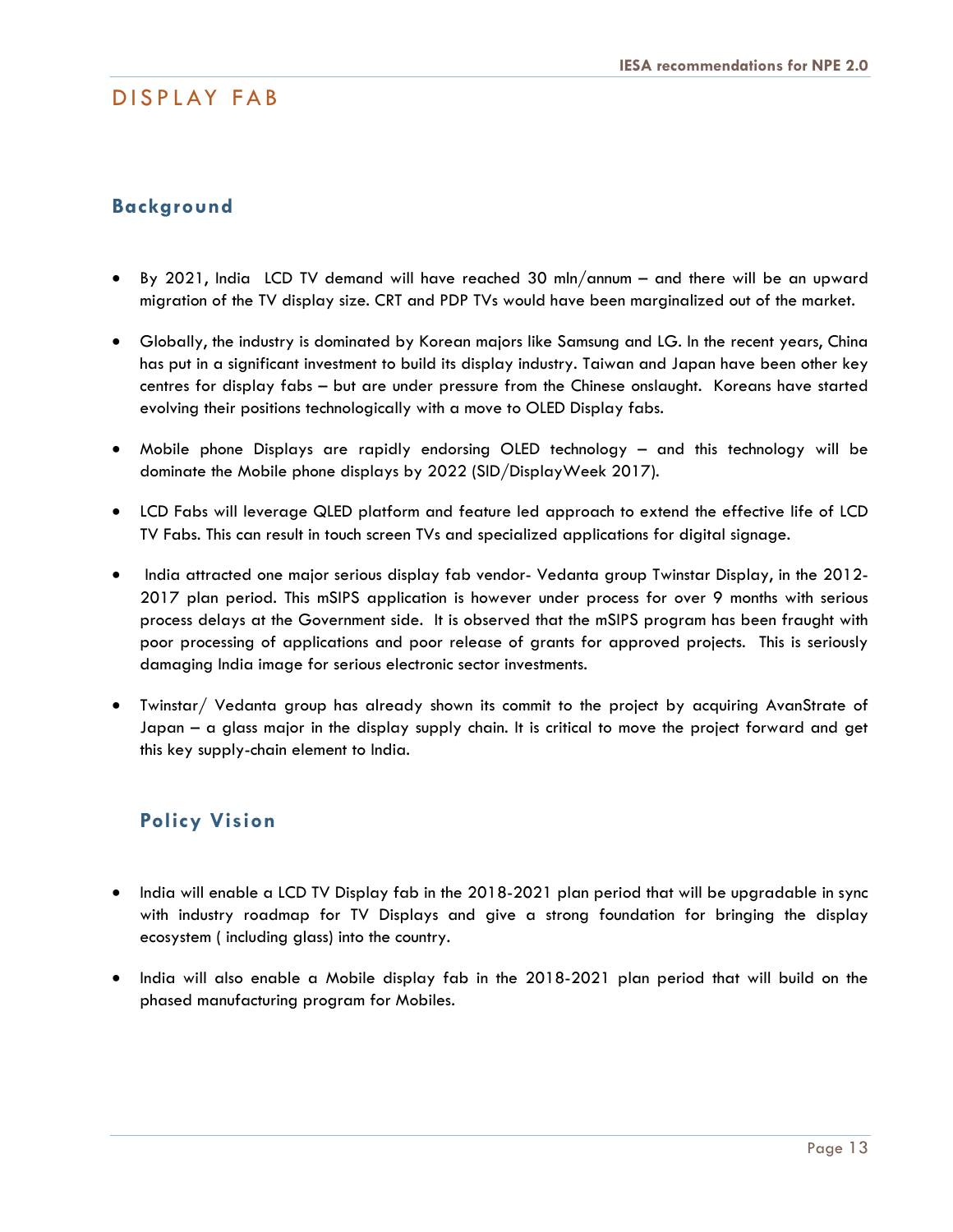## DISPLAY FAB

### **Background**

- By 2021, India LCD TV demand will have reached 30 mln/annum and there will be an upward migration of the TV display size. CRT and PDP TVs would have been marginalized out of the market.
- Globally, the industry is dominated by Korean majors like Samsung and LG. In the recent years, China has put in a significant investment to build its display industry. Taiwan and Japan have been other key centres for display fabs – but are under pressure from the Chinese onslaught. Koreans have started evolving their positions technologically with a move to OLED Display fabs.
- Mobile phone Displays are rapidly endorsing OLED technology and this technology will be dominate the Mobile phone displays by 2022 (SID/DisplayWeek 2017).
- LCD Fabs will leverage QLED platform and feature led approach to extend the effective life of LCD TV Fabs. This can result in touch screen TVs and specialized applications for digital signage.
- India attracted one major serious display fab vendor- Vedanta group Twinstar Display, in the 2012- 2017 plan period. This mSIPS application is however under process for over 9 months with serious process delays at the Government side. It is observed that the mSIPS program has been fraught with poor processing of applications and poor release of grants for approved projects. This is seriously damaging India image for serious electronic sector investments.
- Twinstar/ Vedanta group has already shown its commit to the project by acquiring AvanStrate of Japan – a glass major in the display supply chain. It is critical to move the project forward and get this key supply-chain element to India.

## **Policy Vision**

- India will enable a LCD TV Display fab in the 2018-2021 plan period that will be upgradable in sync with industry roadmap for TV Displays and give a strong foundation for bringing the display ecosystem ( including glass) into the country.
- India will also enable a Mobile display fab in the 2018-2021 plan period that will build on the phased manufacturing program for Mobiles.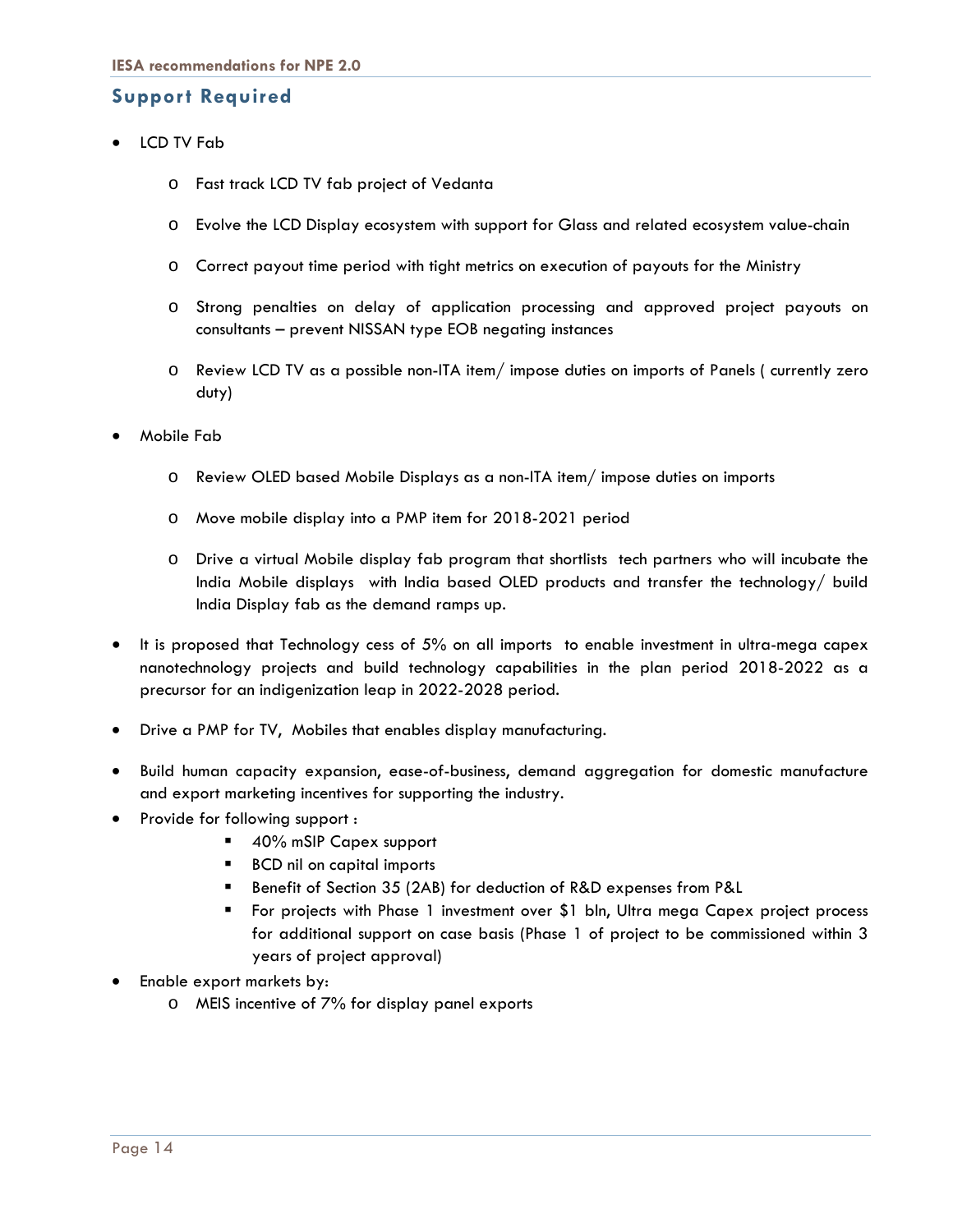#### **Support Required**

- LCD TV Fab
	- o Fast track LCD TV fab project of Vedanta
	- o Evolve the LCD Display ecosystem with support for Glass and related ecosystem value-chain
	- o Correct payout time period with tight metrics on execution of payouts for the Ministry
	- o Strong penalties on delay of application processing and approved project payouts on consultants – prevent NISSAN type EOB negating instances
	- o Review LCD TV as a possible non-ITA item/ impose duties on imports of Panels ( currently zero duty)
- Mobile Fab
	- o Review OLED based Mobile Displays as a non-ITA item/ impose duties on imports
	- o Move mobile display into a PMP item for 2018-2021 period
	- o Drive a virtual Mobile display fab program that shortlists tech partners who will incubate the India Mobile displays with India based OLED products and transfer the technology/ build India Display fab as the demand ramps up.
- It is proposed that Technology cess of 5% on all imports to enable investment in ultra-mega capex nanotechnology projects and build technology capabilities in the plan period 2018-2022 as a precursor for an indigenization leap in 2022-2028 period.
- Drive a PMP for TV, Mobiles that enables display manufacturing.
- Build human capacity expansion, ease-of-business, demand aggregation for domestic manufacture and export marketing incentives for supporting the industry.
- Provide for following support :
	- 40% mSIP Capex support
	- BCD nil on capital imports
	- Benefit of Section 35 (2AB) for deduction of R&D expenses from P&L
	- For projects with Phase 1 investment over \$1 bln, Ultra mega Capex project process for additional support on case basis (Phase 1 of project to be commissioned within 3 years of project approval)
- Enable export markets by:
	- o MEIS incentive of 7% for display panel exports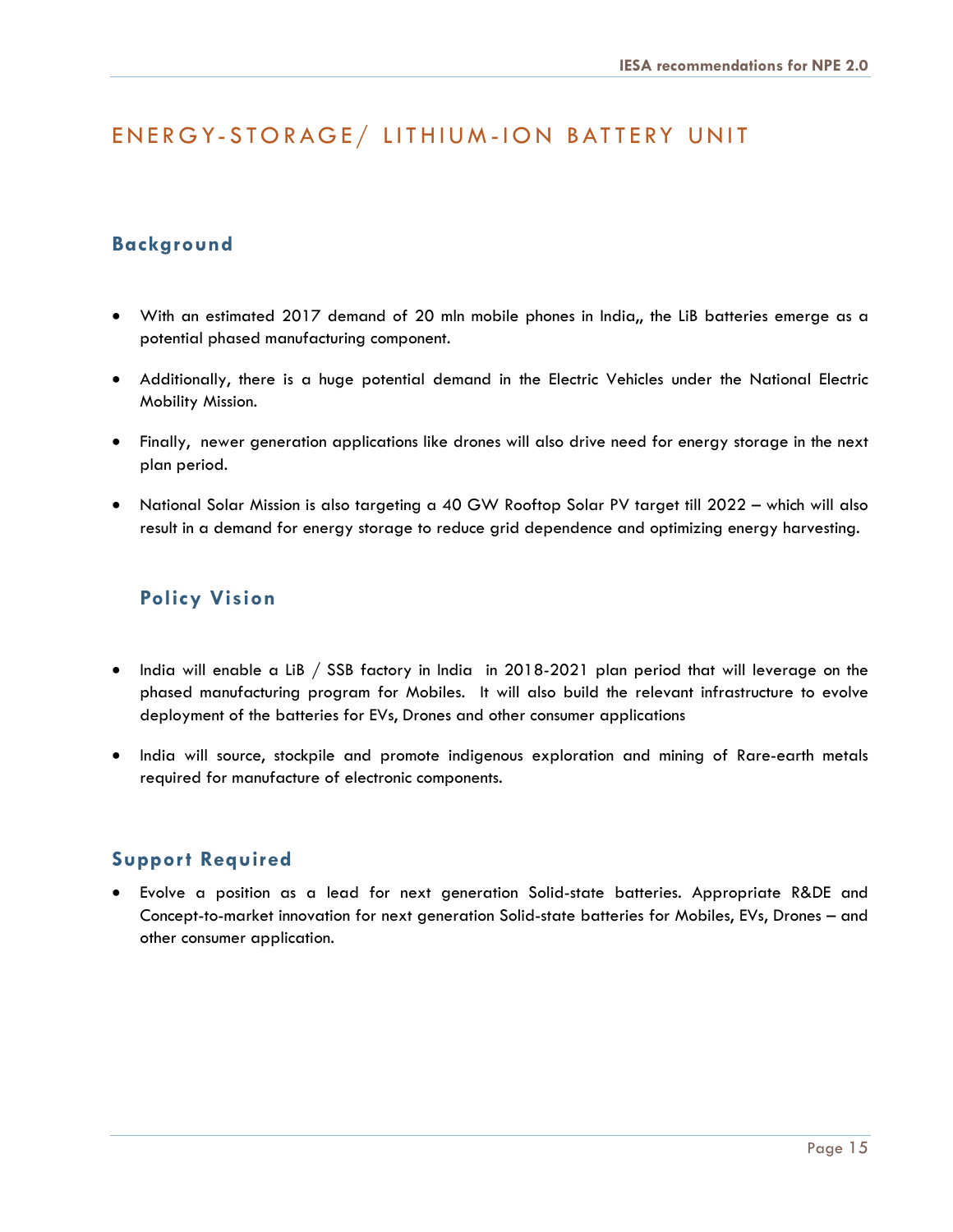## ENERGY- STORAGE/ LITHIUM -ION BATTERY UNIT

#### **Background**

- With an estimated 2017 demand of 20 mln mobile phones in India,, the LiB batteries emerge as a potential phased manufacturing component.
- Additionally, there is a huge potential demand in the Electric Vehicles under the National Electric Mobility Mission.
- Finally, newer generation applications like drones will also drive need for energy storage in the next plan period.
- National Solar Mission is also targeting a 40 GW Rooftop Solar PV target till 2022 which will also result in a demand for energy storage to reduce grid dependence and optimizing energy harvesting.

## **Policy Vision**

- India will enable a LiB / SSB factory in India in 2018-2021 plan period that will leverage on the phased manufacturing program for Mobiles. It will also build the relevant infrastructure to evolve deployment of the batteries for EVs, Drones and other consumer applications
- India will source, stockpile and promote indigenous exploration and mining of Rare-earth metals required for manufacture of electronic components.

#### **Support Required**

• Evolve a position as a lead for next generation Solid-state batteries. Appropriate R&DE and Concept-to-market innovation for next generation Solid-state batteries for Mobiles, EVs, Drones – and other consumer application.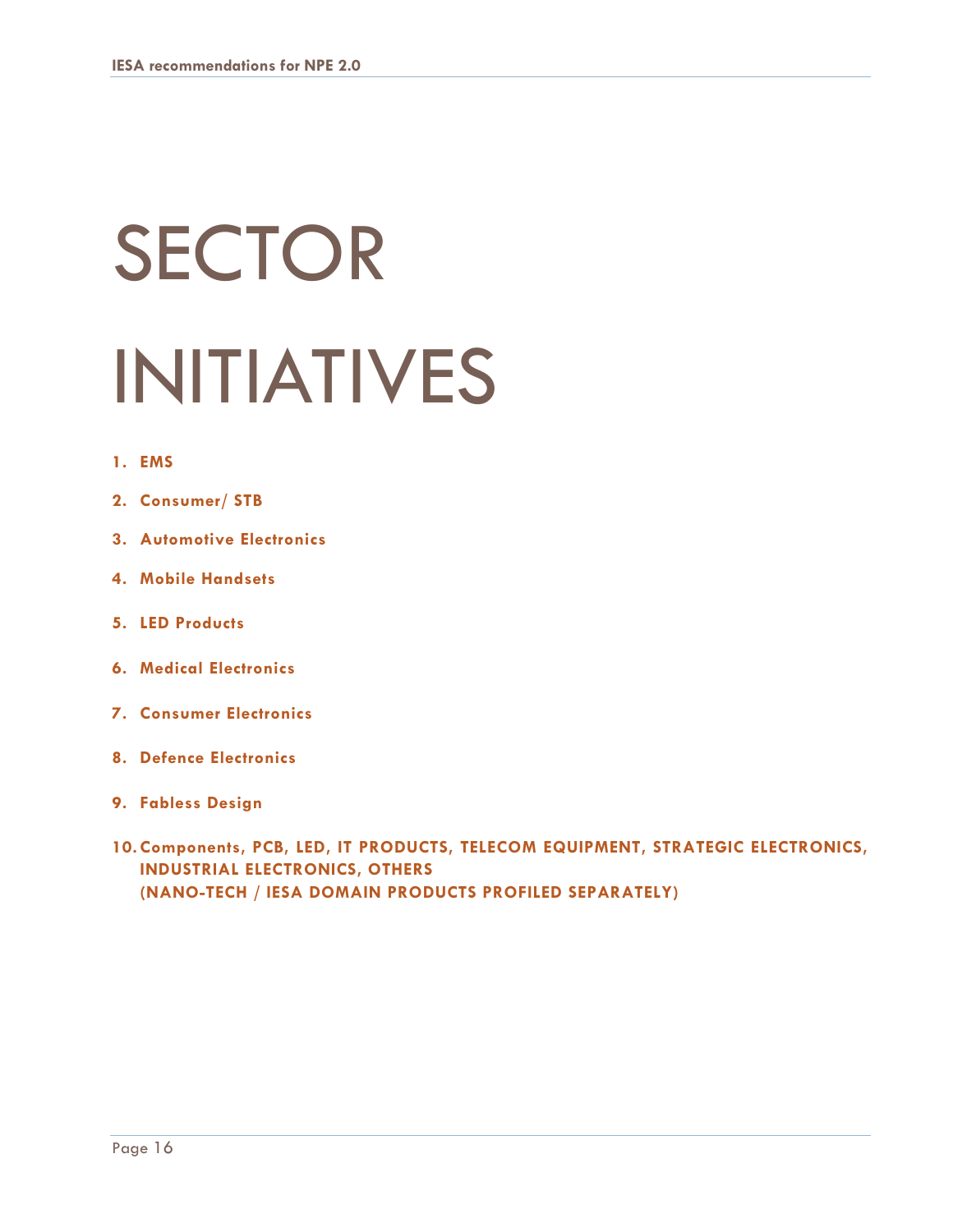# **SECTOR**

## INITIATIVES

- **1. EMS**
- **2. Consumer/ STB**
- **3. Automotive Electronics**
- **4. Mobile Handsets**
- **5. LED Products**
- **6. Medical Electronics**
- **7. Consumer Electronics**
- **8. Defence Electronics**
- **9. Fabless Design**
- **10. Components, PCB, LED, IT PRODUCTS, TELECOM EQUIPMENT, STRATEGIC ELECTRONICS, INDUSTRIAL ELECTRONICS, OTHERS (NANO-TECH / IESA DOMAIN PRODUCTS PROFILED SEPARATELY)**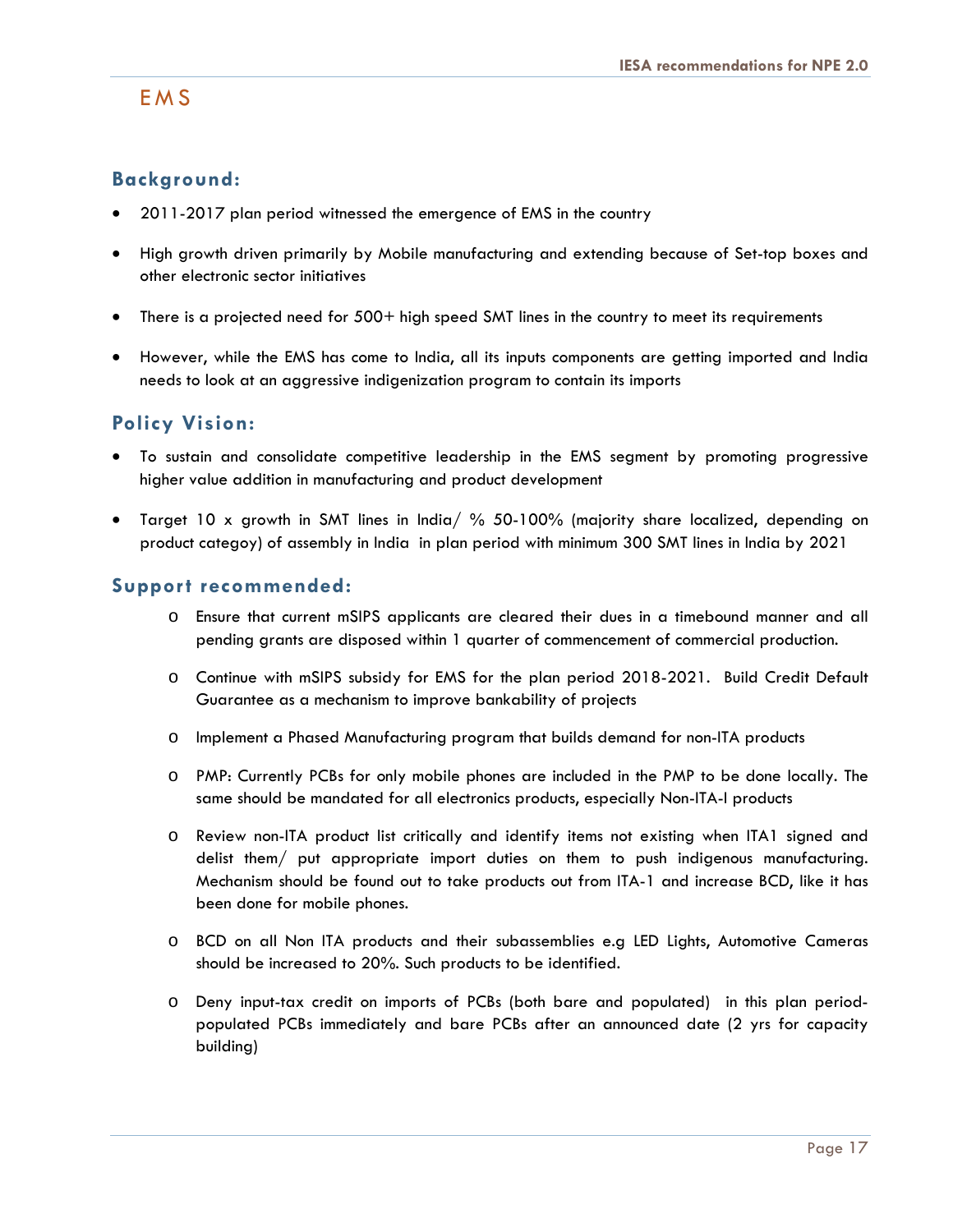## **EMS**

## **Background:**

- 2011-2017 plan period witnessed the emergence of EMS in the country
- High growth driven primarily by Mobile manufacturing and extending because of Set-top boxes and other electronic sector initiatives
- There is a projected need for 500+ high speed SMT lines in the country to meet its requirements
- However, while the EMS has come to India, all its inputs components are getting imported and India needs to look at an aggressive indigenization program to contain its imports

## **Policy Vision:**

- To sustain and consolidate competitive leadership in the EMS segment by promoting progressive higher value addition in manufacturing and product development
- Target 10 x growth in SMT lines in India/ % 50-100% (majority share localized, depending on product categoy) of assembly in India in plan period with minimum 300 SMT lines in India by 2021

#### **Support recommended:**

- o Ensure that current mSIPS applicants are cleared their dues in a timebound manner and all pending grants are disposed within 1 quarter of commencement of commercial production.
- o Continue with mSIPS subsidy for EMS for the plan period 2018-2021. Build Credit Default Guarantee as a mechanism to improve bankability of projects
- o Implement a Phased Manufacturing program that builds demand for non-ITA products
- o PMP: Currently PCBs for only mobile phones are included in the PMP to be done locally. The same should be mandated for all electronics products, especially Non-ITA-I products
- o Review non-ITA product list critically and identify items not existing when ITA1 signed and delist them/ put appropriate import duties on them to push indigenous manufacturing. Mechanism should be found out to take products out from ITA-1 and increase BCD, like it has been done for mobile phones.
- o BCD on all Non ITA products and their subassemblies e.g LED Lights, Automotive Cameras should be increased to 20%. Such products to be identified.
- o Deny input-tax credit on imports of PCBs (both bare and populated) in this plan periodpopulated PCBs immediately and bare PCBs after an announced date (2 yrs for capacity building)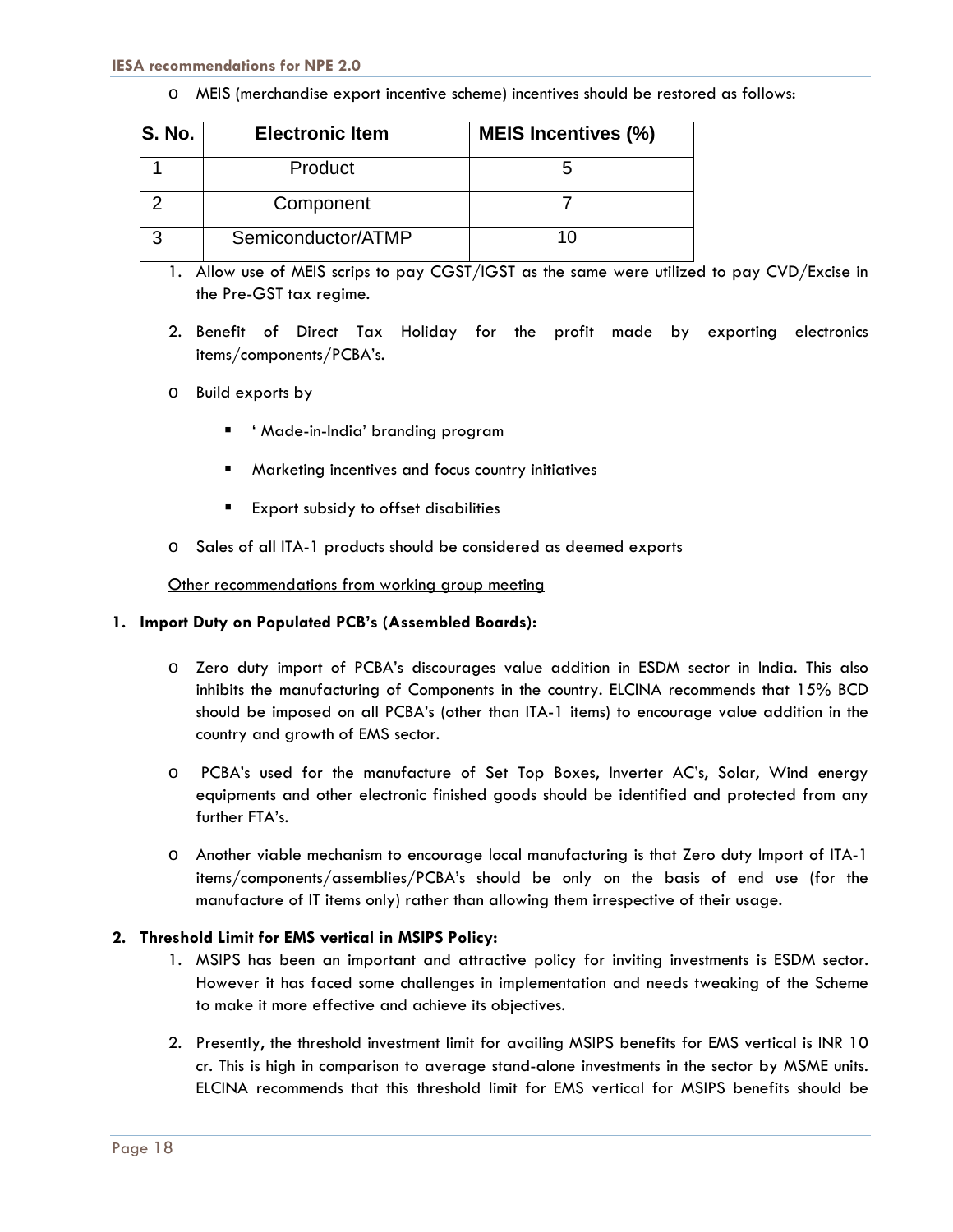o MEIS (merchandise export incentive scheme) incentives should be restored as follows:

| S. No. | <b>Electronic Item</b> | <b>MEIS Incentives (%)</b> |
|--------|------------------------|----------------------------|
|        | Product                |                            |
|        | Component              |                            |
|        | Semiconductor/ATMP     |                            |

- 1. Allow use of MEIS scrips to pay CGST/IGST as the same were utilized to pay CVD/Excise in the Pre-GST tax regime.
- 2. Benefit of Direct Tax Holiday for the profit made by exporting electronics items/components/PCBA's.
- o Build exports by
	- ' Made-in-India' branding program
	- Marketing incentives and focus country initiatives
	- Export subsidy to offset disabilities
- o Sales of all ITA-1 products should be considered as deemed exports

Other recommendations from working group meeting

#### **1. Import Duty on Populated PCB's (Assembled Boards):**

- o Zero duty import of PCBA's discourages value addition in ESDM sector in India. This also inhibits the manufacturing of Components in the country. ELCINA recommends that 15% BCD should be imposed on all PCBA's (other than ITA-1 items) to encourage value addition in the country and growth of EMS sector.
- o PCBA's used for the manufacture of Set Top Boxes, Inverter AC's, Solar, Wind energy equipments and other electronic finished goods should be identified and protected from any further FTA's.
- o Another viable mechanism to encourage local manufacturing is that Zero duty Import of ITA-1 items/components/assemblies/PCBA's should be only on the basis of end use (for the manufacture of IT items only) rather than allowing them irrespective of their usage.

#### **2. Threshold Limit for EMS vertical in MSIPS Policy:**

- 1. MSIPS has been an important and attractive policy for inviting investments is ESDM sector. However it has faced some challenges in implementation and needs tweaking of the Scheme to make it more effective and achieve its objectives.
- 2. Presently, the threshold investment limit for availing MSIPS benefits for EMS vertical is INR 10 cr. This is high in comparison to average stand-alone investments in the sector by MSME units. ELCINA recommends that this threshold limit for EMS vertical for MSIPS benefits should be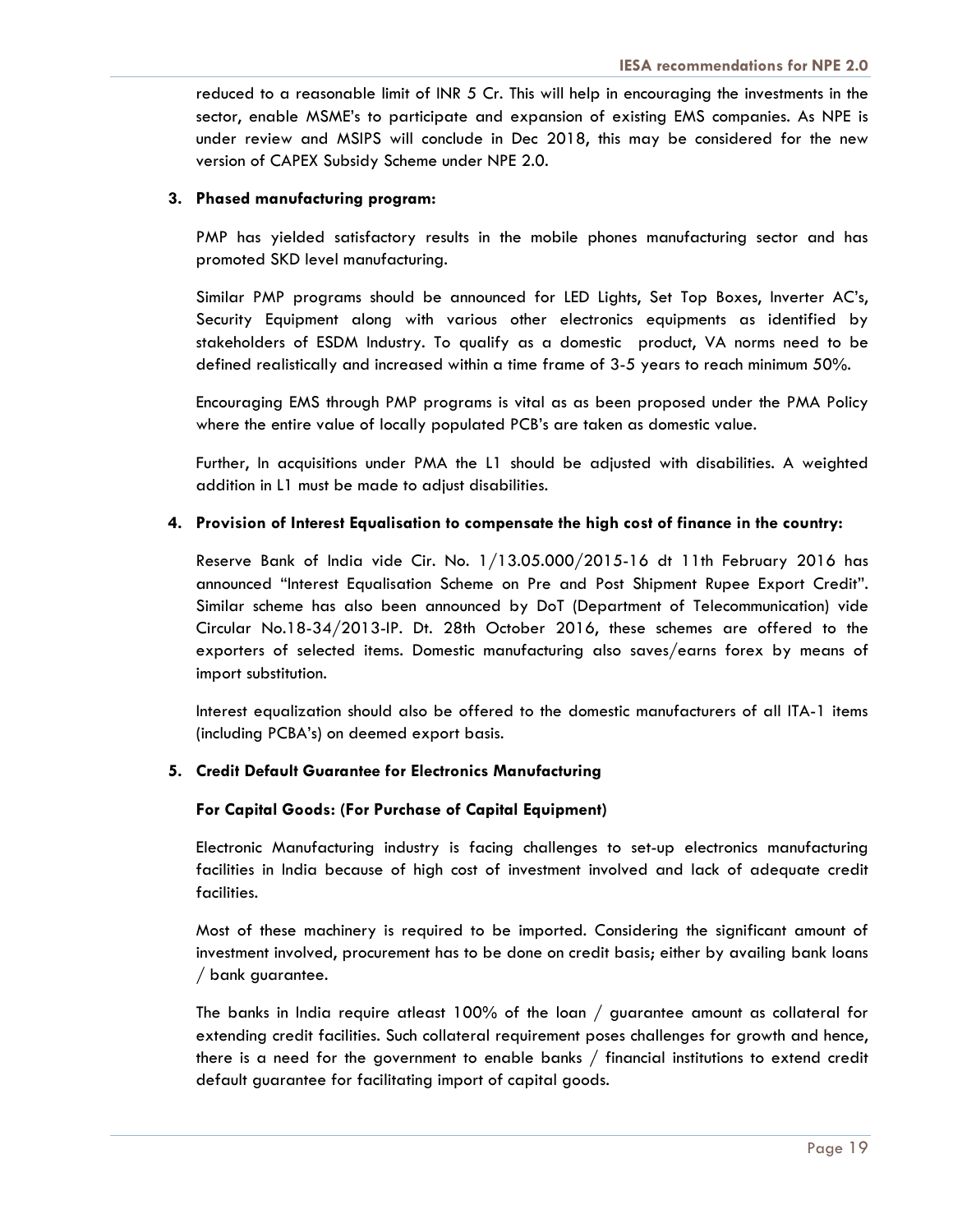reduced to a reasonable limit of INR 5 Cr. This will help in encouraging the investments in the sector, enable MSME's to participate and expansion of existing EMS companies. As NPE is under review and MSIPS will conclude in Dec 2018, this may be considered for the new version of CAPEX Subsidy Scheme under NPE 2.0.

#### **3. Phased manufacturing program:**

PMP has yielded satisfactory results in the mobile phones manufacturing sector and has promoted SKD level manufacturing.

Similar PMP programs should be announced for LED Lights, Set Top Boxes, Inverter AC's, Security Equipment along with various other electronics equipments as identified by stakeholders of ESDM Industry. To qualify as a domestic product, VA norms need to be defined realistically and increased within a time frame of 3-5 years to reach minimum 50%.

Encouraging EMS through PMP programs is vital as as been proposed under the PMA Policy where the entire value of locally populated PCB's are taken as domestic value.

Further, In acquisitions under PMA the L1 should be adjusted with disabilities. A weighted addition in L1 must be made to adjust disabilities.

#### **4. Provision of Interest Equalisation to compensate the high cost of finance in the country:**

Reserve Bank of India vide Cir. No. 1/13.05.000/2015-16 dt 11th February 2016 has announced "Interest Equalisation Scheme on Pre and Post Shipment Rupee Export Credit". Similar scheme has also been announced by DoT (Department of Telecommunication) vide Circular No.18-34/2013-IP. Dt. 28th October 2016, these schemes are offered to the exporters of selected items. Domestic manufacturing also saves/earns forex by means of import substitution.

Interest equalization should also be offered to the domestic manufacturers of all ITA-1 items (including PCBA's) on deemed export basis.

#### **5. Credit Default Guarantee for Electronics Manufacturing**

#### **For Capital Goods: (For Purchase of Capital Equipment)**

Electronic Manufacturing industry is facing challenges to set-up electronics manufacturing facilities in India because of high cost of investment involved and lack of adequate credit facilities.

Most of these machinery is required to be imported. Considering the significant amount of investment involved, procurement has to be done on credit basis; either by availing bank loans / bank guarantee.

The banks in India require atleast 100% of the loan / guarantee amount as collateral for extending credit facilities. Such collateral requirement poses challenges for growth and hence, there is a need for the government to enable banks / financial institutions to extend credit default guarantee for facilitating import of capital goods.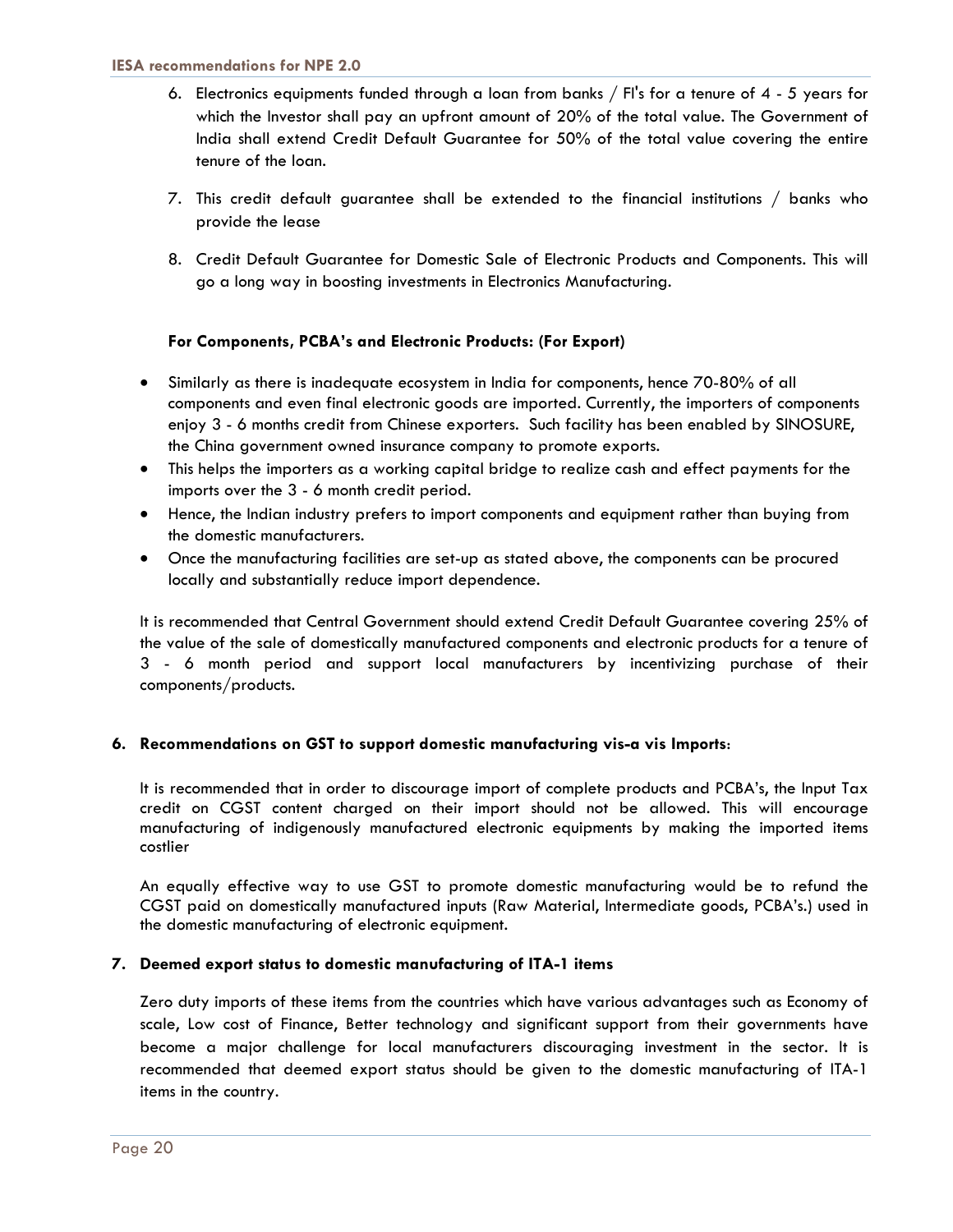- 6. Electronics equipments funded through a loan from banks / FI's for a tenure of 4 5 years for which the Investor shall pay an upfront amount of 20% of the total value. The Government of India shall extend Credit Default Guarantee for 50% of the total value covering the entire tenure of the loan.
- 7. This credit default guarantee shall be extended to the financial institutions / banks who provide the lease
- 8. Credit Default Guarantee for Domestic Sale of Electronic Products and Components. This will go a long way in boosting investments in Electronics Manufacturing.

#### **For Components, PCBA's and Electronic Products: (For Export)**

- Similarly as there is inadequate ecosystem in India for components, hence 70-80% of all components and even final electronic goods are imported. Currently, the importers of components enjoy 3 - 6 months credit from Chinese exporters. Such facility has been enabled by SINOSURE, the China government owned insurance company to promote exports.
- This helps the importers as a working capital bridge to realize cash and effect payments for the imports over the 3 - 6 month credit period.
- Hence, the Indian industry prefers to import components and equipment rather than buying from the domestic manufacturers.
- Once the manufacturing facilities are set-up as stated above, the components can be procured locally and substantially reduce import dependence.

It is recommended that Central Government should extend Credit Default Guarantee covering 25% of the value of the sale of domestically manufactured components and electronic products for a tenure of 3 - 6 month period and support local manufacturers by incentivizing purchase of their components/products.

#### **6. Recommendations on GST to support domestic manufacturing vis-a vis Imports**:

It is recommended that in order to discourage import of complete products and PCBA's, the Input Tax credit on CGST content charged on their import should not be allowed. This will encourage manufacturing of indigenously manufactured electronic equipments by making the imported items costlier

An equally effective way to use GST to promote domestic manufacturing would be to refund the CGST paid on domestically manufactured inputs (Raw Material, Intermediate goods, PCBA's.) used in the domestic manufacturing of electronic equipment.

#### **7. Deemed export status to domestic manufacturing of ITA-1 items**

Zero duty imports of these items from the countries which have various advantages such as Economy of scale, Low cost of Finance, Better technology and significant support from their governments have become a major challenge for local manufacturers discouraging investment in the sector. It is recommended that deemed export status should be given to the domestic manufacturing of ITA-1 items in the country.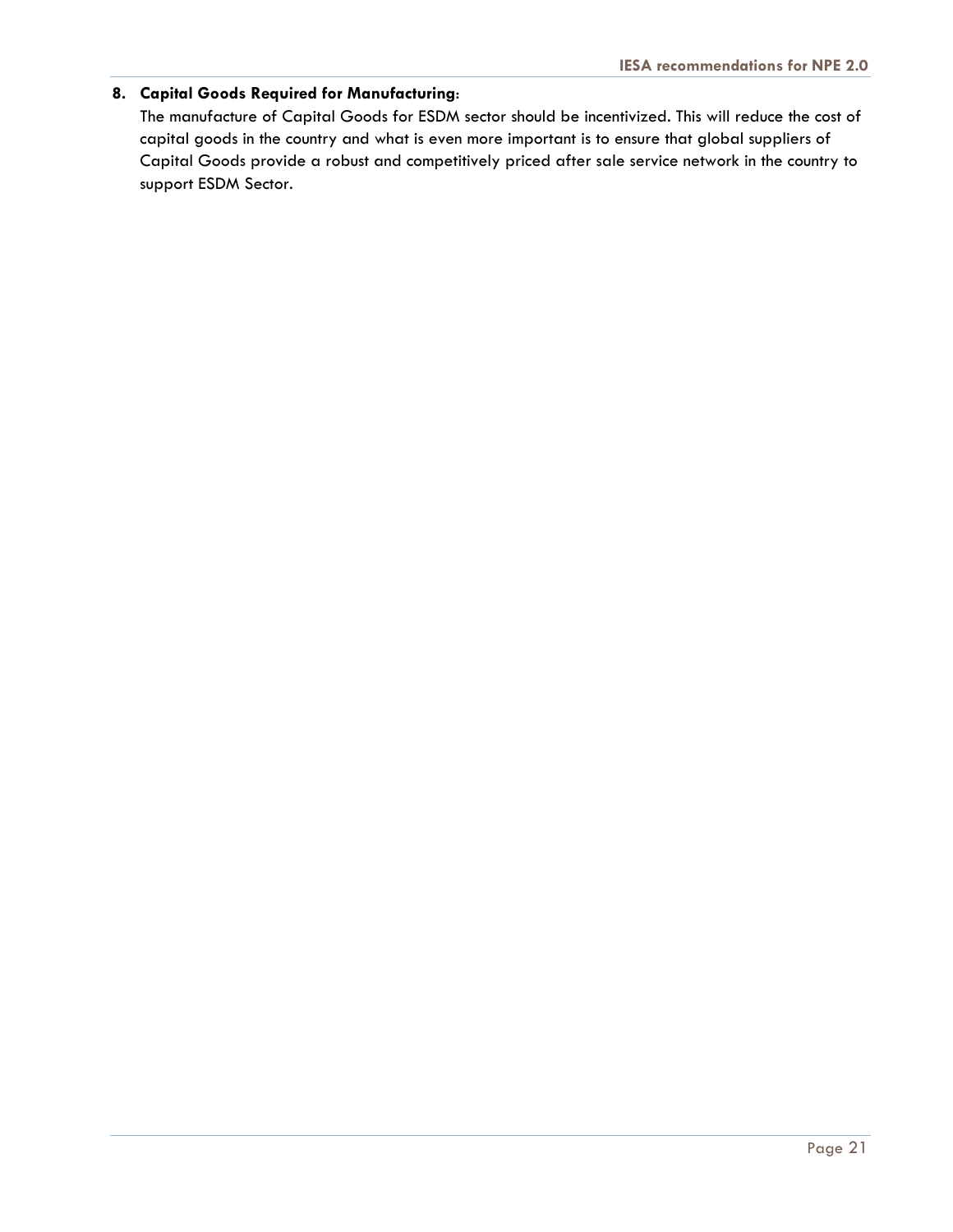#### **8. Capital Goods Required for Manufacturing**:

The manufacture of Capital Goods for ESDM sector should be incentivized. This will reduce the cost of capital goods in the country and what is even more important is to ensure that global suppliers of Capital Goods provide a robust and competitively priced after sale service network in the country to support ESDM Sector.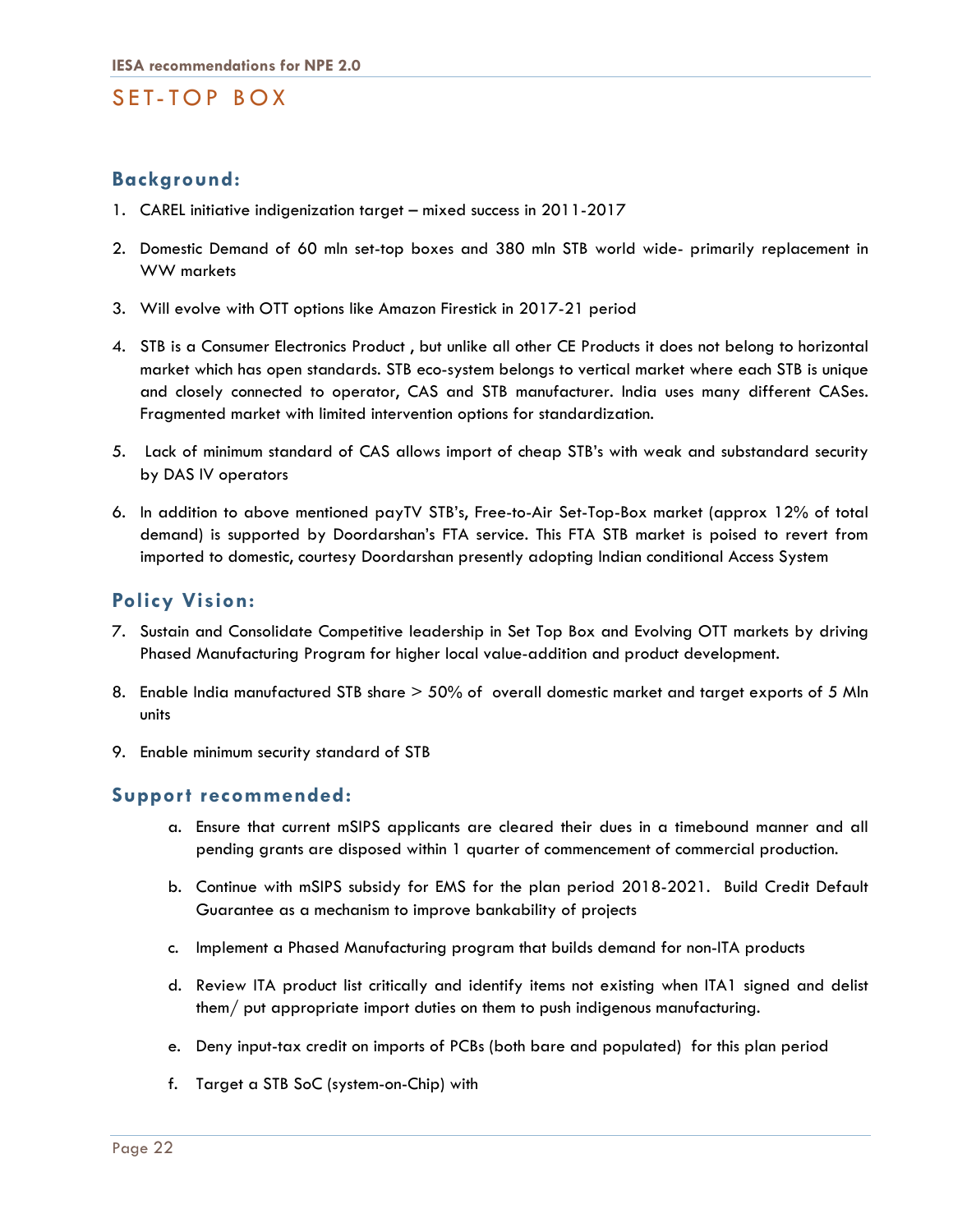## SET- TOP BOX

#### **Background:**

- 1. CAREL initiative indigenization target mixed success in 2011-2017
- 2. Domestic Demand of 60 mln set-top boxes and 380 mln STB world wide- primarily replacement in WW markets
- 3. Will evolve with OTT options like Amazon Firestick in 2017-21 period
- 4. STB is a Consumer Electronics Product , but unlike all other CE Products it does not belong to horizontal market which has open standards. STB eco-system belongs to vertical market where each STB is unique and closely connected to operator, CAS and STB manufacturer. India uses many different CASes. Fragmented market with limited intervention options for standardization.
- 5. Lack of minimum standard of CAS allows import of cheap STB's with weak and substandard security by DAS IV operators
- 6. In addition to above mentioned payTV STB's, Free-to-Air Set-Top-Box market (approx 12% of total demand) is supported by Doordarshan's FTA service. This FTA STB market is poised to revert from imported to domestic, courtesy Doordarshan presently adopting Indian conditional Access System

### **Policy Vision:**

- 7. Sustain and Consolidate Competitive leadership in Set Top Box and Evolving OTT markets by driving Phased Manufacturing Program for higher local value-addition and product development.
- 8. Enable India manufactured STB share > 50% of overall domestic market and target exports of 5 Mln units
- 9. Enable minimum security standard of STB

#### **Support recommended:**

- a. Ensure that current mSIPS applicants are cleared their dues in a timebound manner and all pending grants are disposed within 1 quarter of commencement of commercial production.
- b. Continue with mSIPS subsidy for EMS for the plan period 2018-2021. Build Credit Default Guarantee as a mechanism to improve bankability of projects
- c. Implement a Phased Manufacturing program that builds demand for non-ITA products
- d. Review ITA product list critically and identify items not existing when ITA1 signed and delist them/ put appropriate import duties on them to push indigenous manufacturing.
- e. Deny input-tax credit on imports of PCBs (both bare and populated) for this plan period
- f. Target a STB SoC (system-on-Chip) with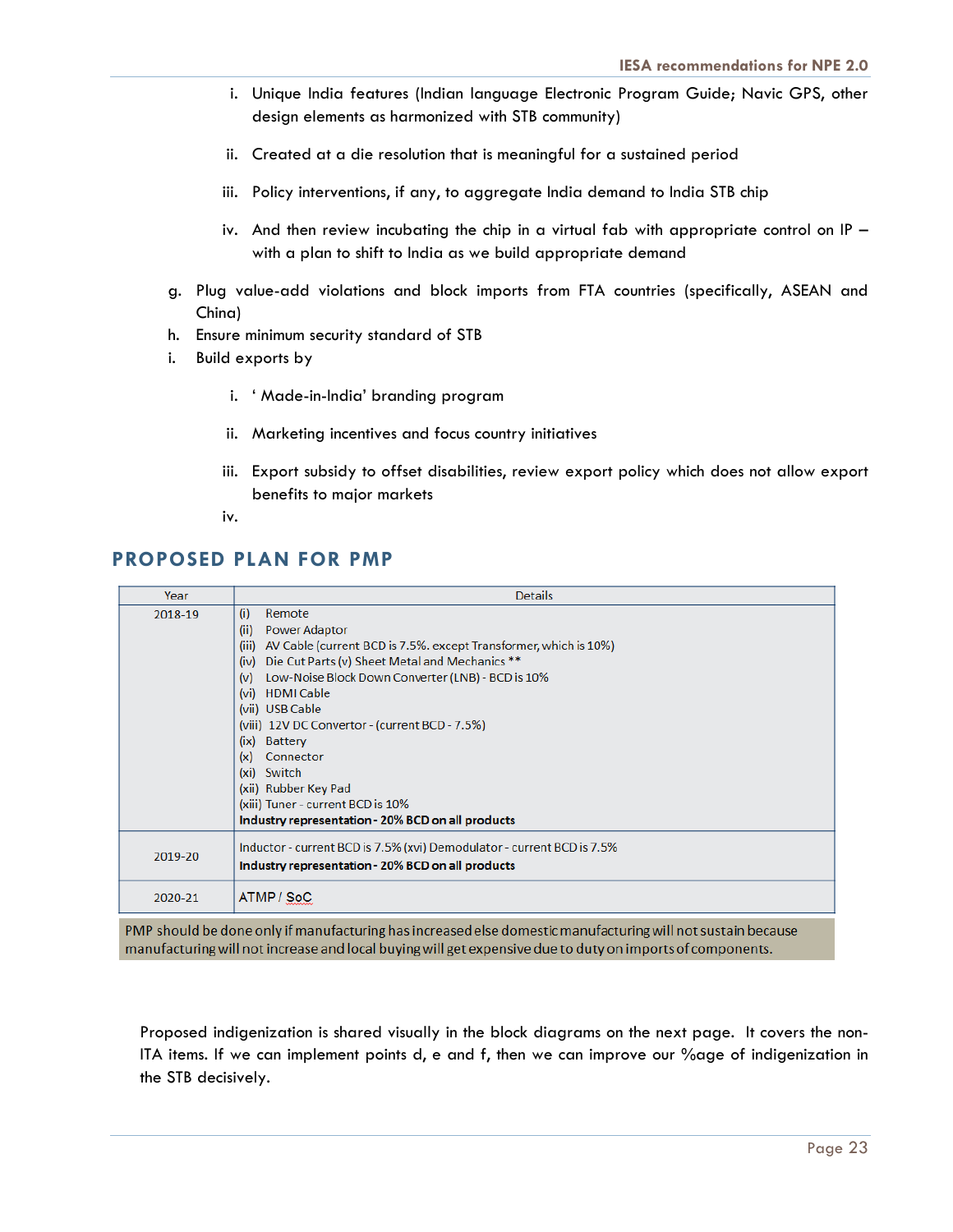- i. Unique India features (Indian language Electronic Program Guide; Navic GPS, other design elements as harmonized with STB community)
- ii. Created at a die resolution that is meaningful for a sustained period
- iii. Policy interventions, if any, to aggregate India demand to India STB chip
- iv. And then review incubating the chip in a virtual fab with appropriate control on IP with a plan to shift to India as we build appropriate demand
- g. Plug value-add violations and block imports from FTA countries (specifically, ASEAN and China)
- h. Ensure minimum security standard of STB
- i. Build exports by
	- i. ' Made-in-India' branding program
	- ii. Marketing incentives and focus country initiatives
	- iii. Export subsidy to offset disabilities, review export policy which does not allow export benefits to major markets
	- iv.

#### **PROPOSED PLAN FOR PMP**

| Year    | <b>Details</b>                                                            |
|---------|---------------------------------------------------------------------------|
| 2018-19 | (i)<br>Remote                                                             |
|         | <b>Power Adaptor</b><br>(ii)                                              |
|         | AV Cable (current BCD is 7.5%. except Transformer, which is 10%)<br>(iii) |
|         | (iv) Die Cut Parts (v) Sheet Metal and Mechanics **                       |
|         | Low-Noise Block Down Converter (LNB) - BCD is 10%<br>(v)                  |
|         | (vi) HDMI Cable                                                           |
|         | (vii) USB Cable                                                           |
|         | (viii) 12V DC Convertor - (current BCD - 7.5%)                            |
|         | (ix) Battery                                                              |
|         | Connector<br>(x)                                                          |
|         | (xi) Switch                                                               |
|         | (xii) Rubber Key Pad                                                      |
|         | (xiii) Tuner - current BCD is 10%                                         |
|         | Industry representation - 20% BCD on all products                         |
|         | Inductor - current BCD is 7.5% (xvi) Demodulator - current BCD is 7.5%    |
| 2019-20 | Industry representation - 20% BCD on all products                         |
|         |                                                                           |
| 2020-21 | ATMP / SoC                                                                |
|         |                                                                           |

PMP should be done only if manufacturing has increased else domestic manufacturing will not sustain because manufacturing will not increase and local buying will get expensive due to duty on imports of components.

Proposed indigenization is shared visually in the block diagrams on the next page. It covers the non-ITA items. If we can implement points d, e and f, then we can improve our  $\%$  age of indigenization in the STB decisively.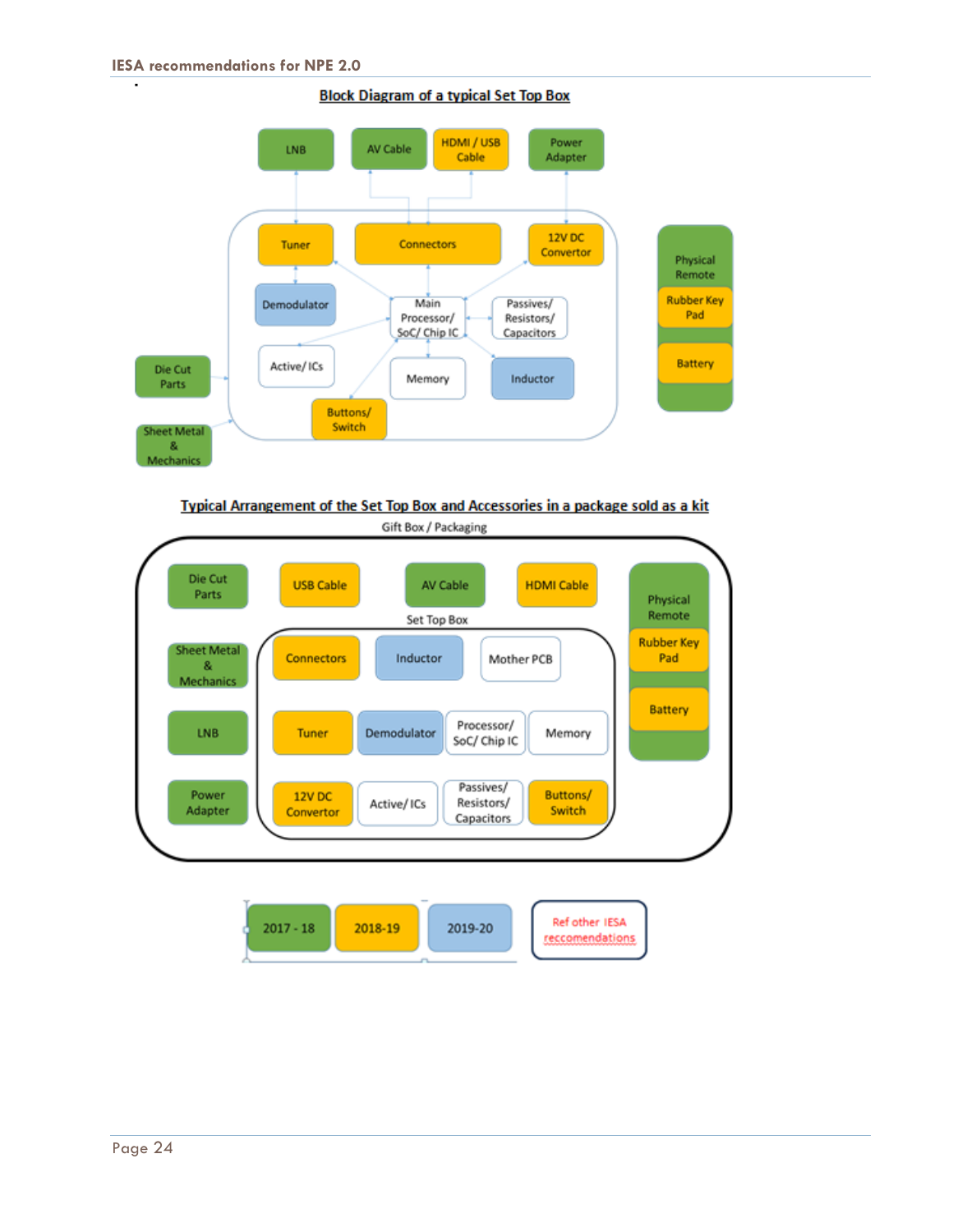$\mathbf{r}$ 

**Block Diagram of a typical Set Top Box** 



Typical Arrangement of the Set Top Box and Accessories in a package sold as a kit

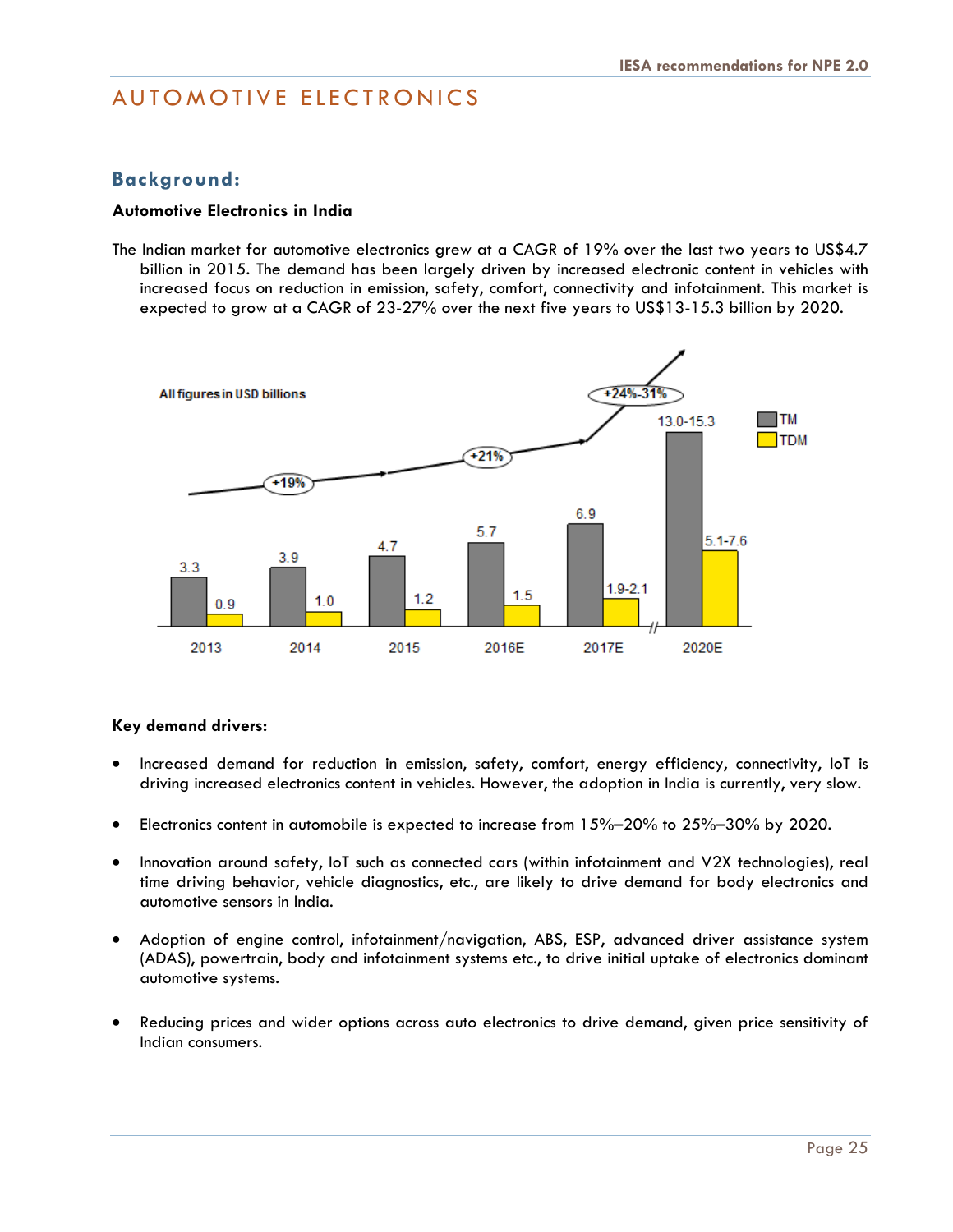## **AUTOMOTIVE ELECTRONICS**

#### **Background:**

#### **Automotive Electronics in India**

The Indian market for automotive electronics grew at a CAGR of 19% over the last two years to US\$4.7 billion in 2015. The demand has been largely driven by increased electronic content in vehicles with increased focus on reduction in emission, safety, comfort, connectivity and infotainment. This market is expected to grow at a CAGR of 23-27% over the next five years to US\$13-15.3 billion by 2020.



#### **Key demand drivers:**

- Increased demand for reduction in emission, safety, comfort, energy efficiency, connectivity, IoT is driving increased electronics content in vehicles. However, the adoption in India is currently, very slow.
- Electronics content in automobile is expected to increase from 15%–20% to 25%–30% by 2020.
- Innovation around safety, IoT such as connected cars (within infotainment and V2X technologies), real time driving behavior, vehicle diagnostics, etc., are likely to drive demand for body electronics and automotive sensors in India.
- Adoption of engine control, infotainment/navigation, ABS, ESP, advanced driver assistance system (ADAS), powertrain, body and infotainment systems etc., to drive initial uptake of electronics dominant automotive systems.
- Reducing prices and wider options across auto electronics to drive demand, given price sensitivity of Indian consumers.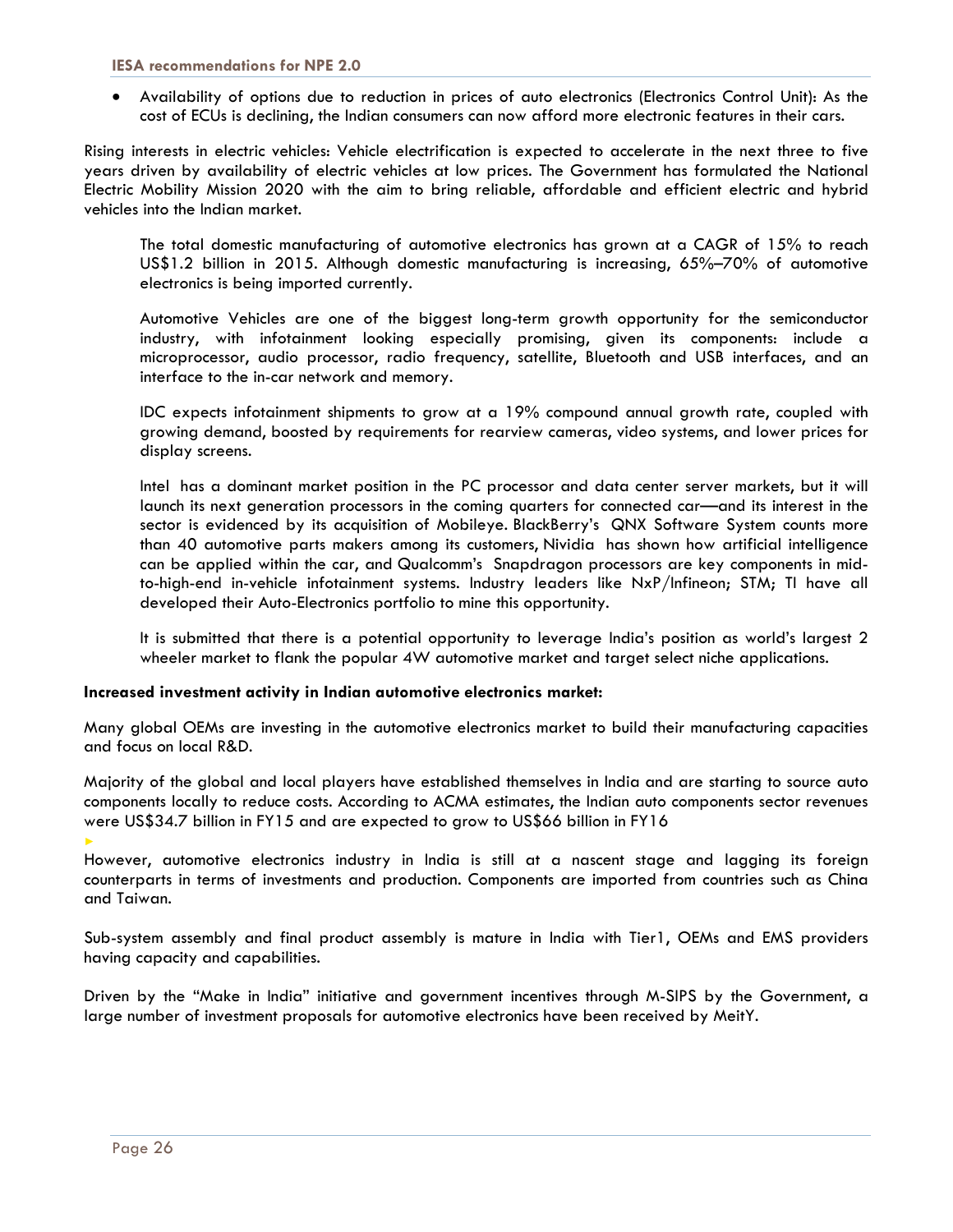• Availability of options due to reduction in prices of auto electronics (Electronics Control Unit): As the cost of ECUs is declining, the Indian consumers can now afford more electronic features in their cars.

Rising interests in electric vehicles: Vehicle electrification is expected to accelerate in the next three to five years driven by availability of electric vehicles at low prices. The Government has formulated the National Electric Mobility Mission 2020 with the aim to bring reliable, affordable and efficient electric and hybrid vehicles into the Indian market.

The total domestic manufacturing of automotive electronics has grown at a CAGR of 15% to reach US\$1.2 billion in 2015. Although domestic manufacturing is increasing, 65%–70% of automotive electronics is being imported currently.

Automotive Vehicles are one of the biggest long-term growth opportunity for the semiconductor industry, with infotainment looking especially promising, given its components: include a microprocessor, audio processor, radio frequency, satellite, Bluetooth and USB interfaces, and an interface to the in-car network and memory.

IDC expects infotainment shipments to grow at a 19% compound annual growth rate, coupled with growing demand, boosted by requirements for rearview cameras, video systems, and lower prices for display screens.

Intel has a dominant market position in the PC processor and data center server markets, but it will launch its next generation processors in the coming quarters for connected car—and its interest in the sector is evidenced by its acquisition of Mobileye. BlackBerry's QNX Software System counts more than 40 automotive parts makers among its customers, Nividia has shown how artificial intelligence can be applied within the car, and Qualcomm's Snapdragon processors are key components in midto-high-end in-vehicle infotainment systems. Industry leaders like NxP/Infineon; STM; TI have all developed their Auto-Electronics portfolio to mine this opportunity.

It is submitted that there is a potential opportunity to leverage India's position as world's largest 2 wheeler market to flank the popular 4W automotive market and target select niche applications.

#### **Increased investment activity in Indian automotive electronics market:**

Many global OEMs are investing in the automotive electronics market to build their manufacturing capacities and focus on local R&D.

Majority of the global and local players have established themselves in India and are starting to source auto components locally to reduce costs. According to ACMA estimates, the Indian auto components sector revenues were US\$34.7 billion in FY15 and are expected to grow to US\$66 billion in FY16

►

However, automotive electronics industry in India is still at a nascent stage and lagging its foreign counterparts in terms of investments and production. Components are imported from countries such as China and Taiwan.

Sub-system assembly and final product assembly is mature in India with Tier1, OEMs and EMS providers having capacity and capabilities.

Driven by the "Make in India" initiative and government incentives through M-SIPS by the Government, a large number of investment proposals for automotive electronics have been received by MeitY.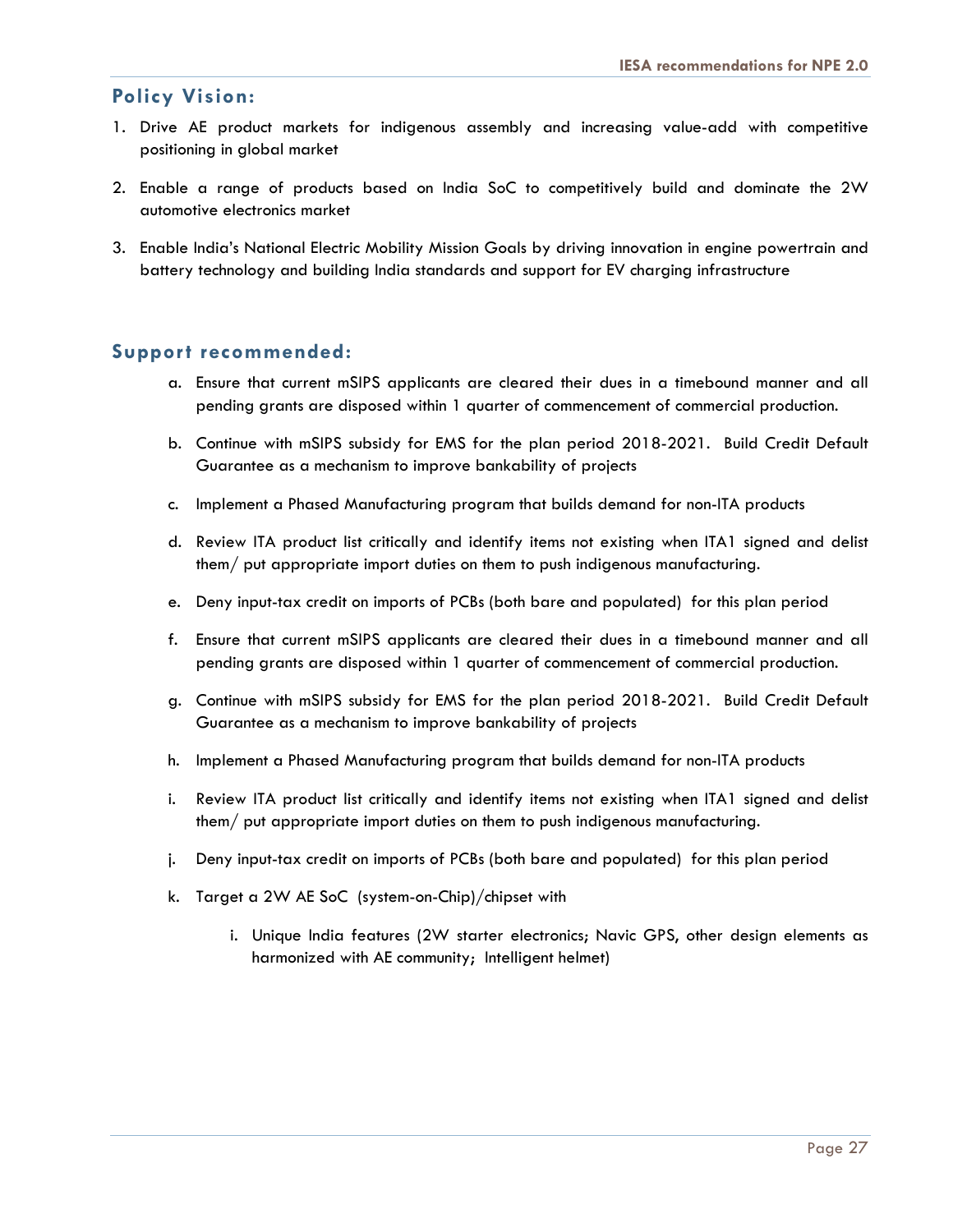## **Policy Vision:**

- 1. Drive AE product markets for indigenous assembly and increasing value-add with competitive positioning in global market
- 2. Enable a range of products based on India SoC to competitively build and dominate the 2W automotive electronics market
- 3. Enable India's National Electric Mobility Mission Goals by driving innovation in engine powertrain and battery technology and building India standards and support for EV charging infrastructure

#### **Support recommended:**

- a. Ensure that current mSIPS applicants are cleared their dues in a timebound manner and all pending grants are disposed within 1 quarter of commencement of commercial production.
- b. Continue with mSIPS subsidy for EMS for the plan period 2018-2021. Build Credit Default Guarantee as a mechanism to improve bankability of projects
- c. Implement a Phased Manufacturing program that builds demand for non-ITA products
- d. Review ITA product list critically and identify items not existing when ITA1 signed and delist them/ put appropriate import duties on them to push indigenous manufacturing.
- e. Deny input-tax credit on imports of PCBs (both bare and populated) for this plan period
- f. Ensure that current mSIPS applicants are cleared their dues in a timebound manner and all pending grants are disposed within 1 quarter of commencement of commercial production.
- g. Continue with mSIPS subsidy for EMS for the plan period 2018-2021. Build Credit Default Guarantee as a mechanism to improve bankability of projects
- h. Implement a Phased Manufacturing program that builds demand for non-ITA products
- i. Review ITA product list critically and identify items not existing when ITA1 signed and delist them/ put appropriate import duties on them to push indigenous manufacturing.
- j. Deny input-tax credit on imports of PCBs (both bare and populated) for this plan period
- k. Target a 2W AE SoC (system-on-Chip)/chipset with
	- i. Unique India features (2W starter electronics; Navic GPS, other design elements as harmonized with AE community; Intelligent helmet)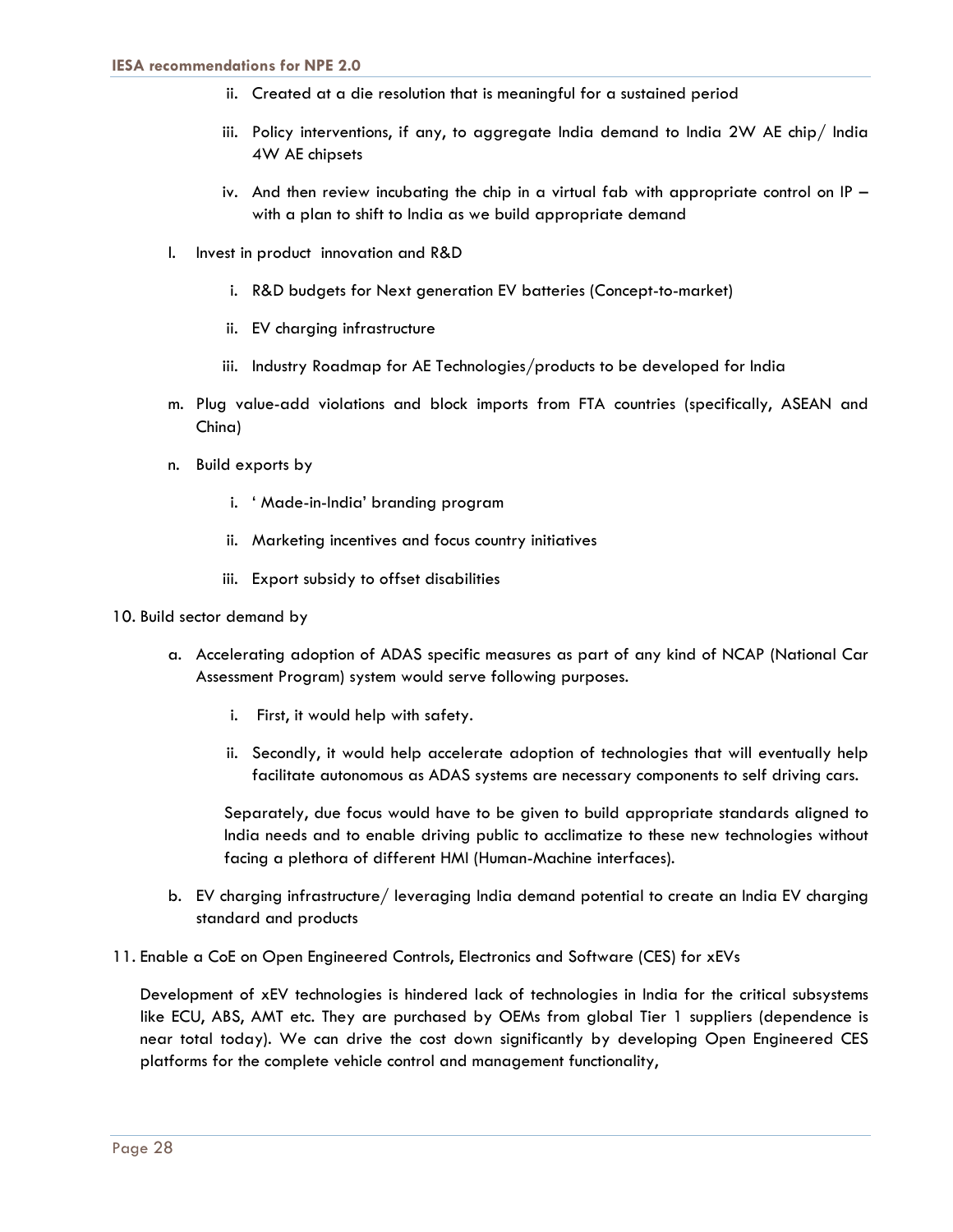- ii. Created at a die resolution that is meaningful for a sustained period
- iii. Policy interventions, if any, to aggregate India demand to India 2W AE chip/ India 4W AE chipsets
- iv. And then review incubating the chip in a virtual fab with appropriate control on IP with a plan to shift to India as we build appropriate demand
- l. Invest in product innovation and R&D
	- i. R&D budgets for Next generation EV batteries (Concept-to-market)
	- ii. EV charging infrastructure
	- iii. Industry Roadmap for AE Technologies/products to be developed for India
- m. Plug value-add violations and block imports from FTA countries (specifically, ASEAN and China)
- n. Build exports by
	- i. ' Made-in-India' branding program
	- ii. Marketing incentives and focus country initiatives
	- iii. Export subsidy to offset disabilities
- 10. Build sector demand by
	- a. Accelerating adoption of ADAS specific measures as part of any kind of NCAP (National Car Assessment Program) system would serve following purposes.
		- i. First, it would help with safety.
		- ii. Secondly, it would help accelerate adoption of technologies that will eventually help facilitate autonomous as ADAS systems are necessary components to self driving cars.

Separately, due focus would have to be given to build appropriate standards aligned to India needs and to enable driving public to acclimatize to these new technologies without facing a plethora of different HMI (Human-Machine interfaces).

- b. EV charging infrastructure/ leveraging India demand potential to create an India EV charging standard and products
- 11. Enable a CoE on Open Engineered Controls, Electronics and Software (CES) for xEVs

Development of xEV technologies is hindered lack of technologies in India for the critical subsystems like ECU, ABS, AMT etc. They are purchased by OEMs from global Tier 1 suppliers (dependence is near total today). We can drive the cost down significantly by developing Open Engineered CES platforms for the complete vehicle control and management functionality,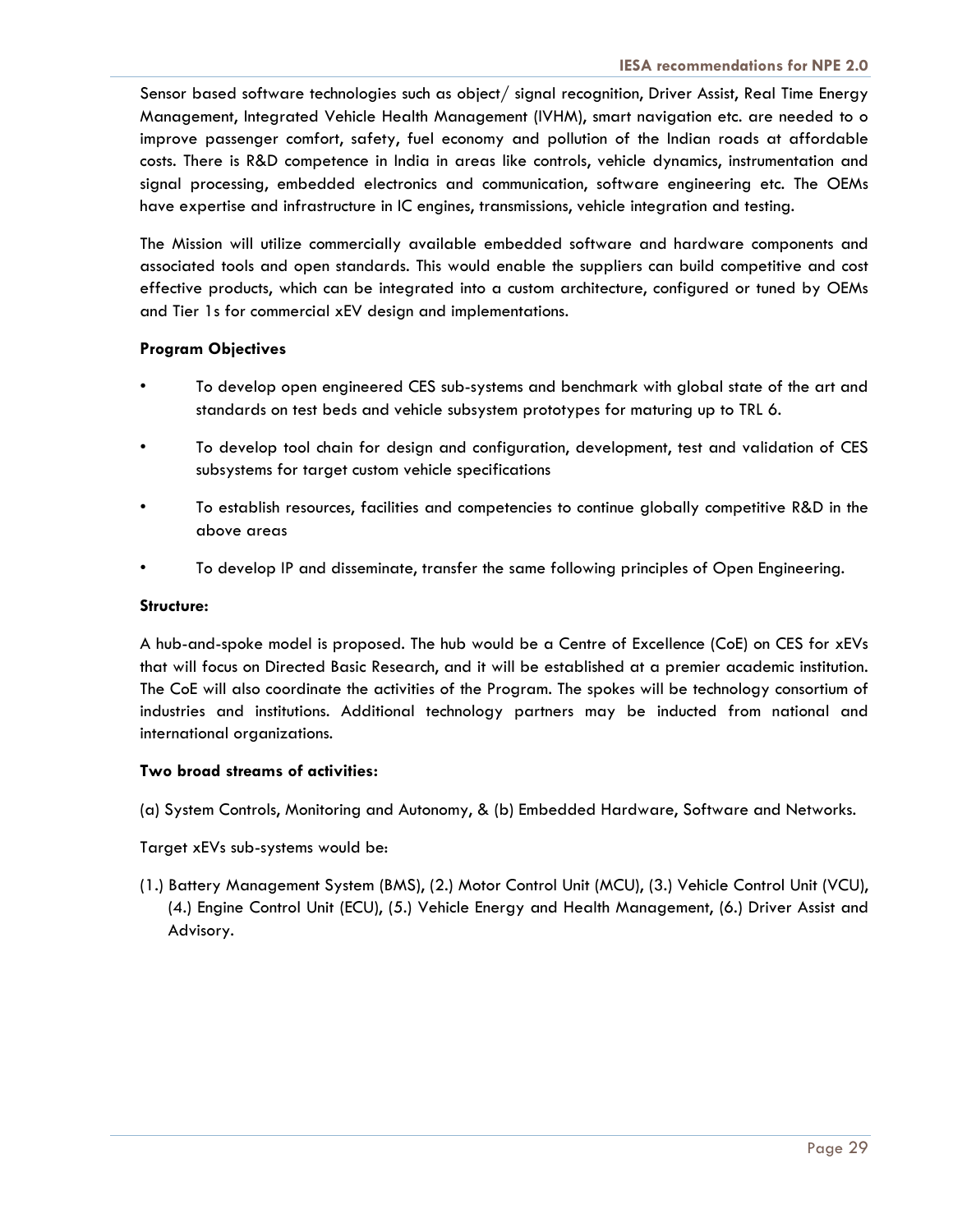Sensor based software technologies such as object/ signal recognition, Driver Assist, Real Time Energy Management, Integrated Vehicle Health Management (IVHM), smart navigation etc. are needed to o improve passenger comfort, safety, fuel economy and pollution of the Indian roads at affordable costs. There is R&D competence in India in areas like controls, vehicle dynamics, instrumentation and signal processing, embedded electronics and communication, software engineering etc. The OEMs have expertise and infrastructure in IC engines, transmissions, vehicle integration and testing.

The Mission will utilize commercially available embedded software and hardware components and associated tools and open standards. This would enable the suppliers can build competitive and cost effective products, which can be integrated into a custom architecture, configured or tuned by OEMs and Tier 1s for commercial xEV design and implementations.

#### **Program Objectives**

- To develop open engineered CES sub-systems and benchmark with global state of the art and standards on test beds and vehicle subsystem prototypes for maturing up to TRL 6.
- To develop tool chain for design and configuration, development, test and validation of CES subsystems for target custom vehicle specifications
- To establish resources, facilities and competencies to continue globally competitive R&D in the above areas
- To develop IP and disseminate, transfer the same following principles of Open Engineering.

#### **Structure:**

A hub-and-spoke model is proposed. The hub would be a Centre of Excellence (CoE) on CES for xEVs that will focus on Directed Basic Research, and it will be established at a premier academic institution. The CoE will also coordinate the activities of the Program. The spokes will be technology consortium of industries and institutions. Additional technology partners may be inducted from national and international organizations.

#### **Two broad streams of activities:**

(a) System Controls, Monitoring and Autonomy, & (b) Embedded Hardware, Software and Networks.

Target xEVs sub-systems would be:

(1.) Battery Management System (BMS), (2.) Motor Control Unit (MCU), (3.) Vehicle Control Unit (VCU), (4.) Engine Control Unit (ECU), (5.) Vehicle Energy and Health Management, (6.) Driver Assist and Advisory.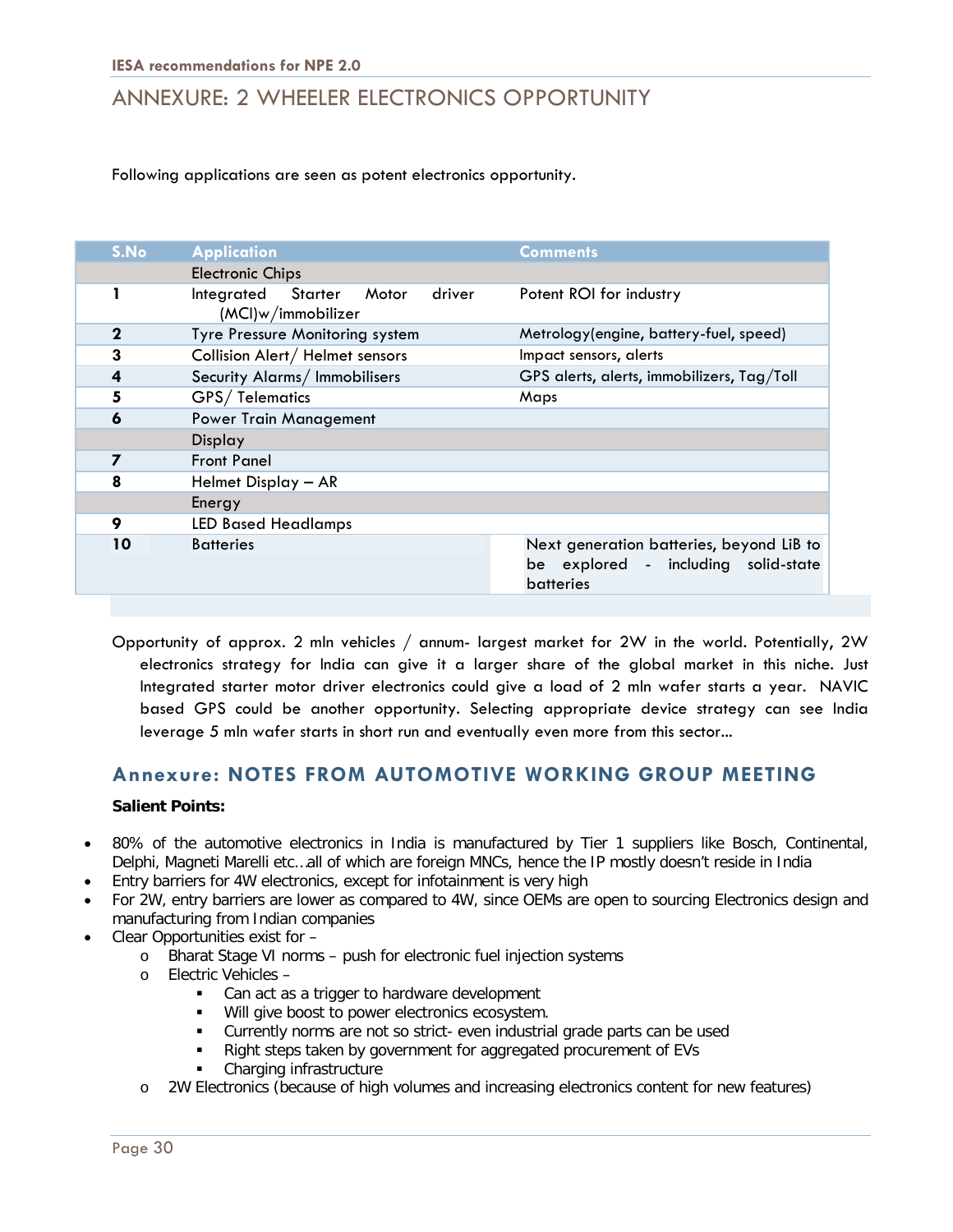## ANNEXURE: 2 WHEELER ELECTRONICS OPPORTUNITY

Following applications are seen as potent electronics opportunity.

| S.No        | <b>Application</b>                                          | Comments                                                                                     |
|-------------|-------------------------------------------------------------|----------------------------------------------------------------------------------------------|
|             | <b>Electronic Chips</b>                                     |                                                                                              |
|             | driver<br>Integrated Starter<br>Motor<br>(MCI)w/immobilizer | Potent ROI for industry                                                                      |
| $\mathbf 2$ | Tyre Pressure Monitoring system                             | Metrology(engine, battery-fuel, speed)                                                       |
| 3           | Collision Alert/ Helmet sensors                             | Impact sensors, alerts                                                                       |
| 4           | Security Alarms/ Immobilisers                               | GPS alerts, alerts, immobilizers, Tag/Toll                                                   |
| 5           | GPS/Telematics                                              | Maps                                                                                         |
| 6           | Power Train Management                                      |                                                                                              |
|             | Display                                                     |                                                                                              |
| 7           | <b>Front Panel</b>                                          |                                                                                              |
| 8           | Helmet Display - AR                                         |                                                                                              |
|             | Energy                                                      |                                                                                              |
| 9           | <b>LED Based Headlamps</b>                                  |                                                                                              |
| 10          | <b>Batteries</b>                                            | Next generation batteries, beyond LiB to<br>be explored - including solid-state<br>batteries |

Opportunity of approx. 2 mln vehicles / annum- largest market for 2W in the world. Potentially, 2W electronics strategy for India can give it a larger share of the global market in this niche. Just Integrated starter motor driver electronics could give a load of 2 mln wafer starts a year. NAVIC based GPS could be another opportunity. Selecting appropriate device strategy can see India leverage 5 mln wafer starts in short run and eventually even more from this sector...

#### **Annexure: NOTES FROM AUTOMOTIVE WORKING GROUP MEETING**

#### **Salient Points:**

- 80% of the automotive electronics in India is manufactured by Tier 1 suppliers like Bosch, Continental, Delphi, Magneti Marelli etc…all of which are foreign MNCs, hence the IP mostly doesn't reside in India
- Entry barriers for 4W electronics, except for infotainment is very high
- For 2W, entry barriers are lower as compared to 4W, since OEMs are open to sourcing Electronics design and manufacturing from Indian companies
- Clear Opportunities exist for
	- o Bharat Stage VI norms push for electronic fuel injection systems
	- o Electric Vehicles –<br>Can act as
		- Can act as a trigger to hardware development
		- **Will give boost to power electronics ecosystem.**
		- Currently norms are not so strict- even industrial grade parts can be used
		- **Right steps taken by government for aggregated procurement of EVs**
		- Charging infrastructure
	- o 2W Electronics (because of high volumes and increasing electronics content for new features)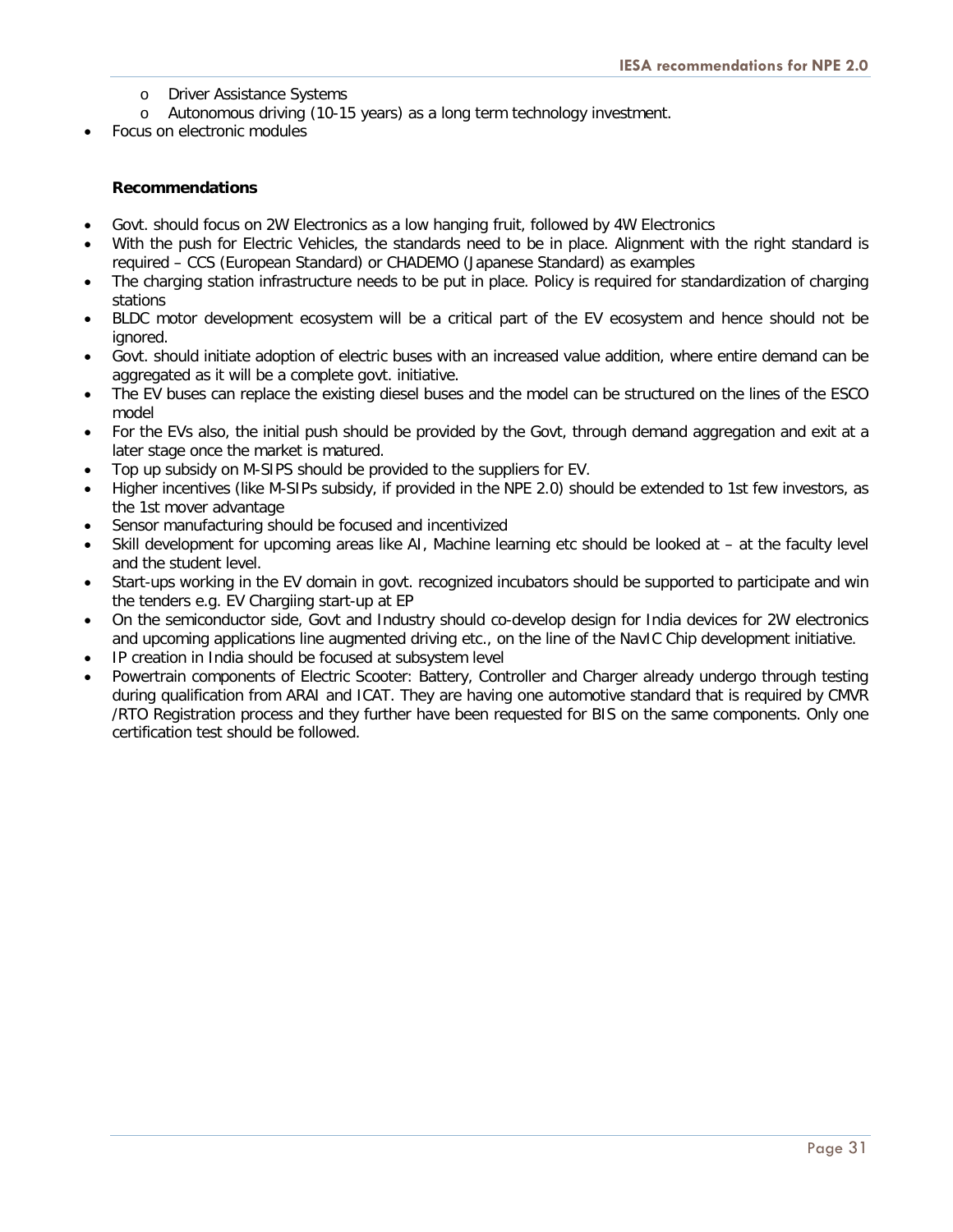- o Driver Assistance Systems
- o Autonomous driving (10-15 years) as a long term technology investment.
- Focus on electronic modules

#### **Recommendations**

- Govt. should focus on 2W Electronics as a low hanging fruit, followed by 4W Electronics
- With the push for Electric Vehicles, the standards need to be in place. Alignment with the right standard is required – CCS (European Standard) or CHADEMO (Japanese Standard) as examples
- The charging station infrastructure needs to be put in place. Policy is required for standardization of charging stations
- BLDC motor development ecosystem will be a critical part of the EV ecosystem and hence should not be ignored.
- Govt. should initiate adoption of electric buses with an increased value addition, where entire demand can be aggregated as it will be a complete govt. initiative.
- The EV buses can replace the existing diesel buses and the model can be structured on the lines of the ESCO model
- For the EVs also, the initial push should be provided by the Govt, through demand aggregation and exit at a later stage once the market is matured.
- Top up subsidy on M-SIPS should be provided to the suppliers for EV.
- Higher incentives (like M-SIPs subsidy, if provided in the NPE 2.0) should be extended to 1st few investors, as the 1st mover advantage
- Sensor manufacturing should be focused and incentivized
- Skill development for upcoming areas like AI, Machine learning etc should be looked at at the faculty level and the student level.
- Start-ups working in the EV domain in govt. recognized incubators should be supported to participate and win the tenders e.g. EV Chargiing start-up at EP
- On the semiconductor side, Govt and Industry should co-develop design for India devices for 2W electronics and upcoming applications line augmented driving etc., on the line of the NavIC Chip development initiative.
- IP creation in India should be focused at subsystem level
- Powertrain components of Electric Scooter: Battery, Controller and Charger already undergo through testing during qualification from ARAI and ICAT. They are having one automotive standard that is required by CMVR /RTO Registration process and they further have been requested for BIS on the same components. Only one certification test should be followed.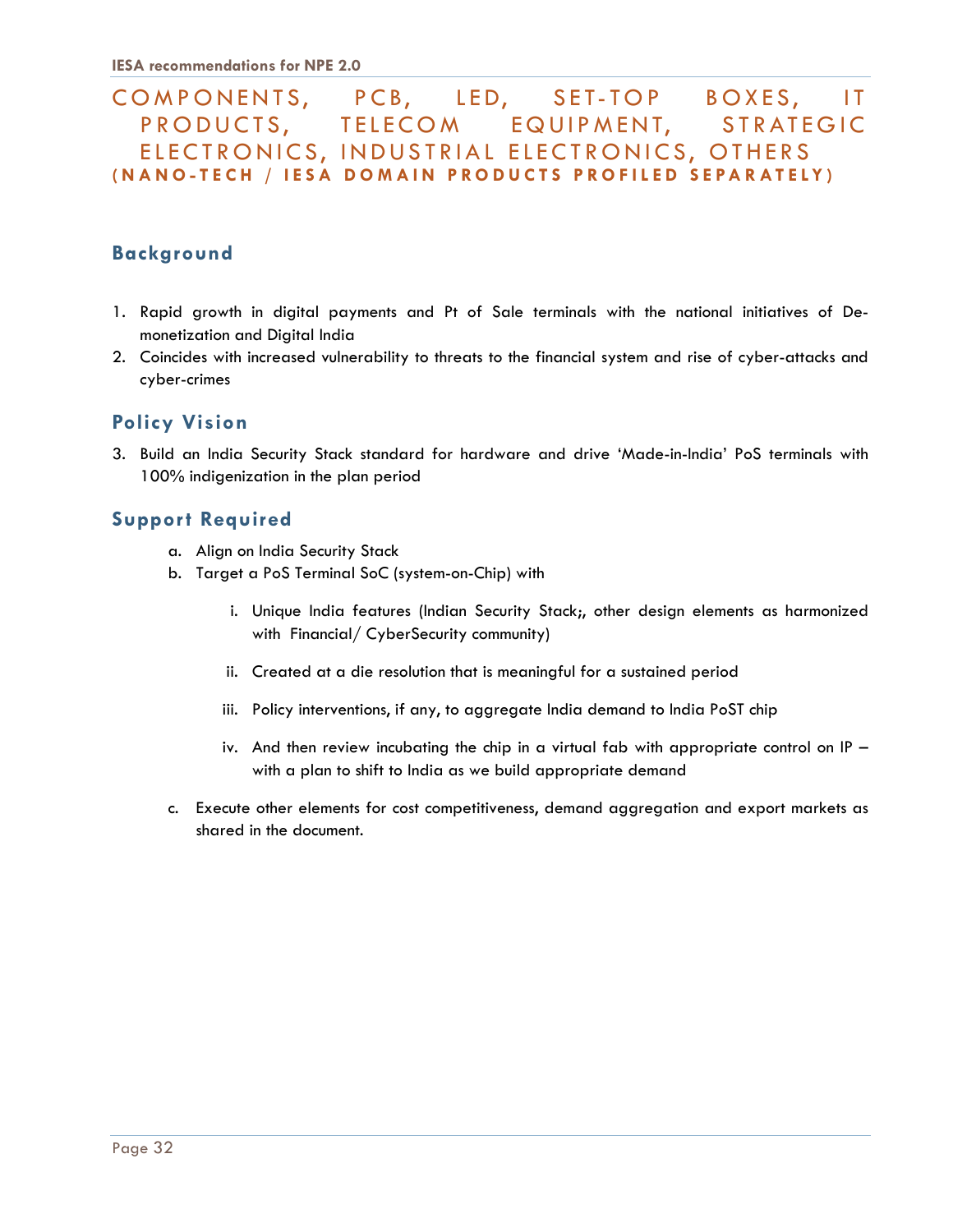## COMPONENTS, PCB, LED, SET- TOP BOXES, IT PRODUCTS, TELECOM EQ UIPMENT, STRATEGIC ELECTRONICS, INDUSTRIAL ELECTRONICS, OTHERS **(NANO - TECH / IESA DOMA IN PRODUCTS PROFILED SEPARATELY)**

### **Background**

- 1. Rapid growth in digital payments and Pt of Sale terminals with the national initiatives of Demonetization and Digital India
- 2. Coincides with increased vulnerability to threats to the financial system and rise of cyber-attacks and cyber-crimes

### **Policy Vision**

3. Build an India Security Stack standard for hardware and drive 'Made-in-India' PoS terminals with 100% indigenization in the plan period

#### **Support Required**

- a. Align on India Security Stack
- b. Target a PoS Terminal SoC (system-on-Chip) with
	- i. Unique India features (Indian Security Stack;, other design elements as harmonized with Financial/ CyberSecurity community)
	- ii. Created at a die resolution that is meaningful for a sustained period
	- iii. Policy interventions, if any, to aggregate India demand to India PoST chip
	- iv. And then review incubating the chip in a virtual fab with appropriate control on IP with a plan to shift to India as we build appropriate demand
- c. Execute other elements for cost competitiveness, demand aggregation and export markets as shared in the document.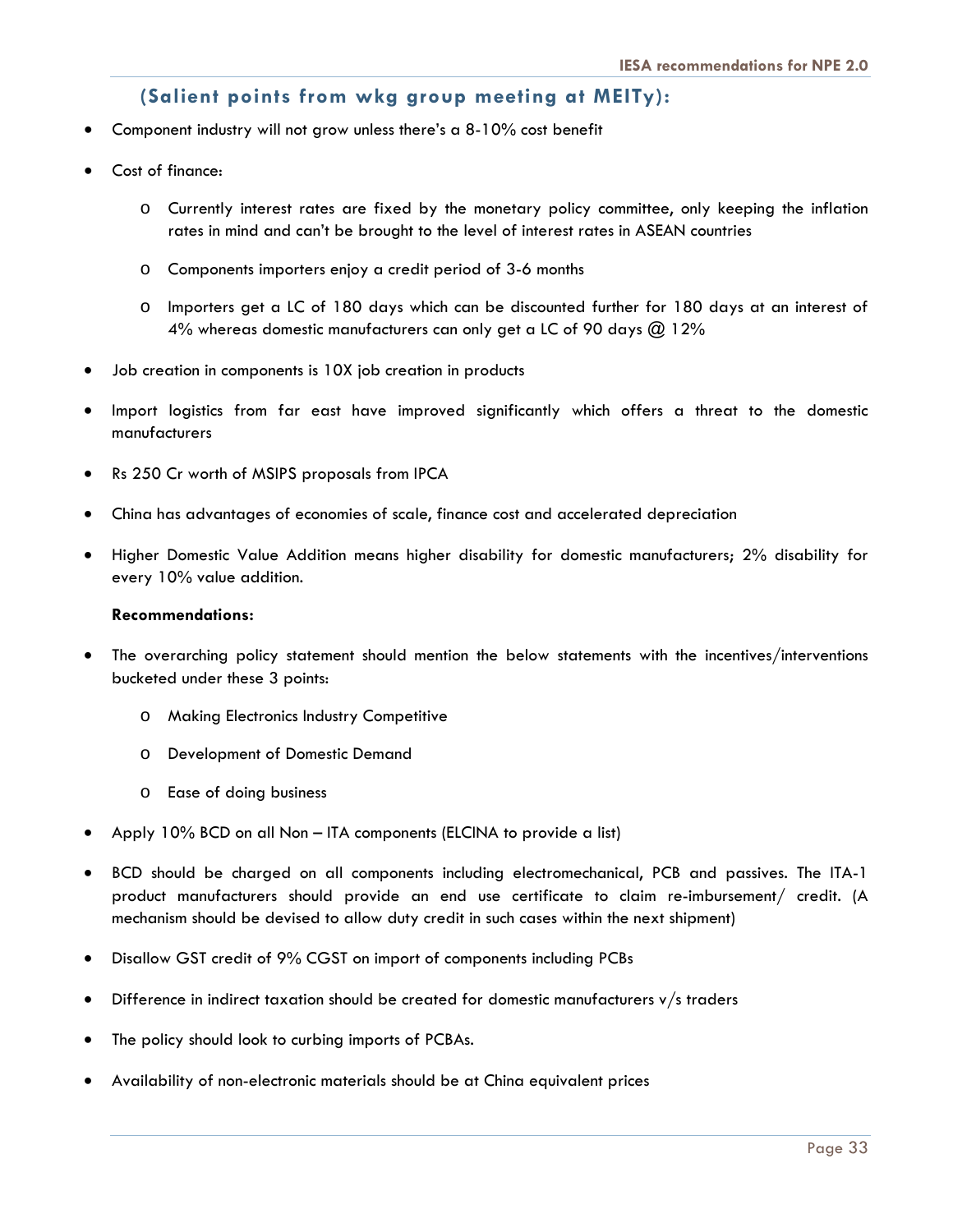#### **(Salient points from wkg group meeting at MEITy):**

- Component industry will not grow unless there's a 8-10% cost benefit
- Cost of finance:
	- o Currently interest rates are fixed by the monetary policy committee, only keeping the inflation rates in mind and can't be brought to the level of interest rates in ASEAN countries
	- o Components importers enjoy a credit period of 3-6 months
	- o Importers get a LC of 180 days which can be discounted further for 180 days at an interest of 4% whereas domestic manufacturers can only get a LC of 90 days  $(2)$  12%
- Job creation in components is 10X job creation in products
- Import logistics from far east have improved significantly which offers a threat to the domestic manufacturers
- Rs 250 Cr worth of MSIPS proposals from IPCA
- China has advantages of economies of scale, finance cost and accelerated depreciation
- Higher Domestic Value Addition means higher disability for domestic manufacturers; 2% disability for every 10% value addition.

#### **Recommendations:**

- The overarching policy statement should mention the below statements with the incentives/interventions bucketed under these 3 points:
	- o Making Electronics Industry Competitive
	- o Development of Domestic Demand
	- o Ease of doing business
- Apply 10% BCD on all Non ITA components (ELCINA to provide a list)
- BCD should be charged on all components including electromechanical, PCB and passives. The ITA-1 product manufacturers should provide an end use certificate to claim re-imbursement/ credit. (A mechanism should be devised to allow duty credit in such cases within the next shipment)
- Disallow GST credit of 9% CGST on import of components including PCBs
- Difference in indirect taxation should be created for domestic manufacturers v/s traders
- The policy should look to curbing imports of PCBAs.
- Availability of non-electronic materials should be at China equivalent prices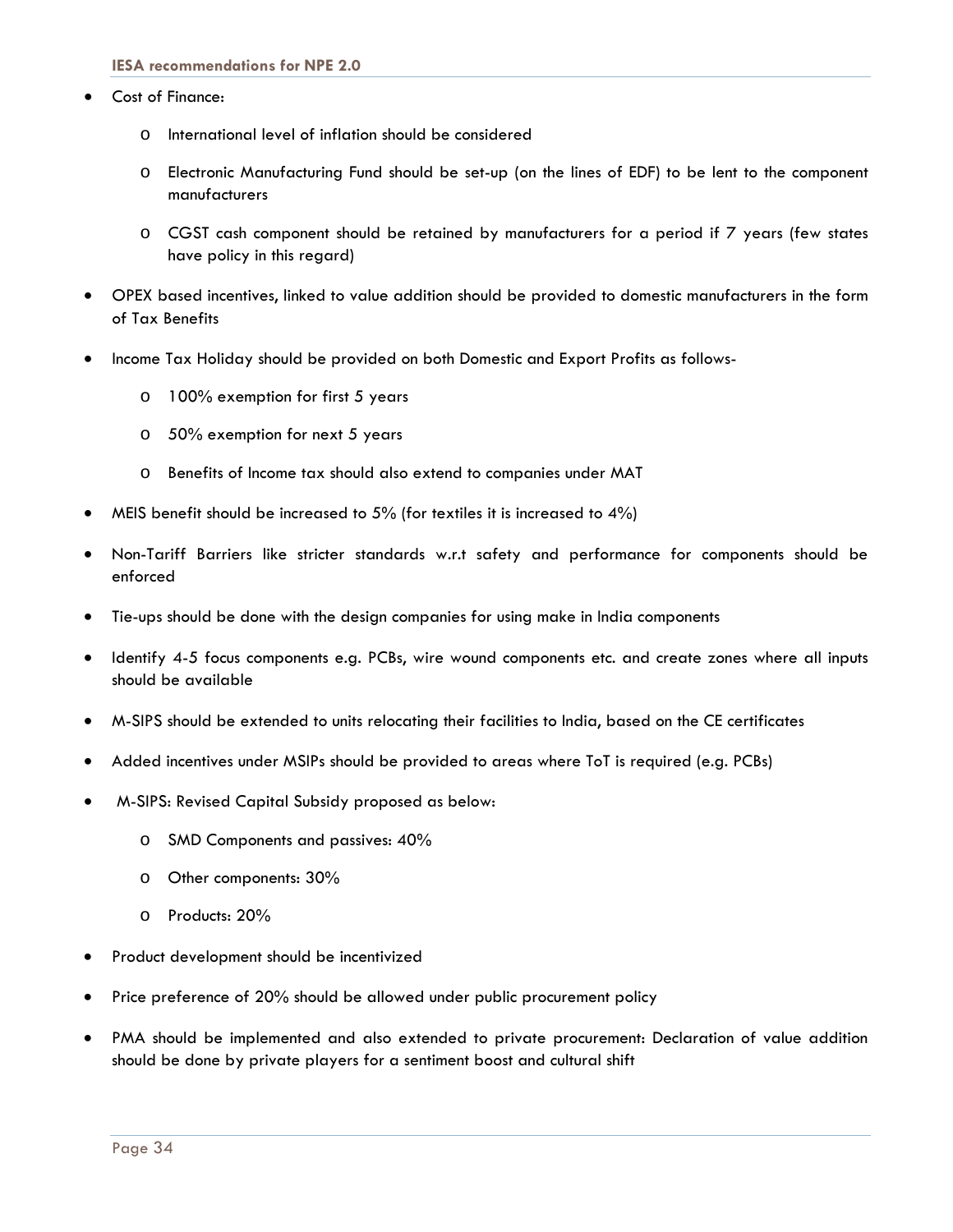- Cost of Finance:
	- o International level of inflation should be considered
	- o Electronic Manufacturing Fund should be set-up (on the lines of EDF) to be lent to the component manufacturers
	- o CGST cash component should be retained by manufacturers for a period if 7 years (few states have policy in this regard)
- OPEX based incentives, linked to value addition should be provided to domestic manufacturers in the form of Tax Benefits
- Income Tax Holiday should be provided on both Domestic and Export Profits as follows
	- o 100% exemption for first 5 years
	- o 50% exemption for next 5 years
	- o Benefits of Income tax should also extend to companies under MAT
- MEIS benefit should be increased to  $5\%$  (for textiles it is increased to  $4\%$ )
- Non-Tariff Barriers like stricter standards w.r.t safety and performance for components should be enforced
- Tie-ups should be done with the design companies for using make in India components
- Identify 4-5 focus components e.g. PCBs, wire wound components etc. and create zones where all inputs should be available
- M-SIPS should be extended to units relocating their facilities to India, based on the CE certificates
- Added incentives under MSIPs should be provided to areas where ToT is required (e.g. PCBs)
- M-SIPS: Revised Capital Subsidy proposed as below:
	- o SMD Components and passives: 40%
	- o Other components: 30%
	- o Products: 20%
- Product development should be incentivized
- Price preference of 20% should be allowed under public procurement policy
- PMA should be implemented and also extended to private procurement: Declaration of value addition should be done by private players for a sentiment boost and cultural shift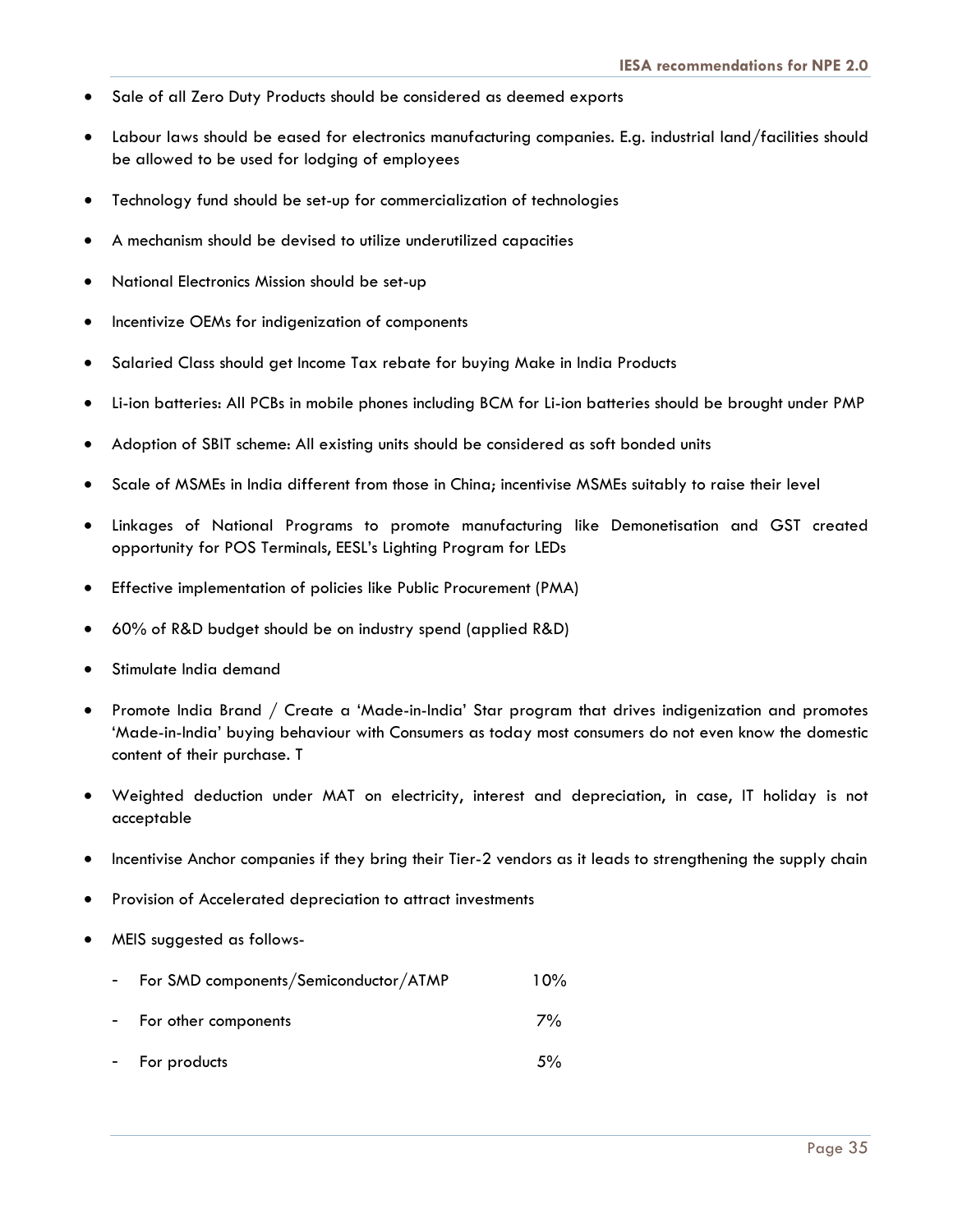- Sale of all Zero Duty Products should be considered as deemed exports
- Labour laws should be eased for electronics manufacturing companies. E.g. industrial land/facilities should be allowed to be used for lodging of employees
- Technology fund should be set-up for commercialization of technologies
- A mechanism should be devised to utilize underutilized capacities
- National Electronics Mission should be set-up
- Incentivize OEMs for indigenization of components
- Salaried Class should get Income Tax rebate for buying Make in India Products
- Li-ion batteries: All PCBs in mobile phones including BCM for Li-ion batteries should be brought under PMP
- Adoption of SBIT scheme: All existing units should be considered as soft bonded units
- Scale of MSMEs in India different from those in China; incentivise MSMEs suitably to raise their level
- Linkages of National Programs to promote manufacturing like Demonetisation and GST created opportunity for POS Terminals, EESL's Lighting Program for LEDs
- Effective implementation of policies like Public Procurement (PMA)
- 60% of R&D budget should be on industry spend (applied R&D)
- Stimulate India demand
- Promote India Brand / Create a 'Made-in-India' Star program that drives indigenization and promotes 'Made-in-India' buying behaviour with Consumers as today most consumers do not even know the domestic content of their purchase. T
- Weighted deduction under MAT on electricity, interest and depreciation, in case, IT holiday is not acceptable
- Incentivise Anchor companies if they bring their Tier-2 vendors as it leads to strengthening the supply chain
- Provision of Accelerated depreciation to attract investments
- MEIS suggested as follows-

| $\sim 100$ | For SMD components/Semiconductor/ATMP | 10%    |
|------------|---------------------------------------|--------|
|            | - For other components                | $7\%$  |
|            | - For products                        | $.5\%$ |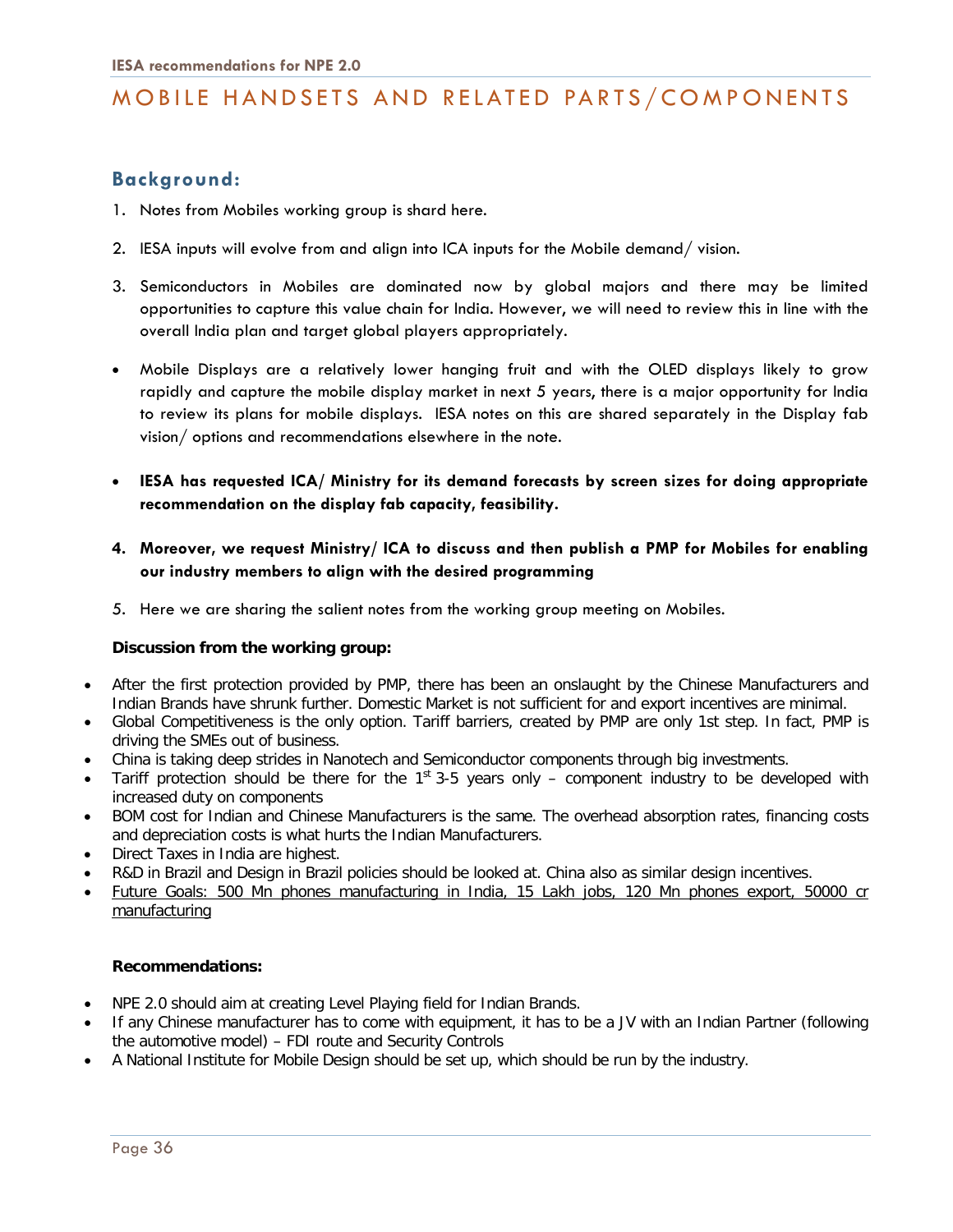# MOBILE HANDSETS AND RELATED PARTS/COMPONENTS

#### **Background:**

- 1. Notes from Mobiles working group is shard here.
- 2. IESA inputs will evolve from and align into ICA inputs for the Mobile demand/ vision.
- 3. Semiconductors in Mobiles are dominated now by global majors and there may be limited opportunities to capture this value chain for India. However, we will need to review this in line with the overall India plan and target global players appropriately.
- Mobile Displays are a relatively lower hanging fruit and with the OLED displays likely to grow rapidly and capture the mobile display market in next 5 years, there is a major opportunity for India to review its plans for mobile displays. IESA notes on this are shared separately in the Display fab vision/ options and recommendations elsewhere in the note.
- **IESA has requested ICA/ Ministry for its demand forecasts by screen sizes for doing appropriate recommendation on the display fab capacity, feasibility.**
- **4. Moreover, we request Ministry/ ICA to discuss and then publish a PMP for Mobiles for enabling our industry members to align with the desired programming**
- 5. Here we are sharing the salient notes from the working group meeting on Mobiles.

#### **Discussion from the working group:**

- After the first protection provided by PMP, there has been an onslaught by the Chinese Manufacturers and Indian Brands have shrunk further. Domestic Market is not sufficient for and export incentives are minimal.
- Global Competitiveness is the only option. Tariff barriers, created by PMP are only 1st step. In fact, PMP is driving the SMEs out of business.
- China is taking deep strides in Nanotech and Semiconductor components through big investments.
- Tariff protection should be there for the  $1<sup>st</sup> 3-5$  years only component industry to be developed with increased duty on components
- BOM cost for Indian and Chinese Manufacturers is the same. The overhead absorption rates, financing costs and depreciation costs is what hurts the Indian Manufacturers.
- Direct Taxes in India are highest.
- R&D in Brazil and Design in Brazil policies should be looked at. China also as similar design incentives.
- Future Goals: 500 Mn phones manufacturing in India, 15 Lakh jobs, 120 Mn phones export, 50000 cr manufacturing

#### **Recommendations:**

- NPE 2.0 should aim at creating Level Playing field for Indian Brands.
- If any Chinese manufacturer has to come with equipment, it has to be a JV with an Indian Partner (following the automotive model) – FDI route and Security Controls
- A National Institute for Mobile Design should be set up, which should be run by the industry.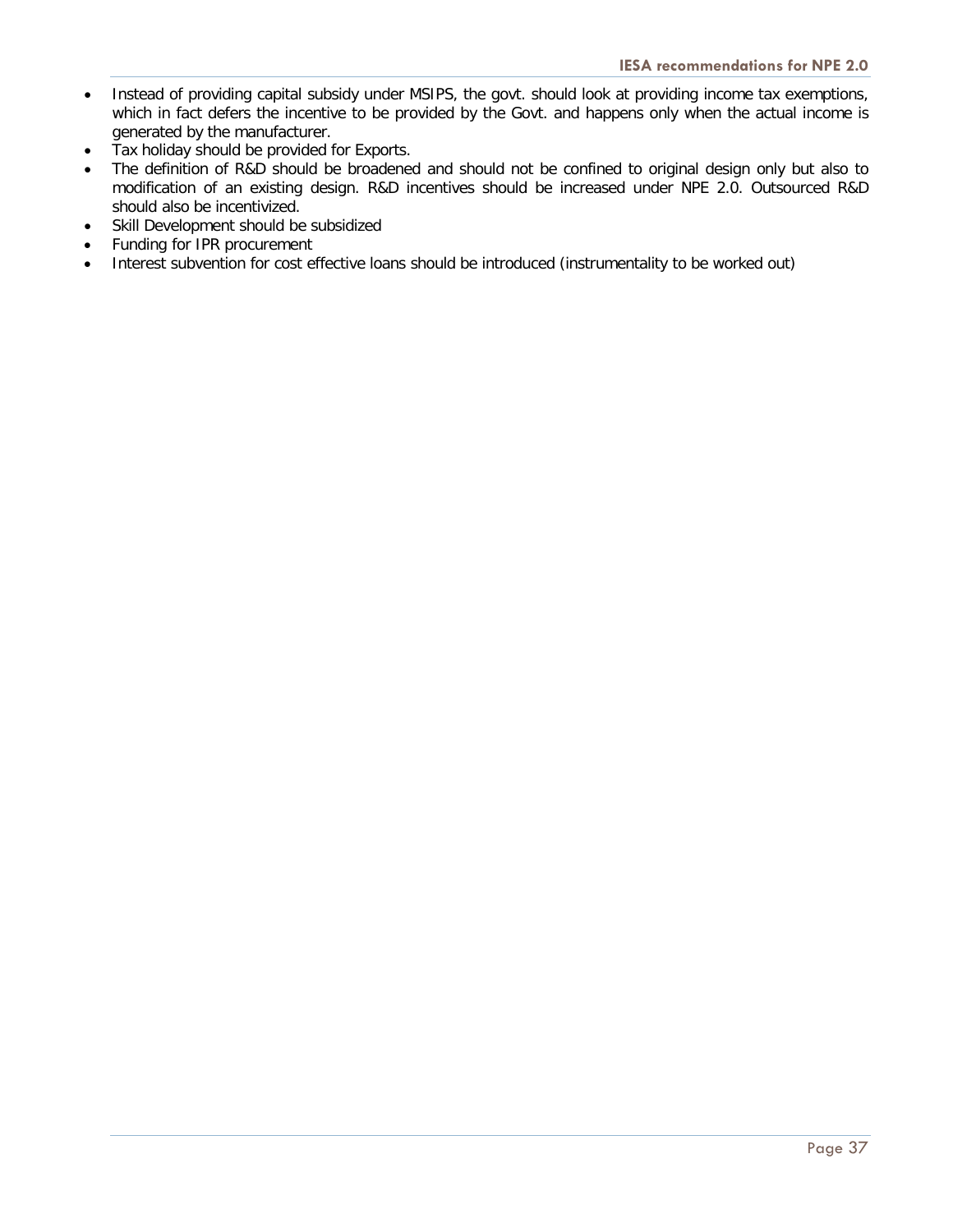- Instead of providing capital subsidy under MSIPS, the govt. should look at providing income tax exemptions, which in fact defers the incentive to be provided by the Govt. and happens only when the actual income is generated by the manufacturer.
- Tax holiday should be provided for Exports.
- The definition of R&D should be broadened and should not be confined to original design only but also to modification of an existing design. R&D incentives should be increased under NPE 2.0. Outsourced R&D should also be incentivized.
- Skill Development should be subsidized
- Funding for IPR procurement
- Interest subvention for cost effective loans should be introduced (instrumentality to be worked out)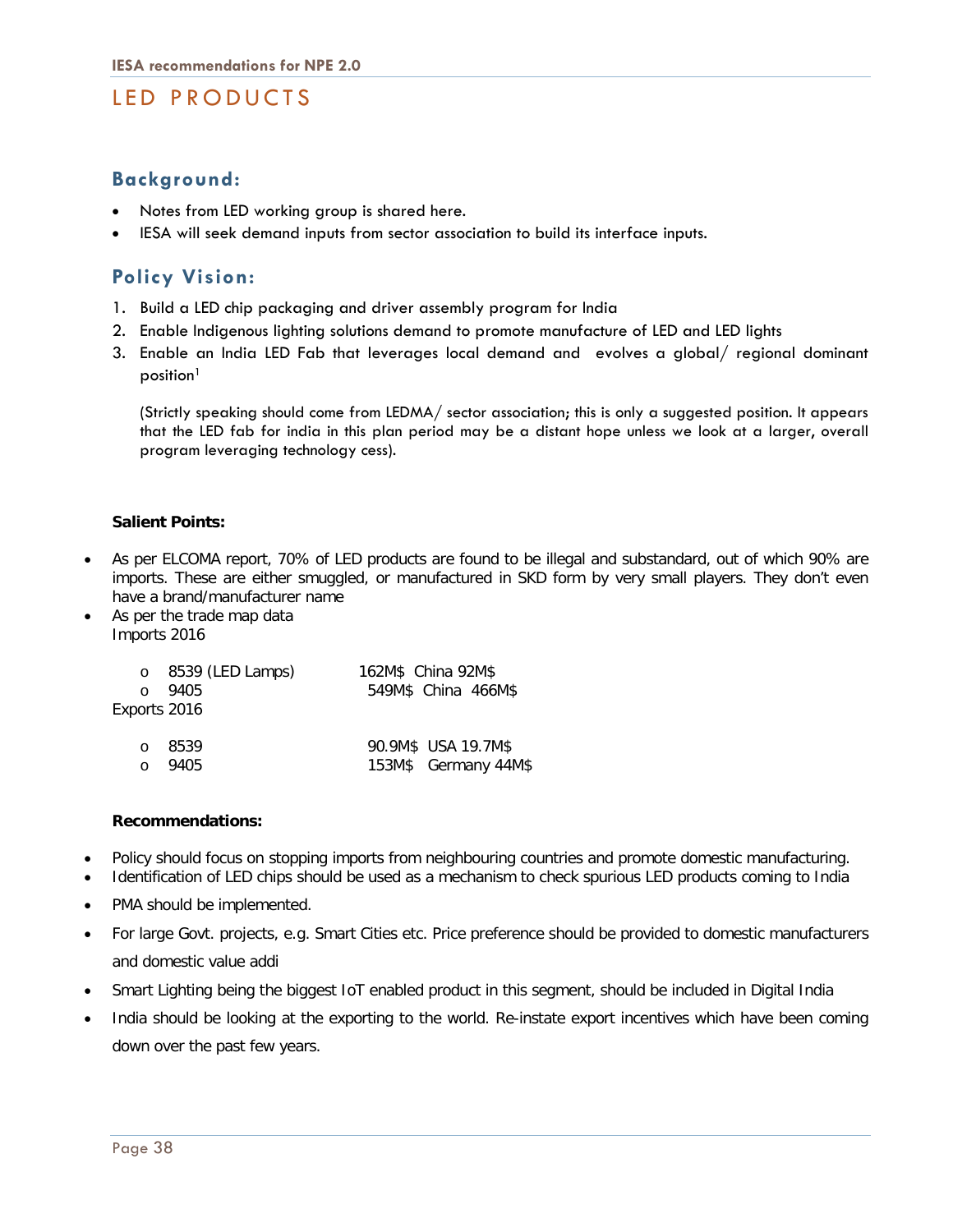## LED PRODUCTS

#### **Background:**

- Notes from LED working group is shared here.
- IESA will seek demand inputs from sector association to build its interface inputs.

#### **Policy Vision:**

- 1. Build a LED chip packaging and driver assembly program for India
- 2. Enable Indigenous lighting solutions demand to promote manufacture of LED and LED lights
- 3. Enable an India LED Fab that leverages local demand and evolves a global/ regional dominant position<sup>1</sup>

(Strictly speaking should come from LEDMA/ sector association; this is only a suggested position. It appears that the LED fab for india in this plan period may be a distant hope unless we look at a larger, overall program leveraging technology cess).

#### **Salient Points:**

- As per ELCOMA report, 70% of LED products are found to be illegal and substandard, out of which 90% are imports. These are either smuggled, or manufactured in SKD form by very small players. They don't even have a brand/manufacturer name
- As per the trade map data Imports 2016

|              | $\circ$ 8539 (LED Lamps) | 162M\$ China 92M\$ |                     |  |
|--------------|--------------------------|--------------------|---------------------|--|
|              | o 9405                   |                    | 549M\$ China 466M\$ |  |
| Exports 2016 |                          |                    |                     |  |

| o 8539 | 90.9M\$ USA 19.7M\$  |
|--------|----------------------|
| o 9405 | 153M\$ Germany 44M\$ |

#### **Recommendations:**

- Policy should focus on stopping imports from neighbouring countries and promote domestic manufacturing.
- Identification of LED chips should be used as a mechanism to check spurious LED products coming to India
- PMA should be implemented.
- For large Govt. projects, e.g. Smart Cities etc. Price preference should be provided to domestic manufacturers and domestic value addi
- Smart Lighting being the biggest IoT enabled product in this segment, should be included in Digital India
- India should be looking at the exporting to the world. Re-instate export incentives which have been coming down over the past few years.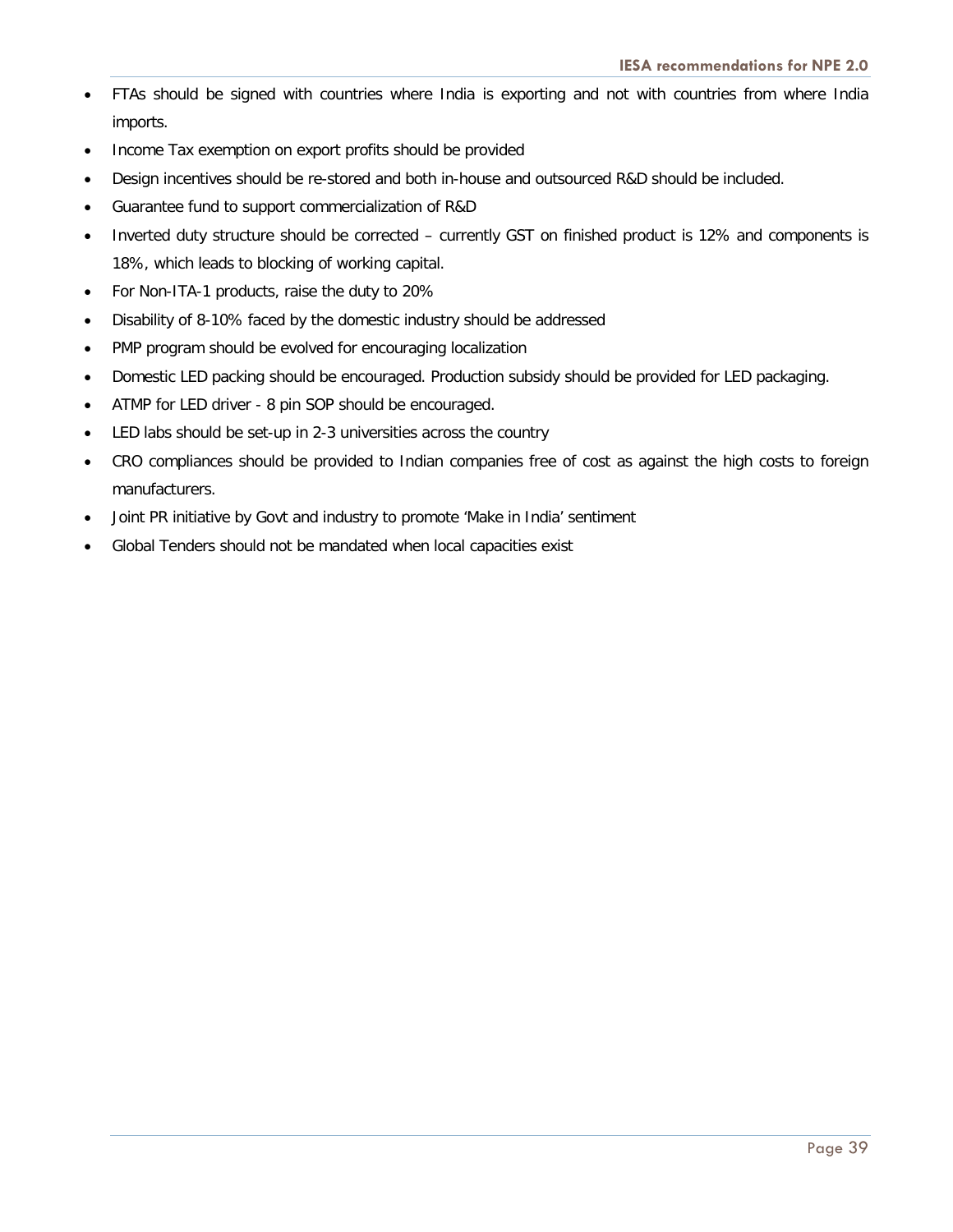- FTAs should be signed with countries where India is exporting and not with countries from where India imports.
- Income Tax exemption on export profits should be provided
- Design incentives should be re-stored and both in-house and outsourced R&D should be included.
- Guarantee fund to support commercialization of R&D
- Inverted duty structure should be corrected currently GST on finished product is 12% and components is 18%, which leads to blocking of working capital.
- For Non-ITA-1 products, raise the duty to 20%
- Disability of 8-10% faced by the domestic industry should be addressed
- PMP program should be evolved for encouraging localization
- Domestic LED packing should be encouraged. Production subsidy should be provided for LED packaging.
- ATMP for LED driver 8 pin SOP should be encouraged.
- LED labs should be set-up in 2-3 universities across the country
- CRO compliances should be provided to Indian companies free of cost as against the high costs to foreign manufacturers.
- Joint PR initiative by Govt and industry to promote 'Make in India' sentiment
- Global Tenders should not be mandated when local capacities exist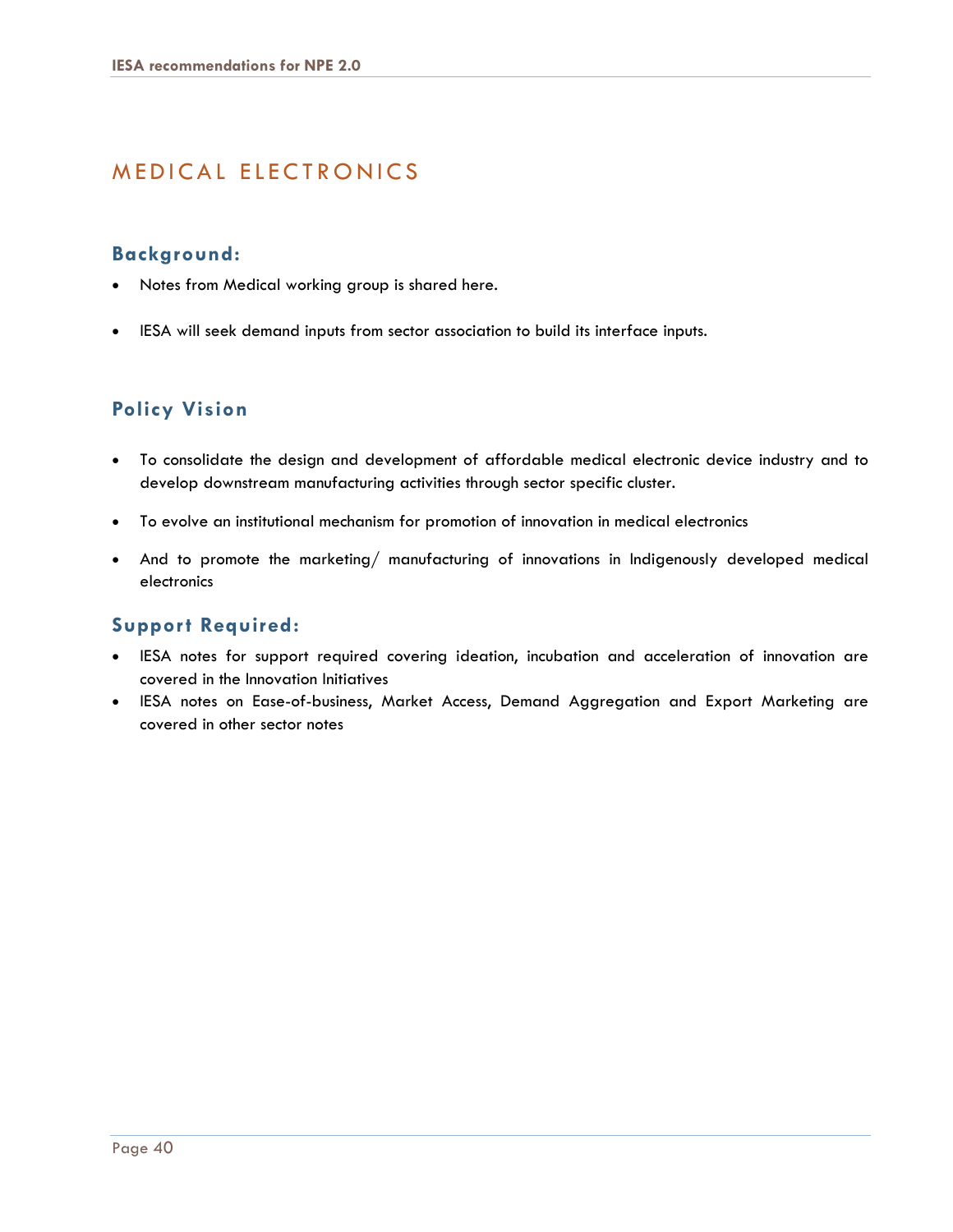# MEDICAL ELECTRONICS

#### **Background:**

- Notes from Medical working group is shared here.
- IESA will seek demand inputs from sector association to build its interface inputs.

#### **Policy Vision**

- To consolidate the design and development of affordable medical electronic device industry and to develop downstream manufacturing activities through sector specific cluster.
- To evolve an institutional mechanism for promotion of innovation in medical electronics
- And to promote the marketing/ manufacturing of innovations in Indigenously developed medical electronics

#### **Support Required:**

- IESA notes for support required covering ideation, incubation and acceleration of innovation are covered in the Innovation Initiatives
- IESA notes on Ease-of-business, Market Access, Demand Aggregation and Export Marketing are covered in other sector notes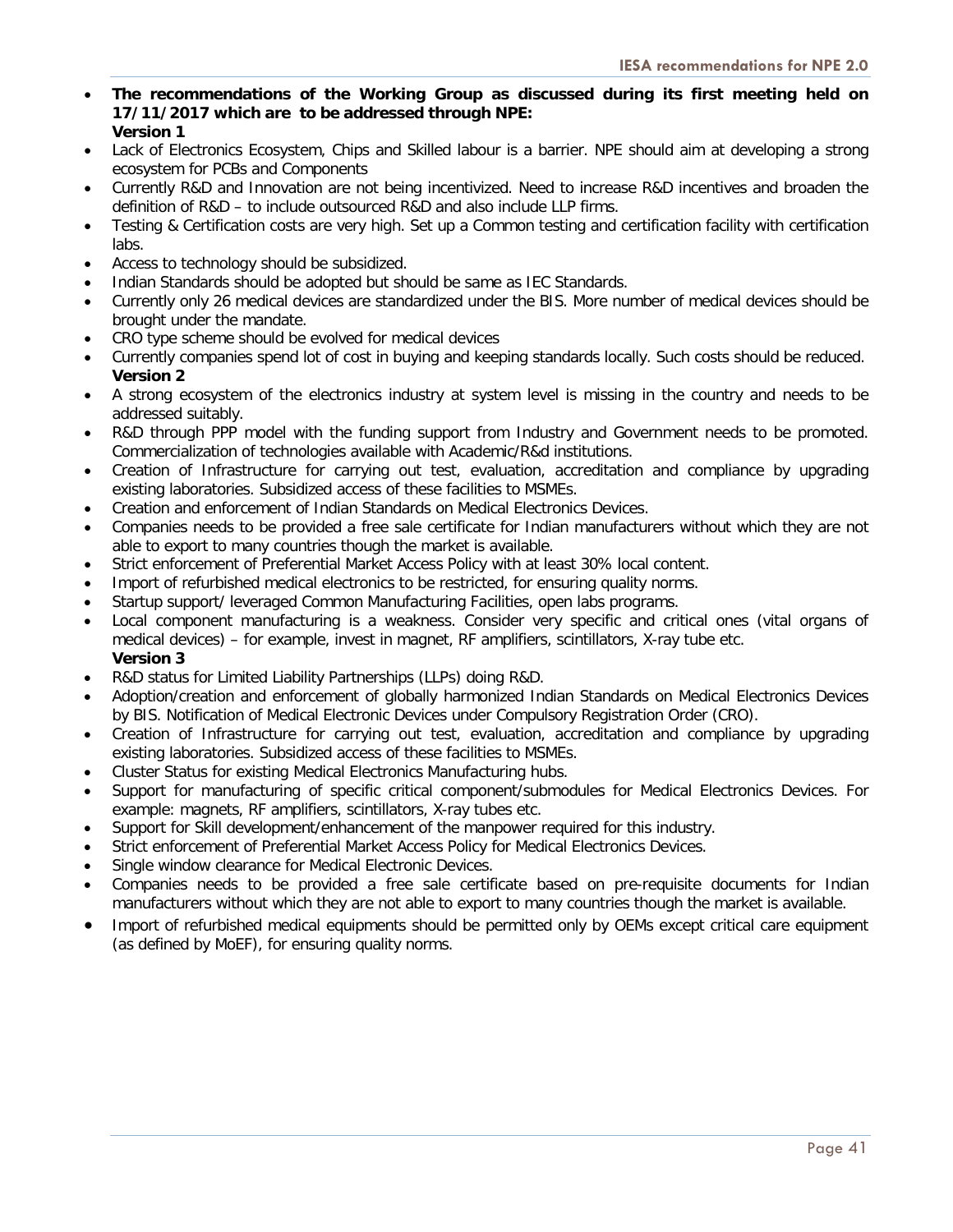- **The recommendations of the Working Group as discussed during its first meeting held on 17/11/2017 which are to be addressed through NPE: Version 1**
- Lack of Electronics Ecosystem, Chips and Skilled labour is a barrier. NPE should aim at developing a strong ecosystem for PCBs and Components
- Currently R&D and Innovation are not being incentivized. Need to increase R&D incentives and broaden the definition of R&D – to include outsourced R&D and also include LLP firms.
- Testing & Certification costs are very high. Set up a Common testing and certification facility with certification labs.
- Access to technology should be subsidized.
- Indian Standards should be adopted but should be same as IEC Standards.
- Currently only 26 medical devices are standardized under the BIS. More number of medical devices should be brought under the mandate.
- CRO type scheme should be evolved for medical devices
- Currently companies spend lot of cost in buying and keeping standards locally. Such costs should be reduced. **Version 2**
- A strong ecosystem of the electronics industry at system level is missing in the country and needs to be addressed suitably.
- R&D through PPP model with the funding support from Industry and Government needs to be promoted. Commercialization of technologies available with Academic/R&d institutions.
- Creation of Infrastructure for carrying out test, evaluation, accreditation and compliance by upgrading existing laboratories. Subsidized access of these facilities to MSMEs.
- Creation and enforcement of Indian Standards on Medical Electronics Devices.
- Companies needs to be provided a free sale certificate for Indian manufacturers without which they are not able to export to many countries though the market is available.
- Strict enforcement of Preferential Market Access Policy with at least 30% local content.
- Import of refurbished medical electronics to be restricted, for ensuring quality norms.
- Startup support/ leveraged Common Manufacturing Facilities, open labs programs.
- Local component manufacturing is a weakness. Consider very specific and critical ones (vital organs of medical devices) – for example, invest in magnet, RF amplifiers, scintillators, X-ray tube etc. **Version 3**
- R&D status for Limited Liability Partnerships (LLPs) doing R&D.
- Adoption/creation and enforcement of globally harmonized Indian Standards on Medical Electronics Devices by BIS. Notification of Medical Electronic Devices under Compulsory Registration Order (CRO).
- Creation of Infrastructure for carrying out test, evaluation, accreditation and compliance by upgrading existing laboratories. Subsidized access of these facilities to MSMEs.
- Cluster Status for existing Medical Electronics Manufacturing hubs.
- Support for manufacturing of specific critical component/submodules for Medical Electronics Devices. For example: magnets, RF amplifiers, scintillators, X-ray tubes etc.
- Support for Skill development/enhancement of the manpower required for this industry.
- Strict enforcement of Preferential Market Access Policy for Medical Electronics Devices.
- Single window clearance for Medical Electronic Devices.
- Companies needs to be provided a free sale certificate based on pre-requisite documents for Indian manufacturers without which they are not able to export to many countries though the market is available.
- Import of refurbished medical equipments should be permitted only by OEMs except critical care equipment (as defined by MoEF), for ensuring quality norms.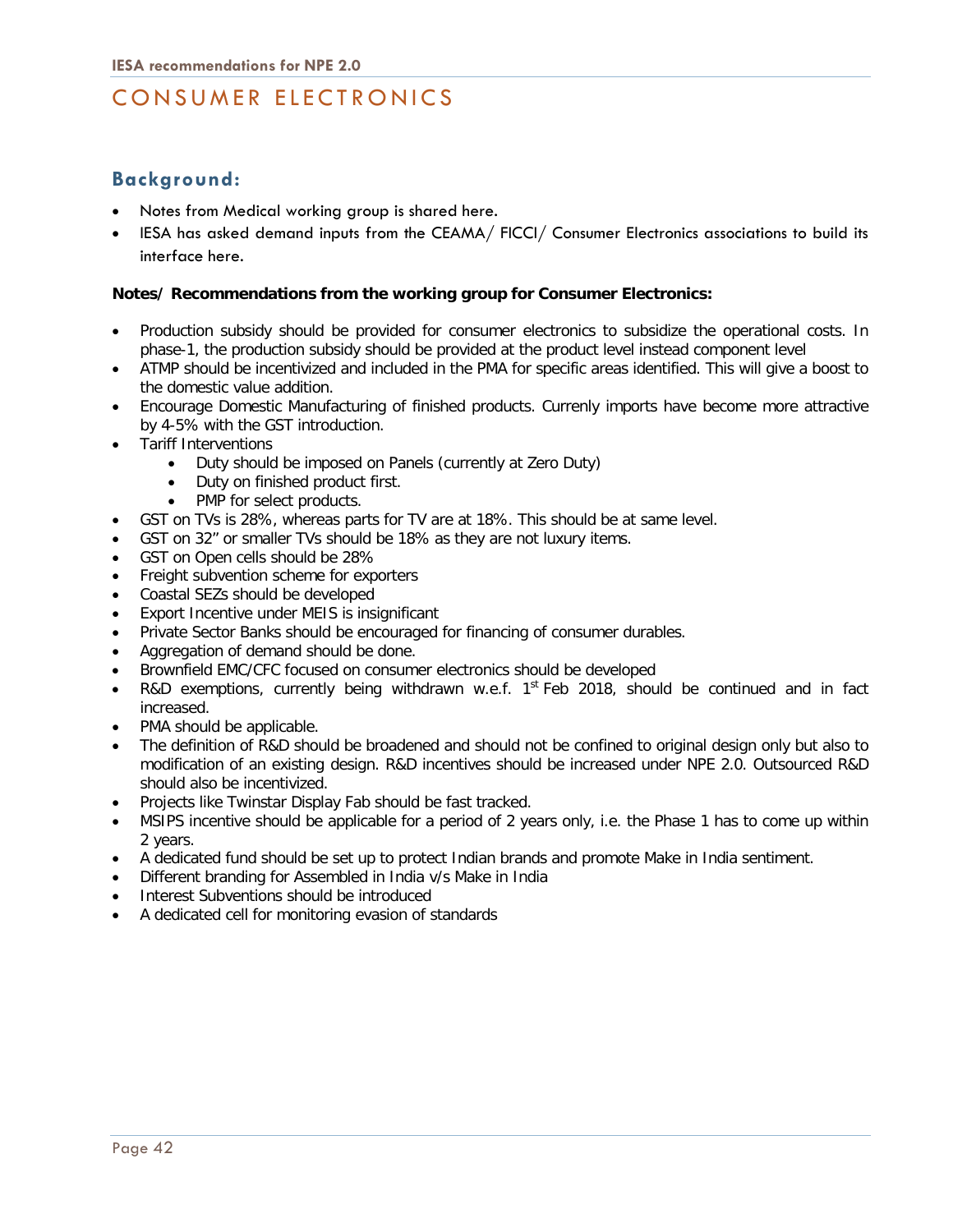# CONSUMER ELECTRONICS

#### **Background:**

- Notes from Medical working group is shared here.
- IESA has asked demand inputs from the CEAMA/ FICCI/ Consumer Electronics associations to build its interface here.

#### **Notes/ Recommendations from the working group for Consumer Electronics:**

- Production subsidy should be provided for consumer electronics to subsidize the operational costs. In phase-1, the production subsidy should be provided at the product level instead component level
- ATMP should be incentivized and included in the PMA for specific areas identified. This will give a boost to the domestic value addition.
- Encourage Domestic Manufacturing of finished products. Currenly imports have become more attractive by 4-5% with the GST introduction.
- Tariff Interventions
	- Duty should be imposed on Panels (currently at Zero Duty)
	- Duty on finished product first.
	- PMP for select products.
- GST on TVs is 28%, whereas parts for TV are at 18%. This should be at same level.
- GST on 32" or smaller TVs should be 18% as they are not luxury items.
- GST on Open cells should be 28%
- Freight subvention scheme for exporters
- Coastal SEZs should be developed
- Export Incentive under MEIS is insignificant
- Private Sector Banks should be encouraged for financing of consumer durables.
- Aggregation of demand should be done.
- Brownfield EMC/CFC focused on consumer electronics should be developed
- R&D exemptions, currently being withdrawn w.e.f.  $1^{\text{st}}$  Feb 2018, should be continued and in fact increased.
- PMA should be applicable.
- The definition of R&D should be broadened and should not be confined to original design only but also to modification of an existing design. R&D incentives should be increased under NPE 2.0. Outsourced R&D should also be incentivized.
- Projects like Twinstar Display Fab should be fast tracked.
- MSIPS incentive should be applicable for a period of 2 years only, i.e. the Phase 1 has to come up within 2 years.
- A dedicated fund should be set up to protect Indian brands and promote Make in India sentiment.
- Different branding for Assembled in India v/s Make in India
- Interest Subventions should be introduced
- A dedicated cell for monitoring evasion of standards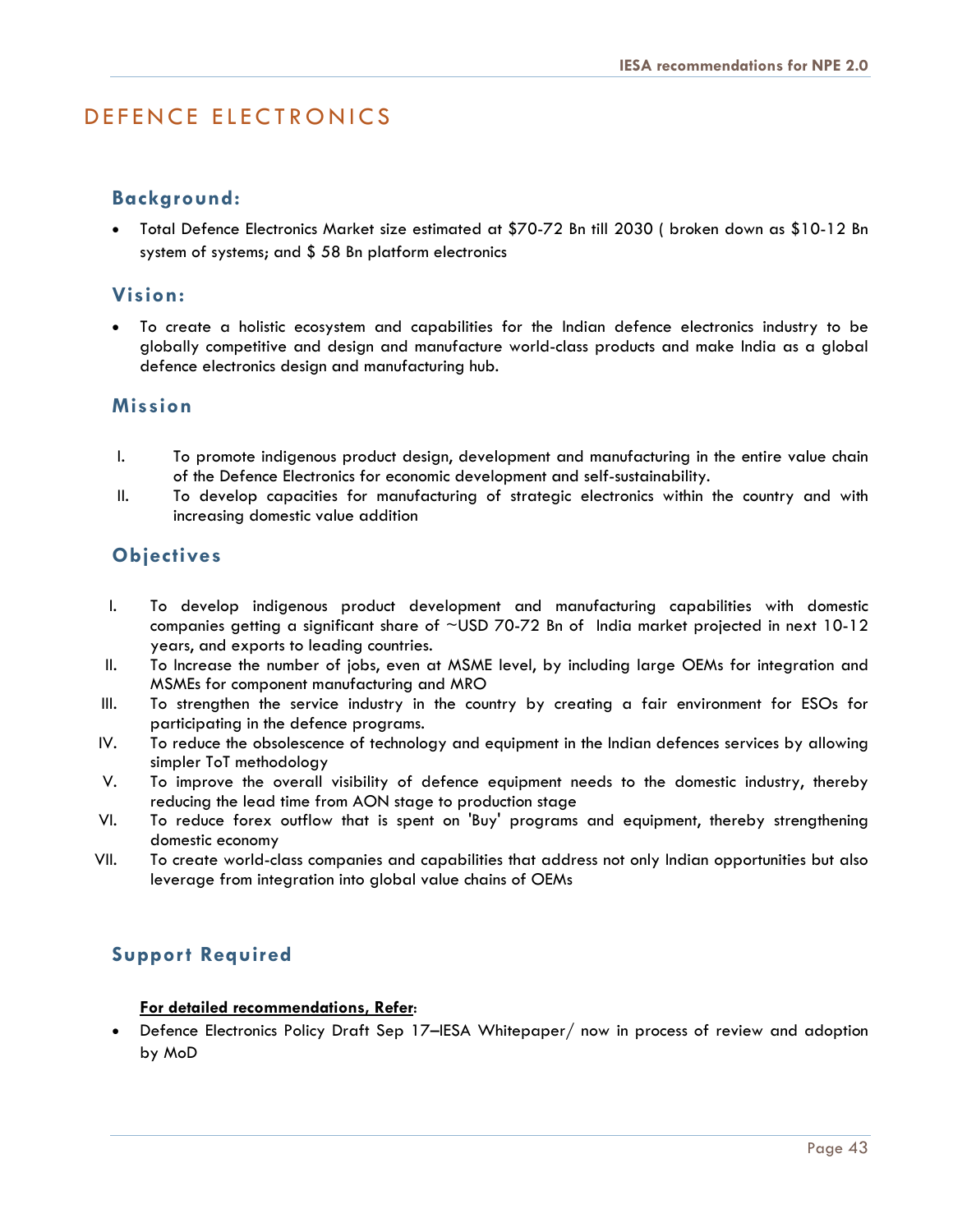# DEFENCE ELECTRONICS

#### **Background:**

• Total Defence Electronics Market size estimated at \$70-72 Bn till 2030 ( broken down as \$10-12 Bn system of systems; and \$ 58 Bn platform electronics

### **Vision:**

• To create a holistic ecosystem and capabilities for the Indian defence electronics industry to be globally competitive and design and manufacture world-class products and make India as a global defence electronics design and manufacturing hub.

#### **Mission**

- I. To promote indigenous product design, development and manufacturing in the entire value chain of the Defence Electronics for economic development and self-sustainability.
- II. To develop capacities for manufacturing of strategic electronics within the country and with increasing domestic value addition

## **Objectives**

- I. To develop indigenous product development and manufacturing capabilities with domestic companies getting a significant share of ~USD 70-72 Bn of India market projected in next 10-12 years, and exports to leading countries.
- II. To Increase the number of jobs, even at MSME level, by including large OEMs for integration and MSMEs for component manufacturing and MRO
- III. To strengthen the service industry in the country by creating a fair environment for ESOs for participating in the defence programs.
- IV. To reduce the obsolescence of technology and equipment in the Indian defences services by allowing simpler ToT methodology
- V. To improve the overall visibility of defence equipment needs to the domestic industry, thereby reducing the lead time from AON stage to production stage
- VI. To reduce forex outflow that is spent on 'Buy' programs and equipment, thereby strengthening domestic economy
- VII. To create world-class companies and capabilities that address not only Indian opportunities but also leverage from integration into global value chains of OEMs

## **Support Required**

#### **For detailed recommendations, Refer**:

• Defence Electronics Policy Draft Sep 17–IESA Whitepaper/ now in process of review and adoption by MoD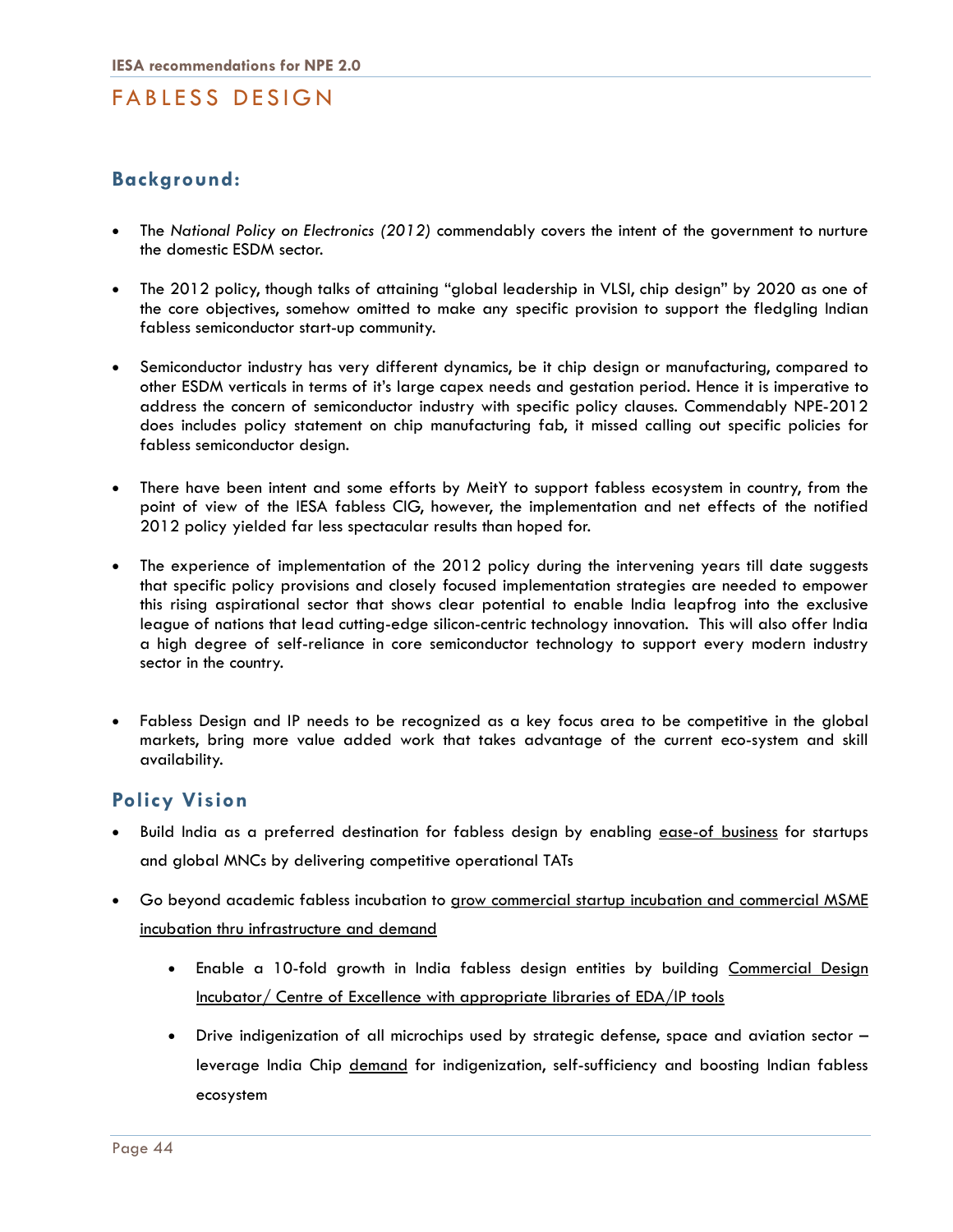## FABLESS DESIGN

#### **Background:**

- The *National Policy on Electronics (2012)* commendably covers the intent of the government to nurture the domestic ESDM sector.
- The 2012 policy, though talks of attaining "global leadership in VLSI, chip design" by 2020 as one of the core objectives, somehow omitted to make any specific provision to support the fledgling Indian fabless semiconductor start-up community.
- Semiconductor industry has very different dynamics, be it chip design or manufacturing, compared to other ESDM verticals in terms of it's large capex needs and gestation period. Hence it is imperative to address the concern of semiconductor industry with specific policy clauses. Commendably NPE-2012 does includes policy statement on chip manufacturing fab, it missed calling out specific policies for fabless semiconductor design.
- There have been intent and some efforts by MeitY to support fabless ecosystem in country, from the point of view of the IESA fabless CIG, however, the implementation and net effects of the notified 2012 policy yielded far less spectacular results than hoped for.
- The experience of implementation of the 2012 policy during the intervening years till date suggests that specific policy provisions and closely focused implementation strategies are needed to empower this rising aspirational sector that shows clear potential to enable India leapfrog into the exclusive league of nations that lead cutting-edge silicon-centric technology innovation. This will also offer India a high degree of self-reliance in core semiconductor technology to support every modern industry sector in the country.
- Fabless Design and IP needs to be recognized as a key focus area to be competitive in the global markets, bring more value added work that takes advantage of the current eco-system and skill availability.

#### **Policy Vision**

- Build India as a preferred destination for fabless design by enabling ease-of business for startups and global MNCs by delivering competitive operational TATs
- Go beyond academic fabless incubation to grow commercial startup incubation and commercial MSME incubation thru infrastructure and demand
	- Enable a 10-fold growth in India fabless design entities by building Commercial Design Incubator/ Centre of Excellence with appropriate libraries of EDA/IP tools
	- Drive indigenization of all microchips used by strategic defense, space and aviation sector leverage India Chip demand for indigenization, self-sufficiency and boosting Indian fabless ecosystem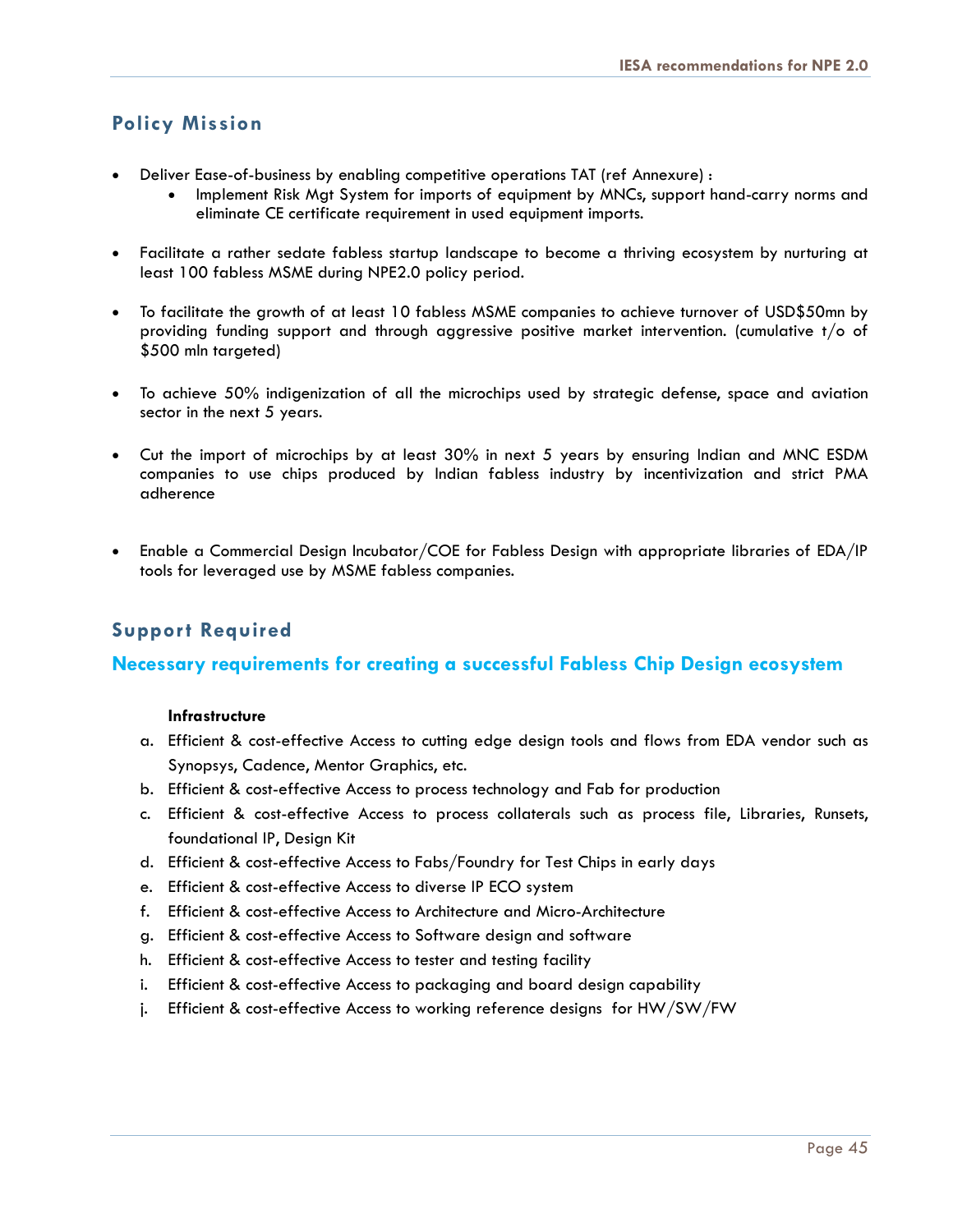## **Policy Mission**

- Deliver Ease-of-business by enabling competitive operations TAT (ref Annexure) :
	- Implement Risk Mgt System for imports of equipment by MNCs, support hand-carry norms and eliminate CE certificate requirement in used equipment imports.
- Facilitate a rather sedate fabless startup landscape to become a thriving ecosystem by nurturing at least 100 fabless MSME during NPE2.0 policy period.
- To facilitate the growth of at least 10 fabless MSME companies to achieve turnover of USD\$50mn by providing funding support and through aggressive positive market intervention. (cumulative t/o of \$500 mln targeted)
- To achieve 50% indigenization of all the microchips used by strategic defense, space and aviation sector in the next 5 years.
- Cut the import of microchips by at least 30% in next 5 years by ensuring Indian and MNC ESDM companies to use chips produced by Indian fabless industry by incentivization and strict PMA adherence
- Enable a Commercial Design Incubator/COE for Fabless Design with appropriate libraries of EDA/IP tools for leveraged use by MSME fabless companies.

## **Support Required**

#### **Necessary requirements for creating a successful Fabless Chip Design ecosystem**

#### **Infrastructure**

- a. Efficient & cost-effective Access to cutting edge design tools and flows from EDA vendor such as Synopsys, Cadence, Mentor Graphics, etc.
- b. Efficient & cost-effective Access to process technology and Fab for production
- c. Efficient & cost-effective Access to process collaterals such as process file, Libraries, Runsets, foundational IP, Design Kit
- d. Efficient & cost-effective Access to Fabs/Foundry for Test Chips in early days
- e. Efficient & cost-effective Access to diverse IP ECO system
- f. Efficient & cost-effective Access to Architecture and Micro-Architecture
- g. Efficient & cost-effective Access to Software design and software
- h. Efficient & cost-effective Access to tester and testing facility
- i. Efficient & cost-effective Access to packaging and board design capability
- j. Efficient & cost-effective Access to working reference designs for HW/SW/FW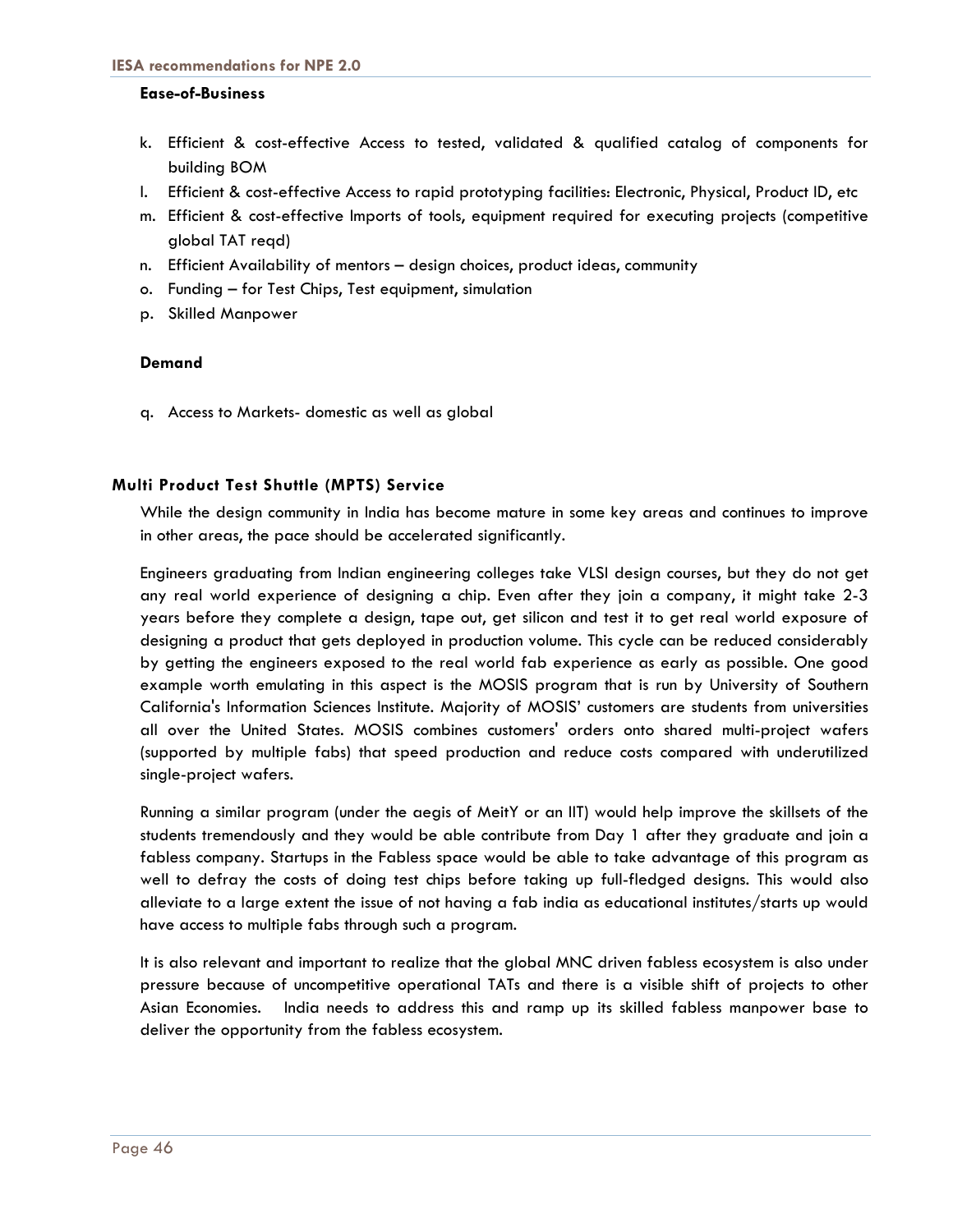#### **Ease-of-Business**

- k. Efficient & cost-effective Access to tested, validated & qualified catalog of components for building BOM
- l. Efficient & cost-effective Access to rapid prototyping facilities: Electronic, Physical, Product ID, etc
- m. Efficient & cost-effective Imports of tools, equipment required for executing projects (competitive global TAT reqd)
- n. Efficient Availability of mentors design choices, product ideas, community
- o. Funding for Test Chips, Test equipment, simulation
- p. Skilled Manpower

#### **Demand**

q. Access to Markets- domestic as well as global

#### **Multi Product Test Shuttle (MPTS) Service**

While the design community in India has become mature in some key areas and continues to improve in other areas, the pace should be accelerated significantly.

Engineers graduating from Indian engineering colleges take VLSI design courses, but they do not get any real world experience of designing a chip. Even after they join a company, it might take 2-3 years before they complete a design, tape out, get silicon and test it to get real world exposure of designing a product that gets deployed in production volume. This cycle can be reduced considerably by getting the engineers exposed to the real world fab experience as early as possible. One good example worth emulating in this aspect is the MOSIS program that is run by University of Southern California's Information Sciences Institute. Majority of MOSIS' customers are students from universities all over the United States. MOSIS combines customers' orders onto shared multi-project wafers (supported by multiple fabs) that speed production and reduce costs compared with underutilized single-project wafers.

Running a similar program (under the aegis of MeitY or an IIT) would help improve the skillsets of the students tremendously and they would be able contribute from Day 1 after they graduate and join a fabless company. Startups in the Fabless space would be able to take advantage of this program as well to defray the costs of doing test chips before taking up full-fledged designs. This would also alleviate to a large extent the issue of not having a fab india as educational institutes/starts up would have access to multiple fabs through such a program.

It is also relevant and important to realize that the global MNC driven fabless ecosystem is also under pressure because of uncompetitive operational TATs and there is a visible shift of projects to other Asian Economies. India needs to address this and ramp up its skilled fabless manpower base to deliver the opportunity from the fabless ecosystem.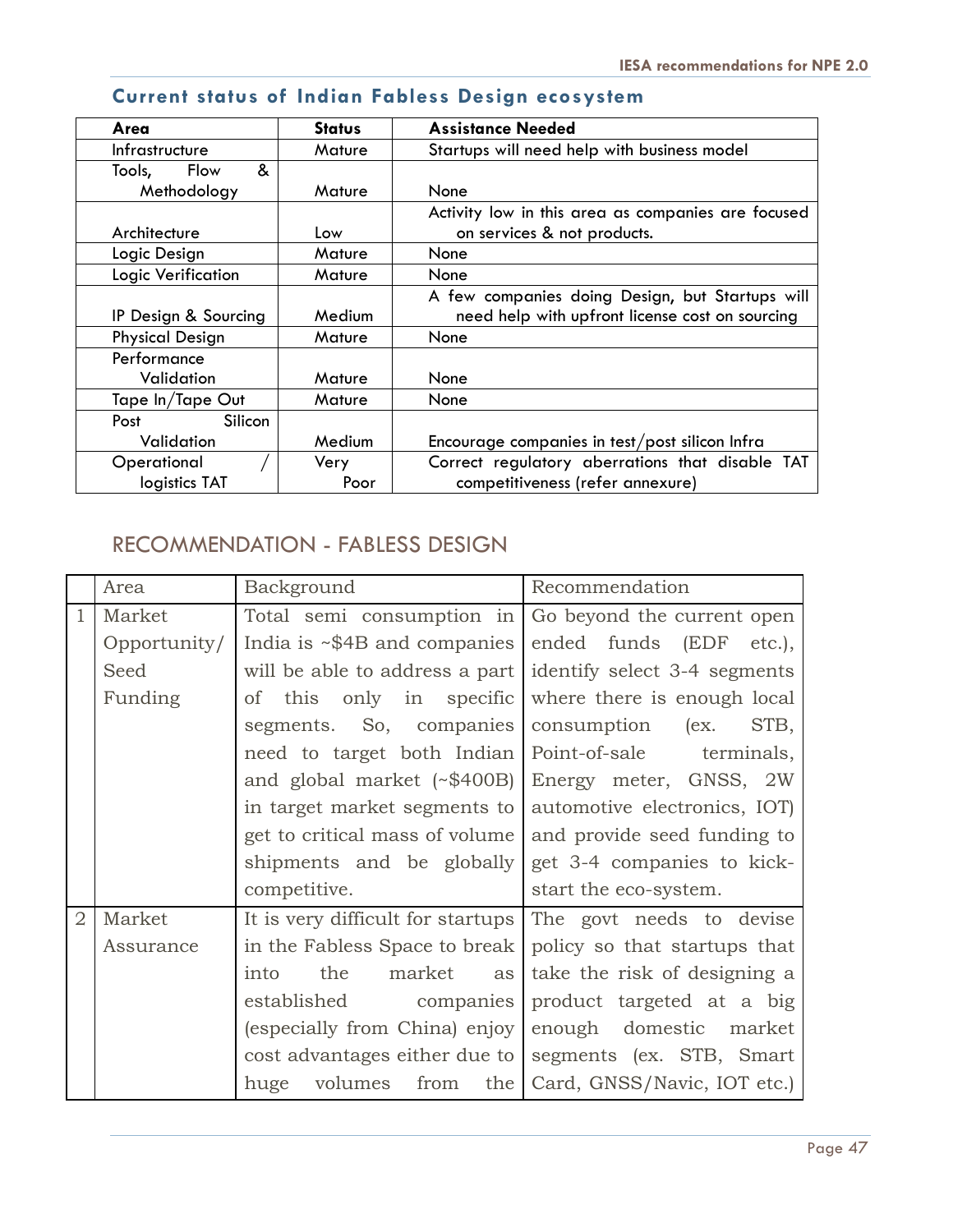| Area                   | <b>Status</b> | <b>Assistance Needed</b>                           |
|------------------------|---------------|----------------------------------------------------|
| Infrastructure         | Mature        | Startups will need help with business model        |
| &<br>Flow<br>Tools,    |               |                                                    |
| Methodology            | Mature        | None                                               |
|                        |               | Activity low in this area as companies are focused |
| Architecture           | Low           | on services & not products.                        |
| Logic Design           | Mature        | None                                               |
| Logic Verification     | Mature        | None                                               |
|                        |               | A few companies doing Design, but Startups will    |
| IP Design & Sourcing   | Medium        | need help with upfront license cost on sourcing    |
| <b>Physical Design</b> | Mature        | None                                               |
| Performance            |               |                                                    |
| Validation             | Mature        | None                                               |
| Tape In/Tape Out       | Mature        | None                                               |
| Silicon<br>Post        |               |                                                    |
| Validation             | <b>Medium</b> | Encourage companies in test/post silicon Infra     |
| Operational            | Very          | Correct regulatory aberrations that disable TAT    |
| logistics TAT          | Poor          | competitiveness (refer annexure)                   |

# **Current status of Indian Fabless Design ecosystem**

## RECOMMENDATION - FABLESS DESIGN

|                | Area         | Background                                                  | Recommendation                    |
|----------------|--------------|-------------------------------------------------------------|-----------------------------------|
| $\mathbf{1}$   | Market       | Total semi consumption in Go beyond the current open        |                                   |
|                | Opportunity/ | India is ~\$4B and companies                                | ended funds (EDF etc.),           |
|                | Seed         | will be able to address a part identify select 3-4 segments |                                   |
|                | Funding      | of this only in specific                                    | where there is enough local       |
|                |              | segments. So, companies                                     | consumption (ex.<br>STB,          |
|                |              | need to target both Indian                                  | Point-of-sale terminals,          |
|                |              | and global market $(\sim \$400B)$                           | Energy meter, GNSS, 2W            |
|                |              | in target market segments to                                | automotive electronics, IOT)      |
|                |              | get to critical mass of volume                              | and provide seed funding to       |
|                |              | shipments and be globally                                   | get 3-4 companies to kick-        |
|                |              | competitive.                                                | start the eco-system.             |
| $\overline{2}$ | Market       | It is very difficult for startups                           | The govt needs to devise          |
|                | Assurance    | in the Fabless Space to break                               | policy so that startups that      |
|                |              | the<br>market<br>into<br>as                                 | take the risk of designing a      |
|                |              | companies<br>established                                    | product targeted at a big         |
|                |              | (especially from China) enjoy                               | enough domestic market            |
|                |              | cost advantages either due to   segments (ex. STB, Smart    |                                   |
|                |              | from<br>huge<br>volumes                                     | the   Card, GNSS/Navic, IOT etc.) |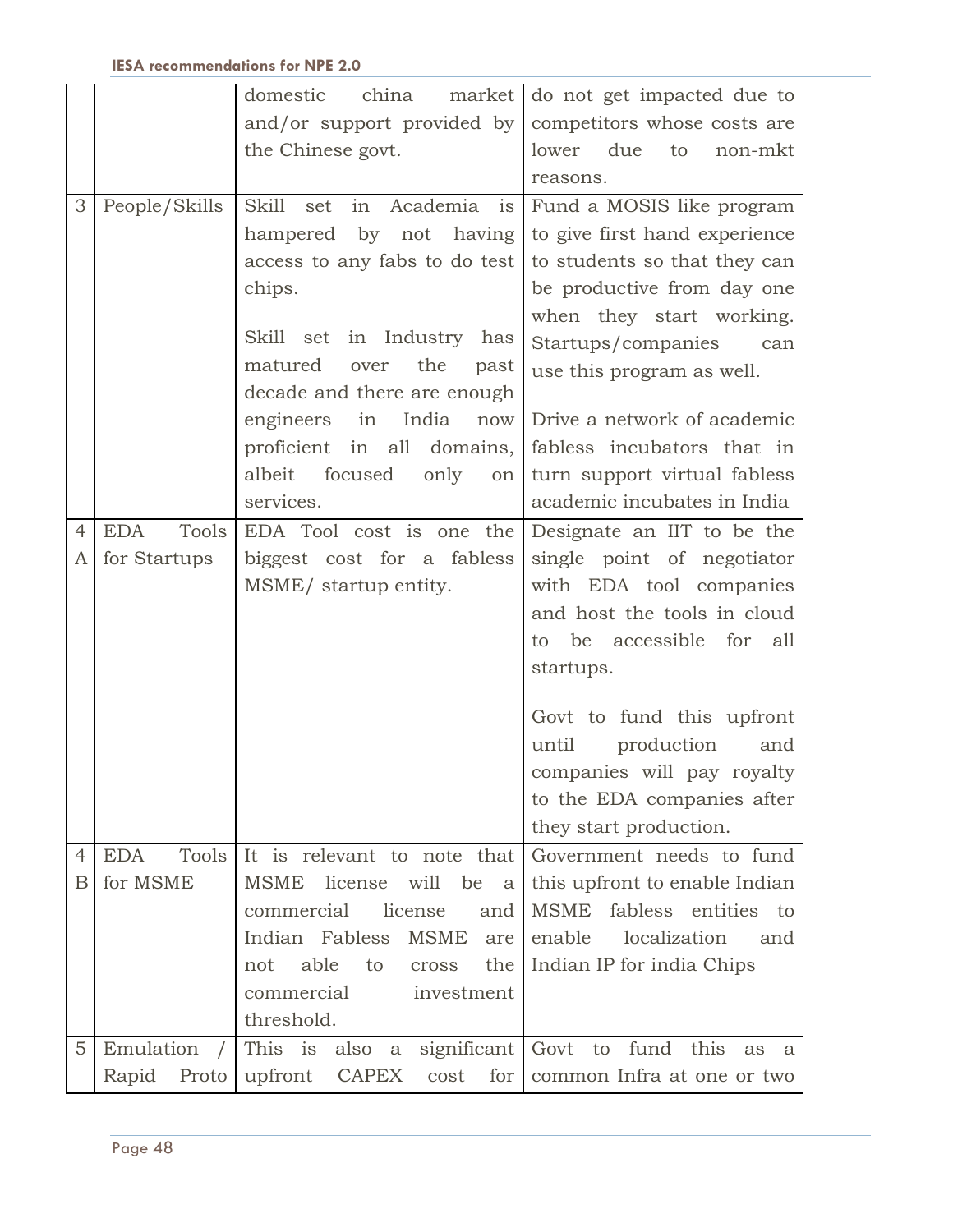|   |                         | china<br>domestic                                       | market do not get impacted due to                          |
|---|-------------------------|---------------------------------------------------------|------------------------------------------------------------|
|   |                         | and/or support provided by                              | competitors whose costs are                                |
|   |                         | the Chinese govt.                                       | lower due<br>to<br>non-mkt                                 |
|   |                         |                                                         | reasons.                                                   |
| 3 | People/Skills           | Skill<br>in<br>Academia<br>i <sub>s</sub><br>set        | Fund a MOSIS like program                                  |
|   |                         | hampered by not having                                  | to give first hand experience                              |
|   |                         | access to any fabs to do test                           | to students so that they can                               |
|   |                         | chips.                                                  | be productive from day one                                 |
|   |                         |                                                         | when they start working.                                   |
|   |                         | Skill set in Industry<br>has                            | Startups/companies<br>can                                  |
|   |                         | matured<br>the<br>over<br>past                          | use this program as well.                                  |
|   |                         | decade and there are enough                             |                                                            |
|   |                         | India<br>in<br>engineers<br>now                         | Drive a network of academic                                |
|   |                         | proficient in all domains,<br>albeit<br>focused<br>only | fabless incubators that in<br>turn support virtual fabless |
|   |                         | on<br>services.                                         | academic incubates in India                                |
| 4 | <b>EDA</b><br>Tools     | EDA Tool cost is one the                                |                                                            |
|   |                         | biggest cost for a fabless                              | Designate an IIT to be the<br>single point of negotiator   |
| Α | for Startups            | MSME/ startup entity.                                   | with EDA tool companies                                    |
|   |                         |                                                         | and host the tools in cloud                                |
|   |                         |                                                         | be accessible for all<br>to                                |
|   |                         |                                                         | startups.                                                  |
|   |                         |                                                         |                                                            |
|   |                         |                                                         | Govt to fund this upfront                                  |
|   |                         |                                                         | production<br>until<br>and                                 |
|   |                         |                                                         | companies will pay royalty                                 |
|   |                         |                                                         | to the EDA companies after                                 |
|   |                         |                                                         | they start production.                                     |
| 4 | EDA<br>Tools            | It is relevant to note that                             | Government needs to fund                                   |
| Β | for MSME                | MSME<br>license<br>will<br>be<br>a                      | this upfront to enable Indian                              |
|   |                         | commercial<br>license<br>and                            | MSME<br>fabless entities to                                |
|   |                         | Indian Fabless<br><b>MSME</b><br>are                    | enable<br>localization<br>and                              |
|   |                         | able<br>the<br>to<br>not<br>cross                       | Indian IP for india Chips                                  |
|   |                         | commercial<br>investment                                |                                                            |
|   |                         | threshold.                                              |                                                            |
| 5 | Emulation<br>$\sqrt{2}$ | This is<br>significant<br>also a                        | fund<br>Govt<br>this<br>to<br>as<br>a                      |
|   | Rapid<br>Proto          | upfront<br><b>CAPEX</b><br>cost<br>for $\vert$          | common Infra at one or two                                 |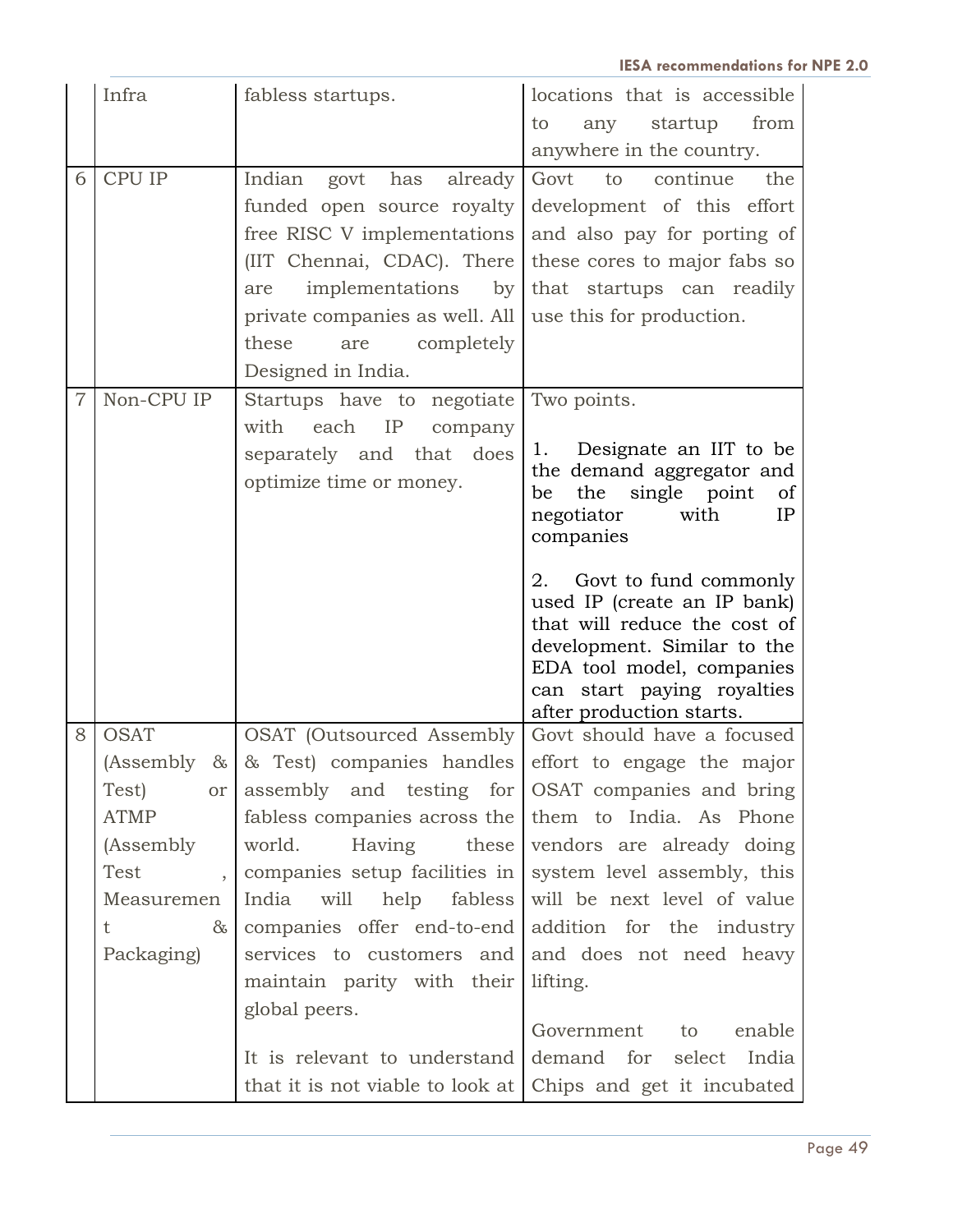|                | Infra       | fabless startups.                           | locations that is accessible                              |
|----------------|-------------|---------------------------------------------|-----------------------------------------------------------|
|                |             |                                             | from<br>startup<br>any<br>to                              |
|                |             |                                             | anywhere in the country.                                  |
| 6              | CPU IP      | Indian govt has already                     | Govt<br>continue<br>the<br>to                             |
|                |             | funded open source royalty                  | development of this effort                                |
|                |             | free RISC V implementations                 | and also pay for porting of                               |
|                |             | (IIT Chennai, CDAC). There                  | these cores to major fabs so                              |
|                |             | implementations<br>by<br>are                | that startups can readily                                 |
|                |             | private companies as well. All              | use this for production.                                  |
|                |             | are completely<br>these                     |                                                           |
|                |             | Designed in India.                          |                                                           |
| $\overline{7}$ | Non-CPU IP  | Startups have to negotiate                  | Two points.                                               |
|                |             | with<br>each<br>IP<br>company               |                                                           |
|                |             | separately and that does                    | Designate an IIT to be<br>1.<br>the demand aggregator and |
|                |             | optimize time or money.                     | single point<br>be<br>the<br><sub>of</sub>                |
|                |             |                                             | with<br>negotiator<br>IP                                  |
|                |             |                                             | companies                                                 |
|                |             |                                             | 2. Govt to fund commonly                                  |
|                |             |                                             | used IP (create an IP bank)                               |
|                |             |                                             | that will reduce the cost of                              |
|                |             |                                             | development. Similar to the<br>EDA tool model, companies  |
|                |             |                                             | can start paying royalties                                |
|                |             |                                             | after production starts.                                  |
| 8              | <b>OSAT</b> | OSAT (Outsourced Assembly)                  | Govt should have a focused                                |
|                |             | (Assembly $\&$ $\&$ Test) companies handles | effort to engage the major                                |
|                | Test)       | or assembly and testing for                 | OSAT companies and bring                                  |
|                | <b>ATMP</b> | fabless companies across the                | them to India. As Phone                                   |
|                | (Assembly   | Having these<br>world.                      | vendors are already doing                                 |
|                | Test        | companies setup facilities in               | system level assembly, this                               |
|                | Measuremen  | India<br>will<br>fabless<br>help            | will be next level of value                               |
|                | $\&$<br>t   | companies offer end-to-end                  | addition for the industry                                 |
|                | Packaging)  | services to customers and                   | and does not need heavy                                   |
|                |             | maintain parity with their                  | lifting.                                                  |
|                |             | global peers.                               |                                                           |
|                |             |                                             | Government<br>enable<br>to                                |
|                |             | It is relevant to understand                | demand for select India                                   |
|                |             | that it is not viable to look at            | Chips and get it incubated                                |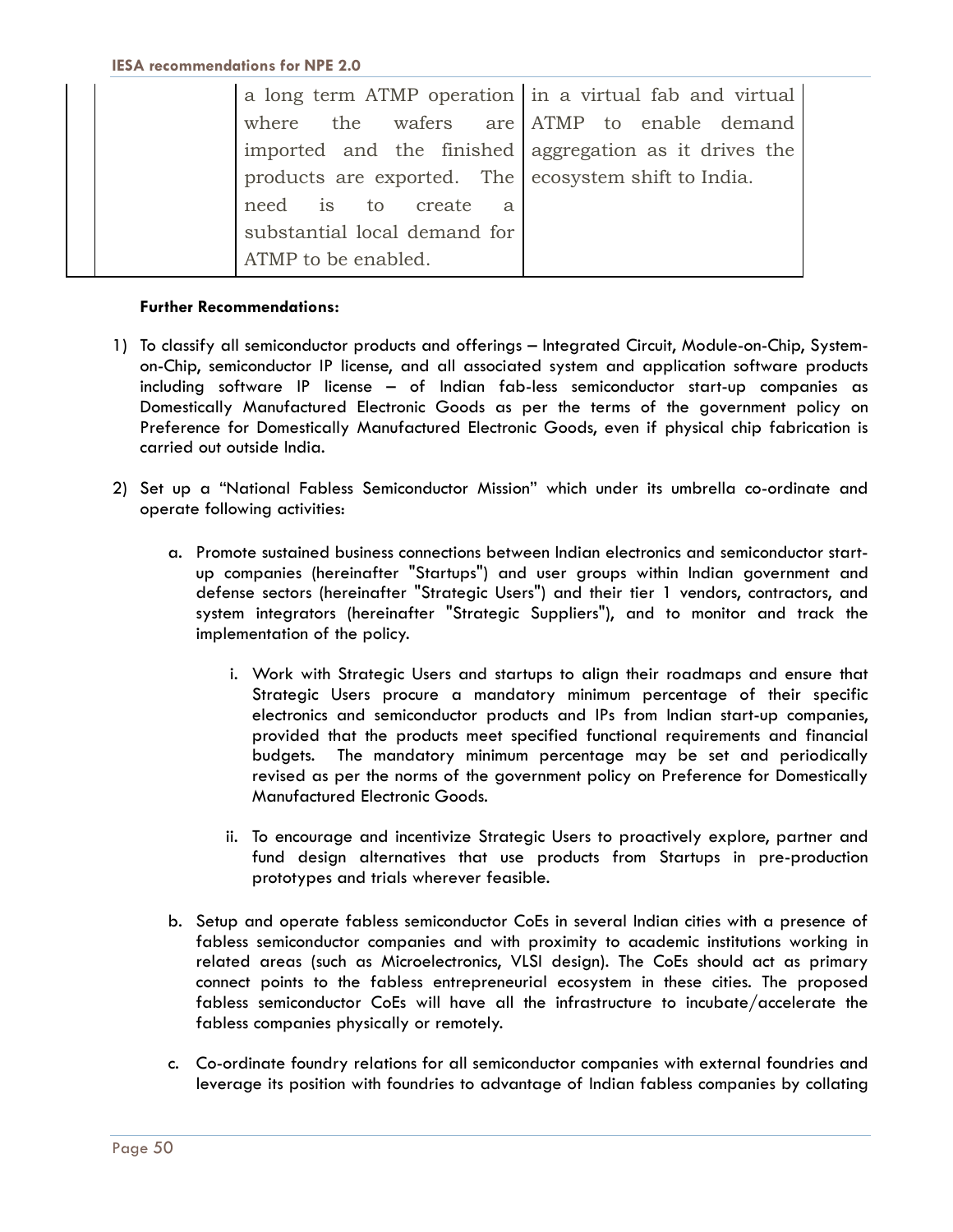| a long term ATMP operation in a virtual fab and virtual |  |
|---------------------------------------------------------|--|
| where the wafers are ATMP to enable demand              |  |
| imported and the finished aggregation as it drives the  |  |
| products are exported. The ecosystem shift to India.    |  |
| need is to create a                                     |  |
| substantial local demand for                            |  |
| ATMP to be enabled.                                     |  |

#### **Further Recommendations:**

- 1) To classify all semiconductor products and offerings Integrated Circuit, Module-on-Chip, Systemon-Chip, semiconductor IP license, and all associated system and application software products including software IP license – of Indian fab-less semiconductor start-up companies as Domestically Manufactured Electronic Goods as per the terms of the government policy on Preference for Domestically Manufactured Electronic Goods, even if physical chip fabrication is carried out outside India.
- 2) Set up a "National Fabless Semiconductor Mission" which under its umbrella co-ordinate and operate following activities:
	- a. Promote sustained business connections between Indian electronics and semiconductor startup companies (hereinafter "Startups") and user groups within Indian government and defense sectors (hereinafter "Strategic Users") and their tier 1 vendors, contractors, and system integrators (hereinafter "Strategic Suppliers"), and to monitor and track the implementation of the policy.
		- i. Work with Strategic Users and startups to align their roadmaps and ensure that Strategic Users procure a mandatory minimum percentage of their specific electronics and semiconductor products and IPs from Indian start-up companies, provided that the products meet specified functional requirements and financial budgets. The mandatory minimum percentage may be set and periodically revised as per the norms of the government policy on Preference for Domestically Manufactured Electronic Goods.
		- ii. To encourage and incentivize Strategic Users to proactively explore, partner and fund design alternatives that use products from Startups in pre-production prototypes and trials wherever feasible.
	- b. Setup and operate fabless semiconductor CoEs in several Indian cities with a presence of fabless semiconductor companies and with proximity to academic institutions working in related areas (such as Microelectronics, VLSI design). The CoEs should act as primary connect points to the fabless entrepreneurial ecosystem in these cities. The proposed fabless semiconductor CoEs will have all the infrastructure to incubate/accelerate the fabless companies physically or remotely.
	- c. Co-ordinate foundry relations for all semiconductor companies with external foundries and leverage its position with foundries to advantage of Indian fabless companies by collating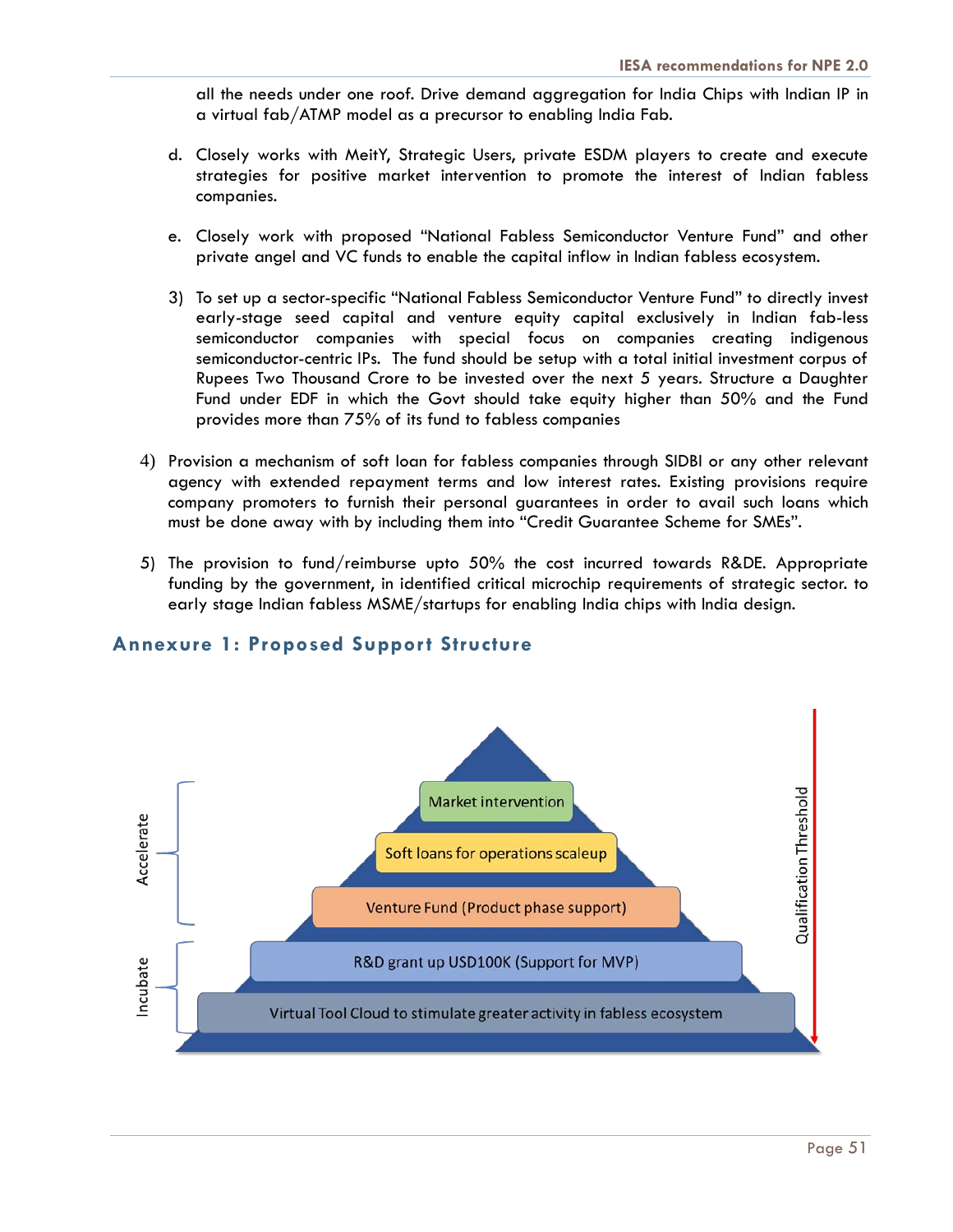all the needs under one roof. Drive demand aggregation for India Chips with Indian IP in a virtual fab/ATMP model as a precursor to enabling India Fab.

- d. Closely works with MeitY, Strategic Users, private ESDM players to create and execute strategies for positive market intervention to promote the interest of Indian fabless companies.
- e. Closely work with proposed "National Fabless Semiconductor Venture Fund" and other private angel and VC funds to enable the capital inflow in Indian fabless ecosystem.
- 3) To set up a sector-specific "National Fabless Semiconductor Venture Fund" to directly invest early-stage seed capital and venture equity capital exclusively in Indian fab-less semiconductor companies with special focus on companies creating indigenous semiconductor-centric IPs. The fund should be setup with a total initial investment corpus of Rupees Two Thousand Crore to be invested over the next 5 years. Structure a Daughter Fund under EDF in which the Govt should take equity higher than 50% and the Fund provides more than 75% of its fund to fabless companies
- 4) Provision a mechanism of soft loan for fabless companies through SIDBI or any other relevant agency with extended repayment terms and low interest rates. Existing provisions require company promoters to furnish their personal guarantees in order to avail such loans which must be done away with by including them into "Credit Guarantee Scheme for SMEs".
- 5) The provision to fund/reimburse upto 50% the cost incurred towards R&DE. Appropriate funding by the government, in identified critical microchip requirements of strategic sector. to early stage Indian fabless MSME/startups for enabling India chips with India design.



#### **Annexure 1: Proposed Support Structure**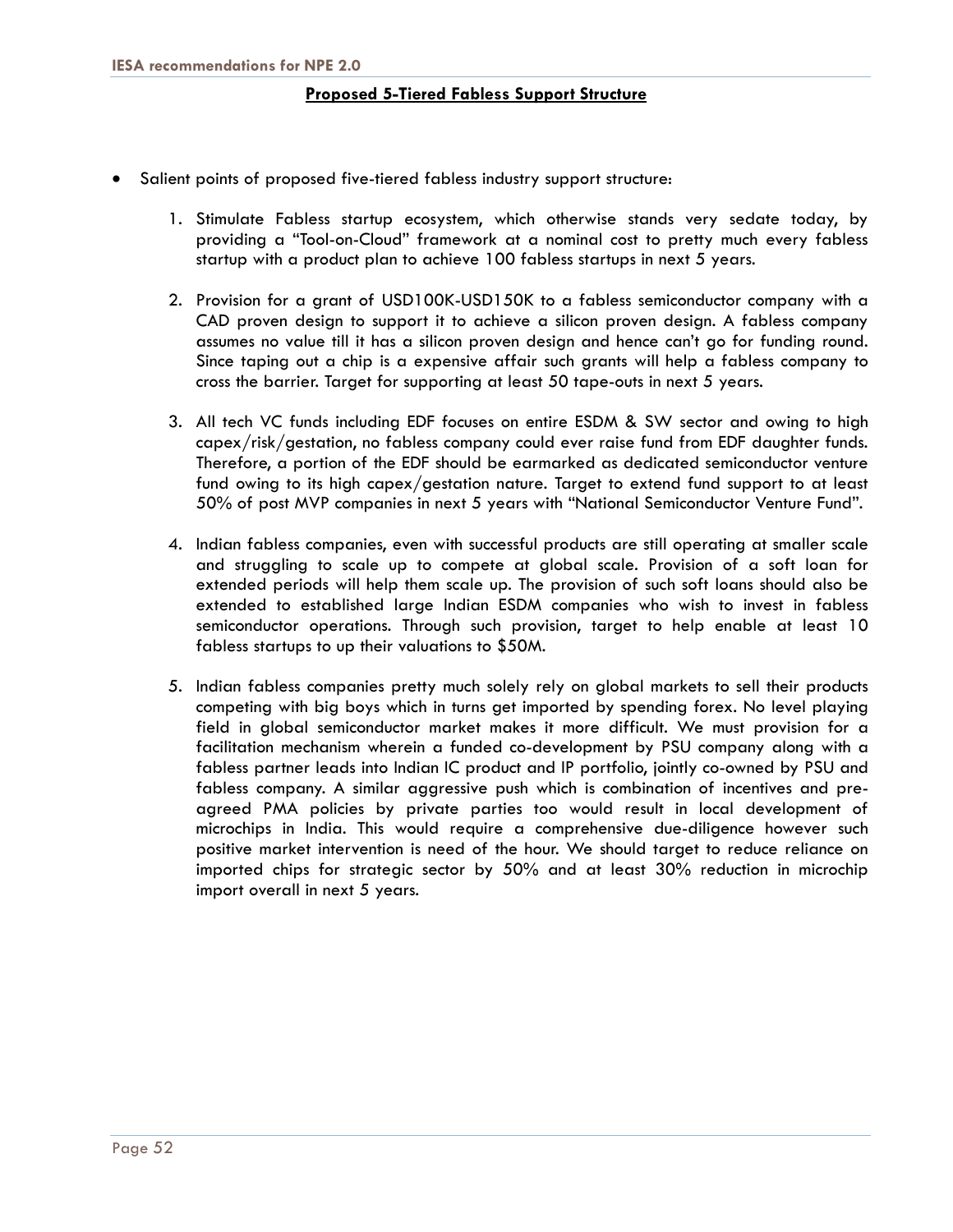#### **Proposed 5-Tiered Fabless Support Structure**

- Salient points of proposed five-tiered fabless industry support structure:
	- 1. Stimulate Fabless startup ecosystem, which otherwise stands very sedate today, by providing a "Tool-on-Cloud" framework at a nominal cost to pretty much every fabless startup with a product plan to achieve 100 fabless startups in next 5 years.
	- 2. Provision for a grant of USD100K-USD150K to a fabless semiconductor company with a CAD proven design to support it to achieve a silicon proven design. A fabless company assumes no value till it has a silicon proven design and hence can't go for funding round. Since taping out a chip is a expensive affair such grants will help a fabless company to cross the barrier. Target for supporting at least 50 tape-outs in next 5 years.
	- 3. All tech VC funds including EDF focuses on entire ESDM & SW sector and owing to high capex/risk/gestation, no fabless company could ever raise fund from EDF daughter funds. Therefore, a portion of the EDF should be earmarked as dedicated semiconductor venture fund owing to its high capex/gestation nature. Target to extend fund support to at least 50% of post MVP companies in next 5 years with "National Semiconductor Venture Fund".
	- 4. Indian fabless companies, even with successful products are still operating at smaller scale and struggling to scale up to compete at global scale. Provision of a soft loan for extended periods will help them scale up. The provision of such soft loans should also be extended to established large Indian ESDM companies who wish to invest in fabless semiconductor operations. Through such provision, target to help enable at least 10 fabless startups to up their valuations to \$50M.
	- 5. Indian fabless companies pretty much solely rely on global markets to sell their products competing with big boys which in turns get imported by spending forex. No level playing field in global semiconductor market makes it more difficult. We must provision for a facilitation mechanism wherein a funded co-development by PSU company along with a fabless partner leads into Indian IC product and IP portfolio, jointly co-owned by PSU and fabless company. A similar aggressive push which is combination of incentives and preagreed PMA policies by private parties too would result in local development of microchips in India. This would require a comprehensive due-diligence however such positive market intervention is need of the hour. We should target to reduce reliance on imported chips for strategic sector by 50% and at least 30% reduction in microchip import overall in next 5 years.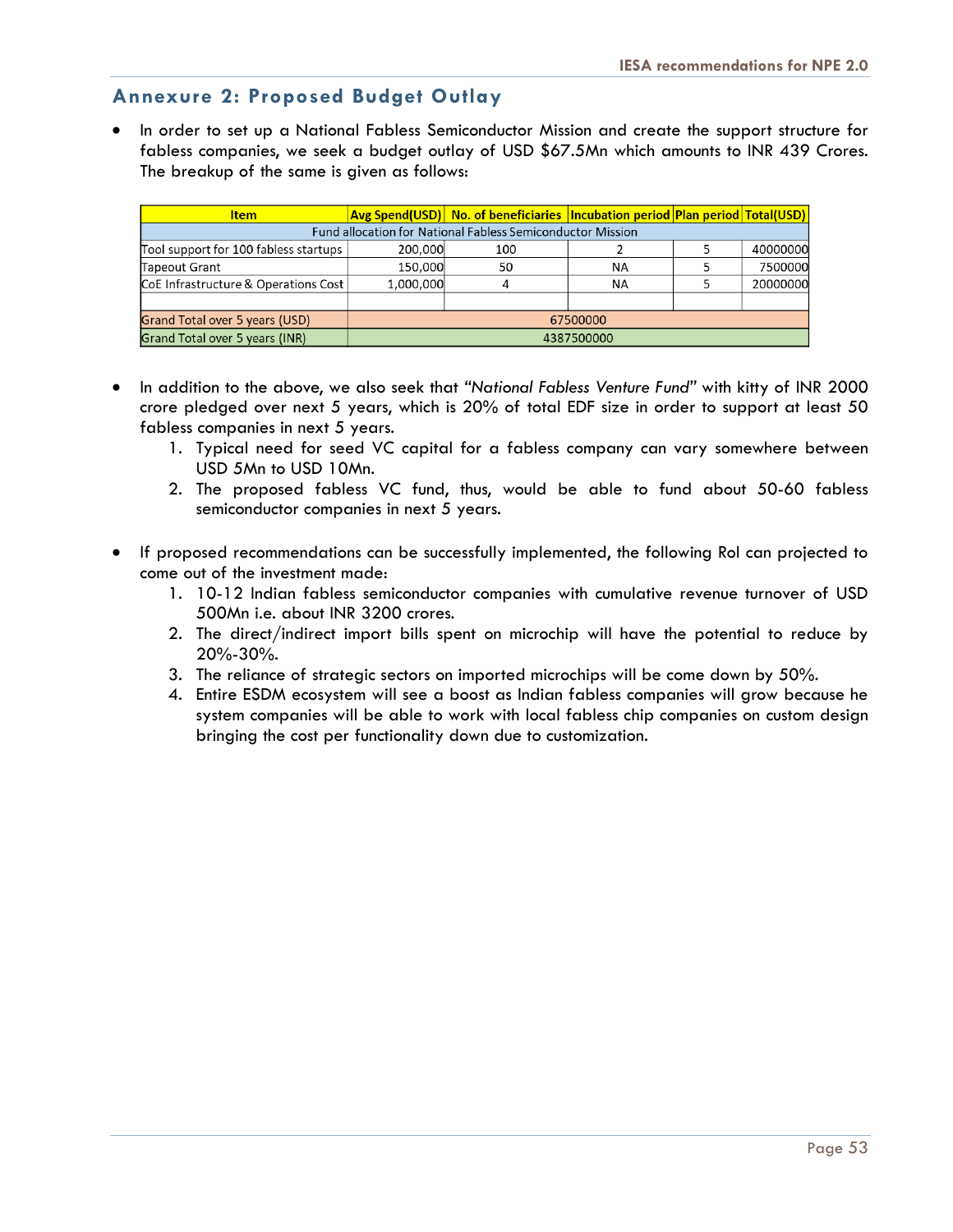## **Annexure 2: Proposed Budget Outlay**

• In order to set up a National Fabless Semiconductor Mission and create the support structure for fabless companies, we seek a budget outlay of USD \$67.5Mn which amounts to INR 439 Crores. The breakup of the same is given as follows:

| <b>Item</b>                           |           | <b>Avg Spend(USD)</b> No. of beneficiaries   Incubation period   Plan period   Total(USD) |            |          |
|---------------------------------------|-----------|-------------------------------------------------------------------------------------------|------------|----------|
|                                       |           | <b>Fund allocation for National Fabless Semiconductor Mission</b>                         |            |          |
| Tool support for 100 fabless startups | 200,000   | 100                                                                                       |            | 40000000 |
| <b>Tapeout Grant</b>                  | 150,000   | 50                                                                                        | <b>NA</b>  | 7500000  |
| CoE Infrastructure & Operations Cost  | 1,000,000 |                                                                                           | NА         | 20000000 |
|                                       |           |                                                                                           |            |          |
| <b>Grand Total over 5 years (USD)</b> |           |                                                                                           | 67500000   |          |
| Grand Total over 5 years (INR)        |           |                                                                                           | 4387500000 |          |

- In addition to the above, we also seek that *"National Fabless Venture Fund"* with kitty of INR 2000 crore pledged over next 5 years, which is 20% of total EDF size in order to support at least 50 fabless companies in next 5 years.
	- 1. Typical need for seed VC capital for a fabless company can vary somewhere between USD 5Mn to USD 10Mn.
	- 2. The proposed fabless VC fund, thus, would be able to fund about 50-60 fabless semiconductor companies in next 5 years.
- If proposed recommendations can be successfully implemented, the following RoI can projected to come out of the investment made:
	- 1. 10-12 Indian fabless semiconductor companies with cumulative revenue turnover of USD 500Mn i.e. about INR 3200 crores.
	- 2. The direct/indirect import bills spent on microchip will have the potential to reduce by 20%-30%.
	- 3. The reliance of strategic sectors on imported microchips will be come down by 50%.
	- 4. Entire ESDM ecosystem will see a boost as Indian fabless companies will grow because he system companies will be able to work with local fabless chip companies on custom design bringing the cost per functionality down due to customization.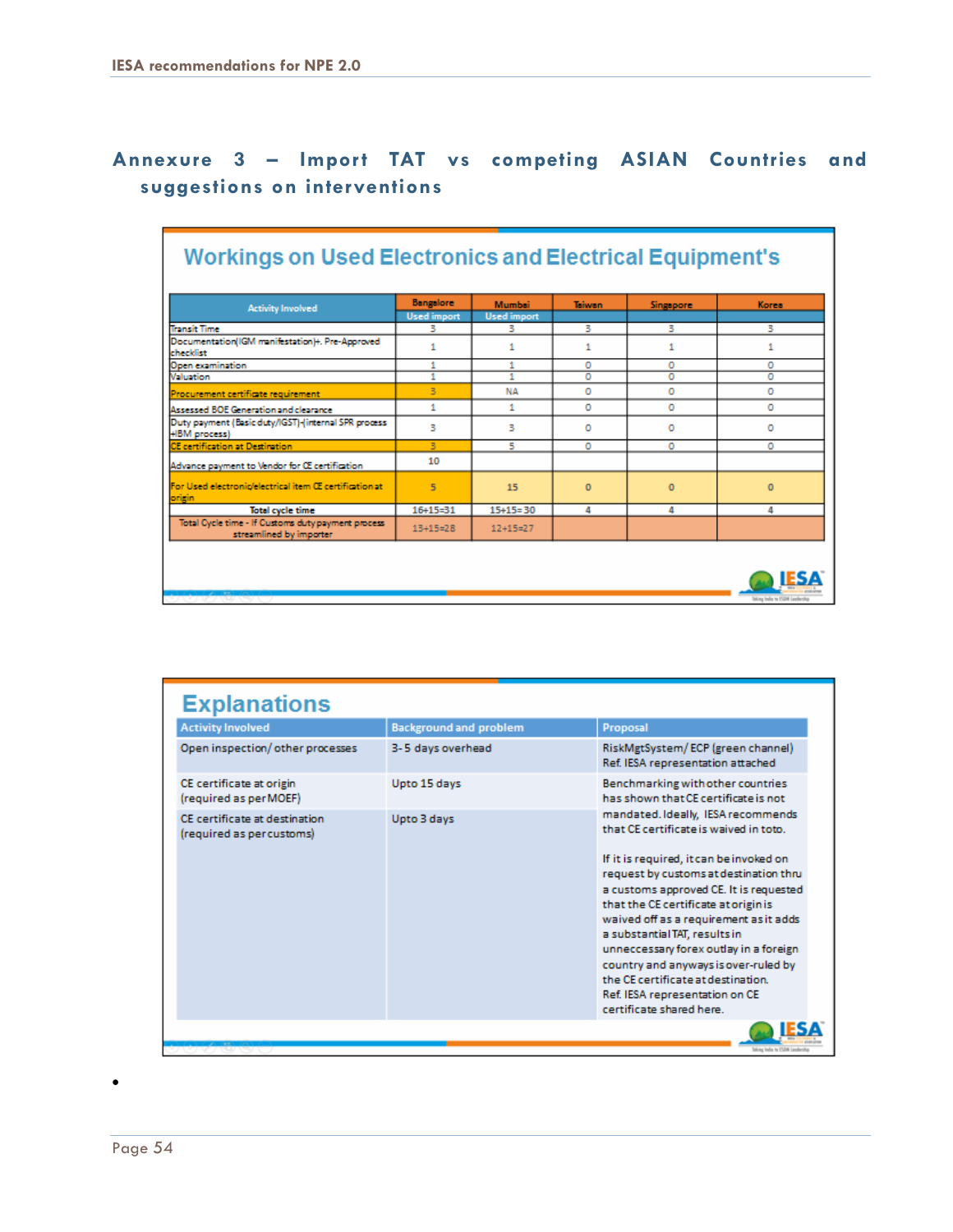# **Annexure 3 – Import TAT vs competing ASIAN Countries and suggestions on interventions**

| <b>Activity Involved</b>                                                      | Bangalore          | Mumbai             | Taiwan | Singapore | Korea    |
|-------------------------------------------------------------------------------|--------------------|--------------------|--------|-----------|----------|
|                                                                               | <b>Used import</b> | <b>Used import</b> |        |           |          |
| <b>Transit Time</b>                                                           | в                  | в                  | в      | в.        | з        |
| Documentation(IGM manifestation)+. Pre-Approved<br>checklist                  | 1                  | 1                  | 1      | 1         |          |
| Open examination                                                              | 1                  | 1                  | ٥      | o         | o        |
| <b>Valuation</b>                                                              | 1                  | 1                  | o      | o         | ٥        |
| Procurement certificate requirement                                           | B                  | NΔ                 | o      | o         | o        |
| Assessed BOE Generation and clearance                                         | 1                  | 1                  | ٥      | o         | ٥        |
| Duty payment (Basic duty/IGST) (internal SPR process<br>HBM process)          | з                  | в                  | ٥      | o         | o        |
| <b>CE</b> certification at Destination                                        | 3                  | 5                  | o      | ٥         | o        |
| Advance payment to Vendor for CE certification                                | 10                 |                    |        |           |          |
| For Used electronic/electrical item CE certification at<br>origin             | 5                  | 15                 | o      | $\Omega$  | $\Omega$ |
| <b>Total cycle time</b>                                                       | 16+15=31           | $15 + 15 = 30$     | 4      | 4         | 4        |
| Total Cycle time - If Customs duty payment process<br>streamlined by importer | $13 + 15 = 28$     | $12 + 15 = 27$     |        |           |          |

| <b>Activity Involved</b>                                  | <b>Background and problem</b> | Proposal                                                                                         |
|-----------------------------------------------------------|-------------------------------|--------------------------------------------------------------------------------------------------|
| Open inspection/other processes                           | 3-5 days overhead             | RiskMgtSystem/ECP (green channel)<br>Ref. IESA representation attached                           |
| CE certificate at origin<br>(required as per MOEF)        | Upto 15 days                  | Benchmarking with other countries<br>has shown that CE certificate is not                        |
| CE certificate at destination<br>(required as percustoms) | Upto 3 days                   | mandated. Ideally, IESA recommends<br>that CE certificate is waived in toto.                     |
|                                                           |                               | If it is required, it can be invoked on<br>request by customs at destination thru                |
|                                                           |                               | a customs approved CE. It is requested<br>that the CE certificate at origin is                   |
|                                                           |                               | waived off as a requirement as it adds<br>a substantial TAT, results in                          |
|                                                           |                               | unneccessary forex outlay in a foreign<br>country and anyways is over-ruled by                   |
|                                                           |                               | the CE certificate at destination.<br>Ref. IESA representation on CE<br>certificate shared here. |

•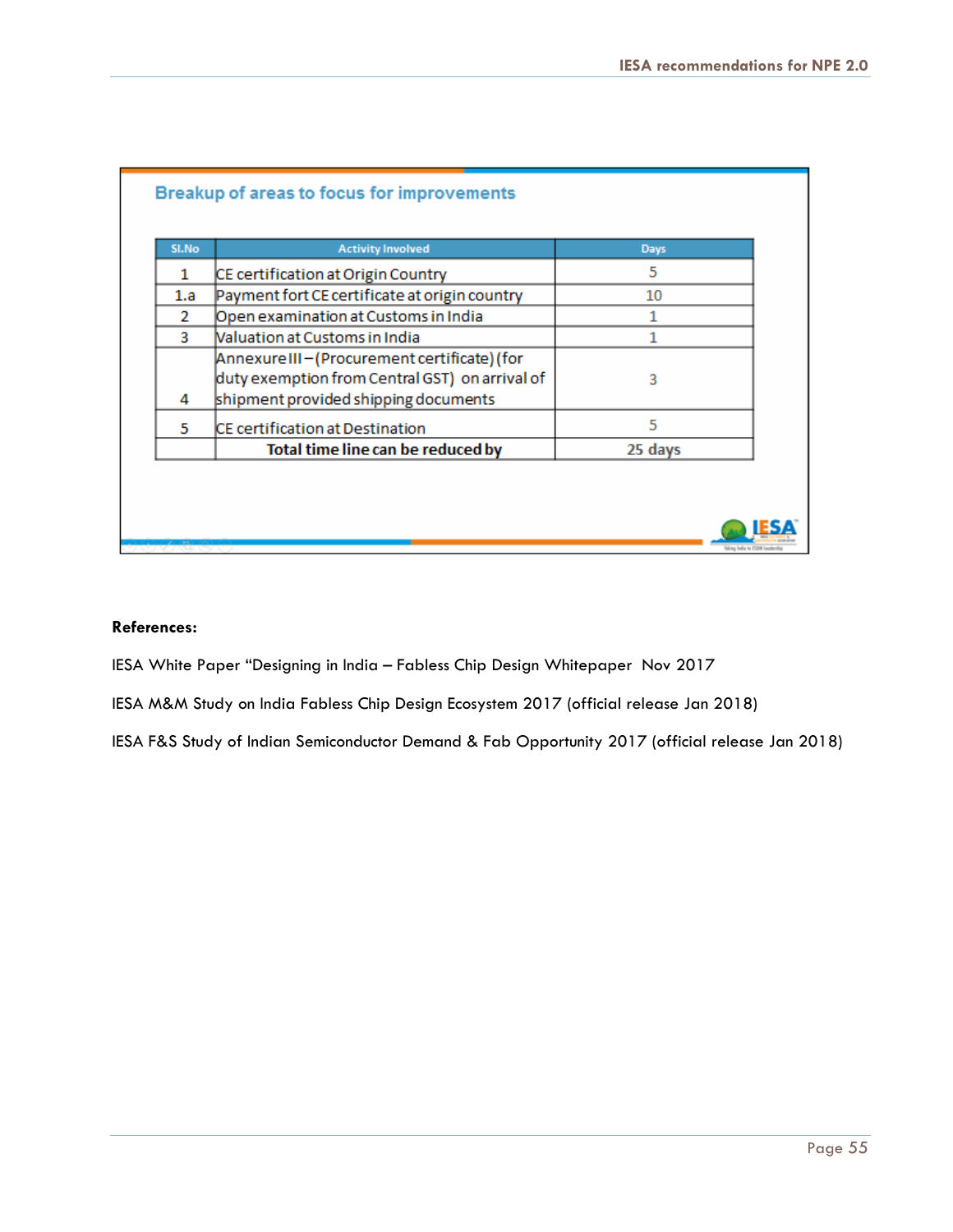| 5<br>CE certification at Origin Country<br>1<br>Payment fort CE certificate at origin country<br>1.a<br>10<br>Open examination at Customs in India<br>2<br>Naluation at Customs in India<br>3<br>Annexure III - (Procurement certificate) (for |  |
|------------------------------------------------------------------------------------------------------------------------------------------------------------------------------------------------------------------------------------------------|--|
|                                                                                                                                                                                                                                                |  |
|                                                                                                                                                                                                                                                |  |
|                                                                                                                                                                                                                                                |  |
|                                                                                                                                                                                                                                                |  |
| duty exemption from Central GST) on arrival of<br>3<br>shipment provided shipping documents<br>4                                                                                                                                               |  |
| 5<br><b>ICE certification at Destination</b><br>5                                                                                                                                                                                              |  |
| Total time line can be reduced by<br>25 days                                                                                                                                                                                                   |  |

#### **References:**

IESA White Paper "Designing in India – Fabless Chip Design Whitepaper Nov 2017

IESA M&M Study on India Fabless Chip Design Ecosystem 2017 (official release Jan 2018)

IESA F&S Study of Indian Semiconductor Demand & Fab Opportunity 2017 (official release Jan 2018)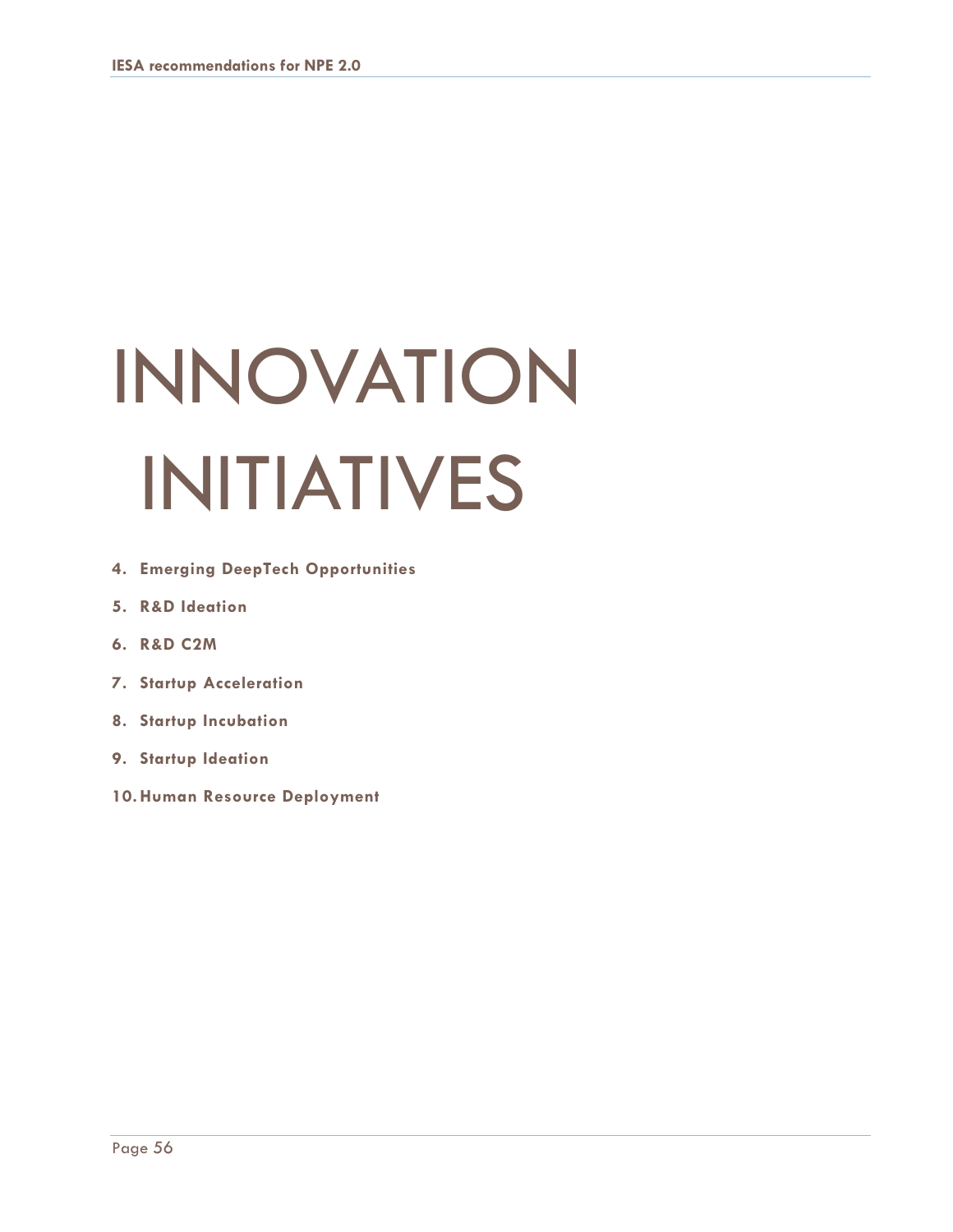# INNOVATION INITIATIVES

- **4. Emerging DeepTech Opportunities**
- **5. R&D Ideation**
- **6. R&D C2M**
- **7. Startup Acceleration**
- **8. Startup Incubation**
- **9. Startup Ideation**
- **10.Human Resource Deployment**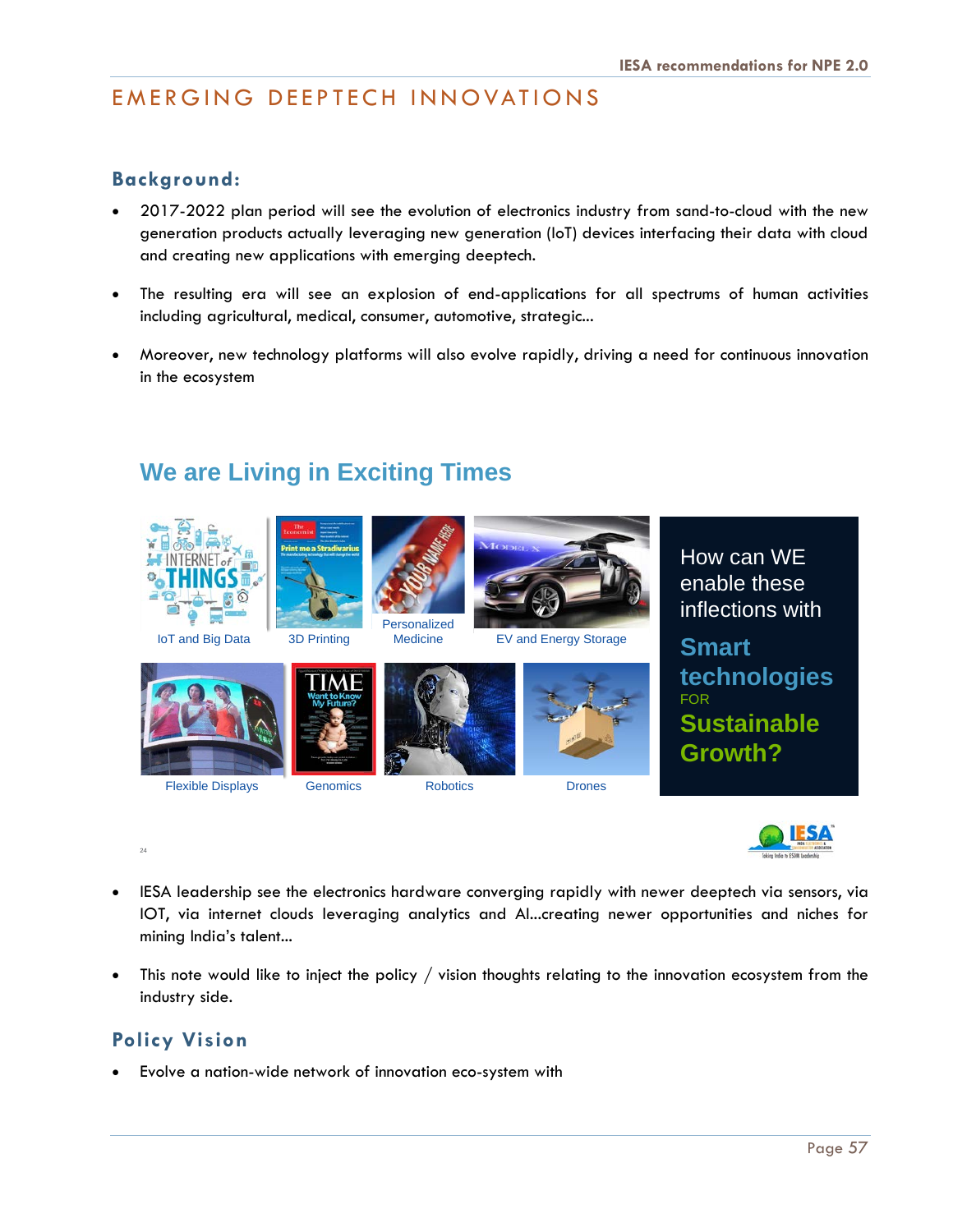# EMERGING DEEPTECH INNOVATIONS

### **Background:**

- 2017-2022 plan period will see the evolution of electronics industry from sand-to-cloud with the new generation products actually leveraging new generation (IoT) devices interfacing their data with cloud and creating new applications with emerging deeptech.
- The resulting era will see an explosion of end-applications for all spectrums of human activities including agricultural, medical, consumer, automotive, strategic...
- Moreover, new technology platforms will also evolve rapidly, driving a need for continuous innovation in the ecosystem







How can WE enable these inflections with

IoT and Big Data

Flexible Displays

#### 3D Printing

**We are Living in Exciting Times**

#### Medicine **EV** and Energy Storage

**Smart technologies**  FOR **Sustainable**

**Growth?**





- IESA leadership see the electronics hardware converging rapidly with newer deeptech via sensors, via IOT, via internet clouds leveraging analytics and AI...creating newer opportunities and niches for mining India's talent...
- This note would like to inject the policy / vision thoughts relating to the innovation ecosystem from the industry side.

## **Policy Vision**

24

• Evolve a nation-wide network of innovation eco-system with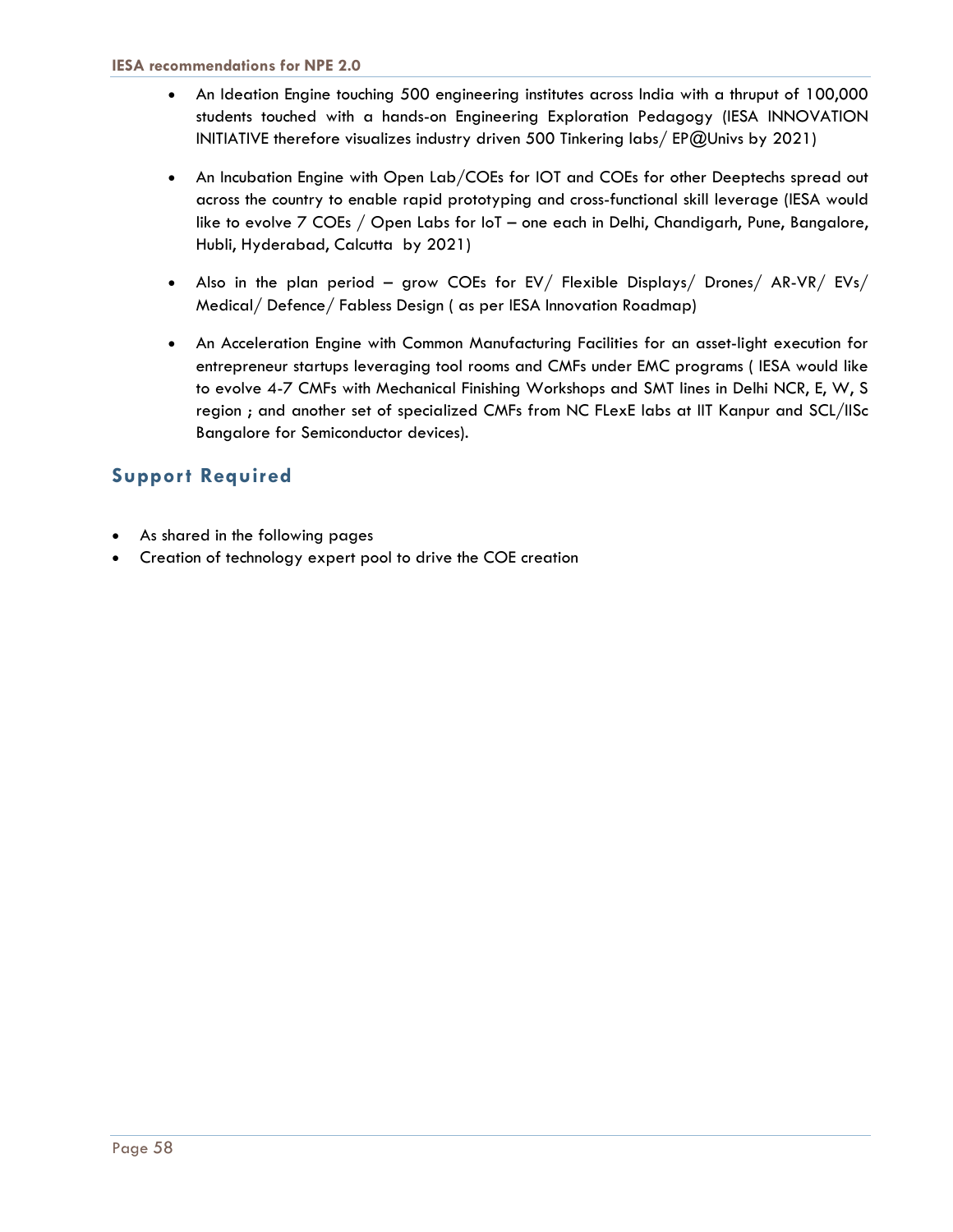#### **IESA recommendations for NPE 2.0**

- An Ideation Engine touching 500 engineering institutes across India with a thruput of 100,000 students touched with a hands-on Engineering Exploration Pedagogy (IESA INNOVATION INITIATIVE therefore visualizes industry driven 500 Tinkering labs/ EP@Univs by 2021)
- An Incubation Engine with Open Lab/COEs for IOT and COEs for other Deeptechs spread out across the country to enable rapid prototyping and cross-functional skill leverage (IESA would like to evolve 7 COEs / Open Labs for IoT – one each in Delhi, Chandigarh, Pune, Bangalore, Hubli, Hyderabad, Calcutta by 2021)
- Also in the plan period grow COEs for EV/ Flexible Displays/ Drones/ AR-VR/ EVs/ Medical/ Defence/ Fabless Design ( as per IESA Innovation Roadmap)
- An Acceleration Engine with Common Manufacturing Facilities for an asset-light execution for entrepreneur startups leveraging tool rooms and CMFs under EMC programs ( IESA would like to evolve 4-7 CMFs with Mechanical Finishing Workshops and SMT lines in Delhi NCR, E, W, S region ; and another set of specialized CMFs from NC FLexE labs at IIT Kanpur and SCL/IISc Bangalore for Semiconductor devices).

## **Support Required**

- As shared in the following pages
- Creation of technology expert pool to drive the COE creation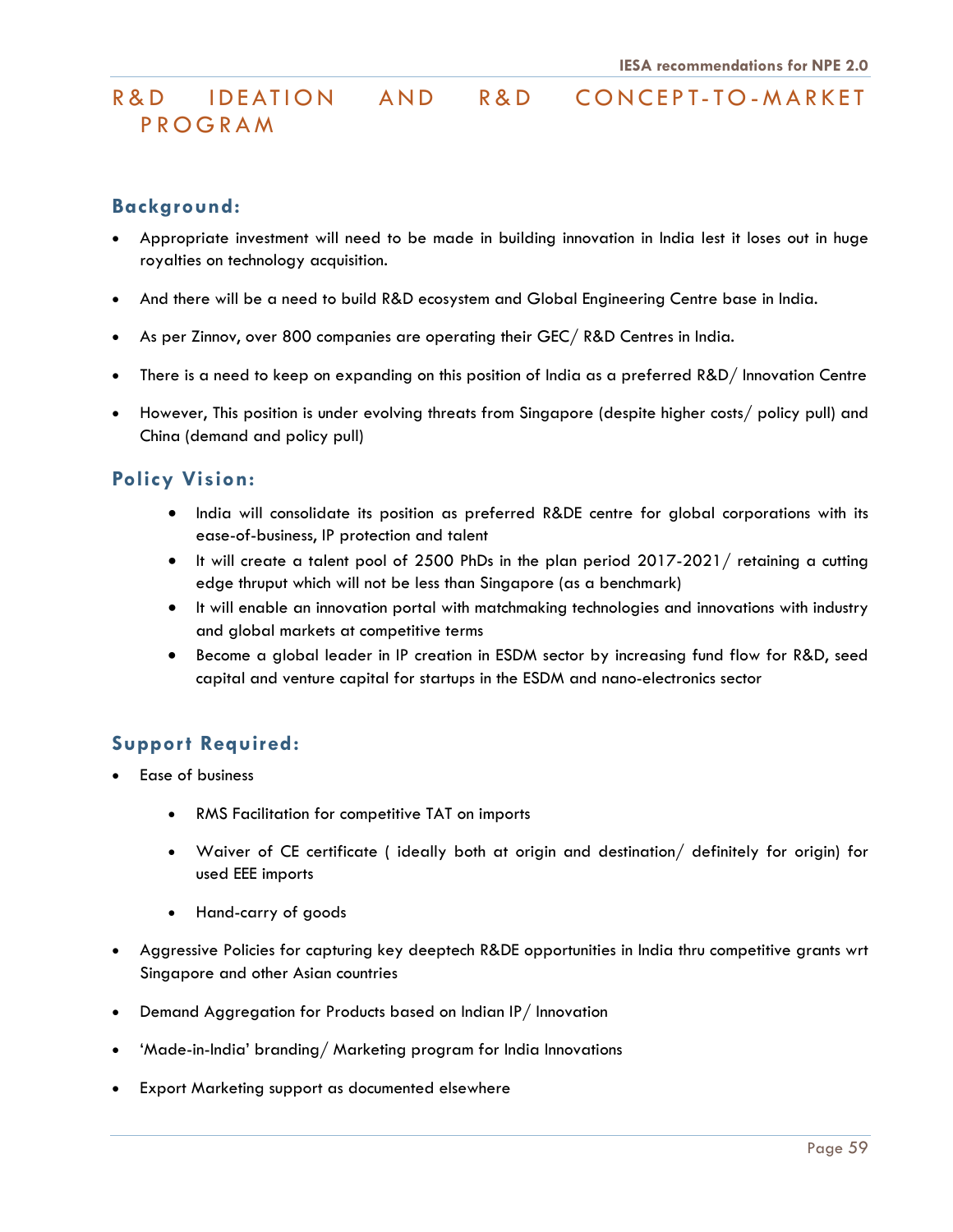## R&D IDEATION AND R&D CONCEPT- TO-MARKET PROGRAM

#### **Background:**

- Appropriate investment will need to be made in building innovation in India lest it loses out in huge royalties on technology acquisition.
- And there will be a need to build R&D ecosystem and Global Engineering Centre base in India.
- As per Zinnov, over 800 companies are operating their GEC/ R&D Centres in India.
- There is a need to keep on expanding on this position of India as a preferred R&D/ Innovation Centre
- However, This position is under evolving threats from Singapore (despite higher costs/ policy pull) and China (demand and policy pull)

#### **Policy Vision:**

- India will consolidate its position as preferred R&DE centre for global corporations with its ease-of-business, IP protection and talent
- It will create a talent pool of 2500 PhDs in the plan period 2017-2021/ retaining a cutting edge thruput which will not be less than Singapore (as a benchmark)
- It will enable an innovation portal with matchmaking technologies and innovations with industry and global markets at competitive terms
- Become a global leader in IP creation in ESDM sector by increasing fund flow for R&D, seed capital and venture capital for startups in the ESDM and nano-electronics sector

#### **Support Required:**

- Ease of business
	- RMS Facilitation for competitive TAT on imports
	- Waiver of CE certificate ( ideally both at origin and destination/ definitely for origin) for used EEE imports
	- Hand-carry of goods
- Aggressive Policies for capturing key deeptech R&DE opportunities in India thru competitive grants wrt Singapore and other Asian countries
- Demand Aggregation for Products based on Indian IP/ Innovation
- 'Made-in-India' branding/ Marketing program for India Innovations
- Export Marketing support as documented elsewhere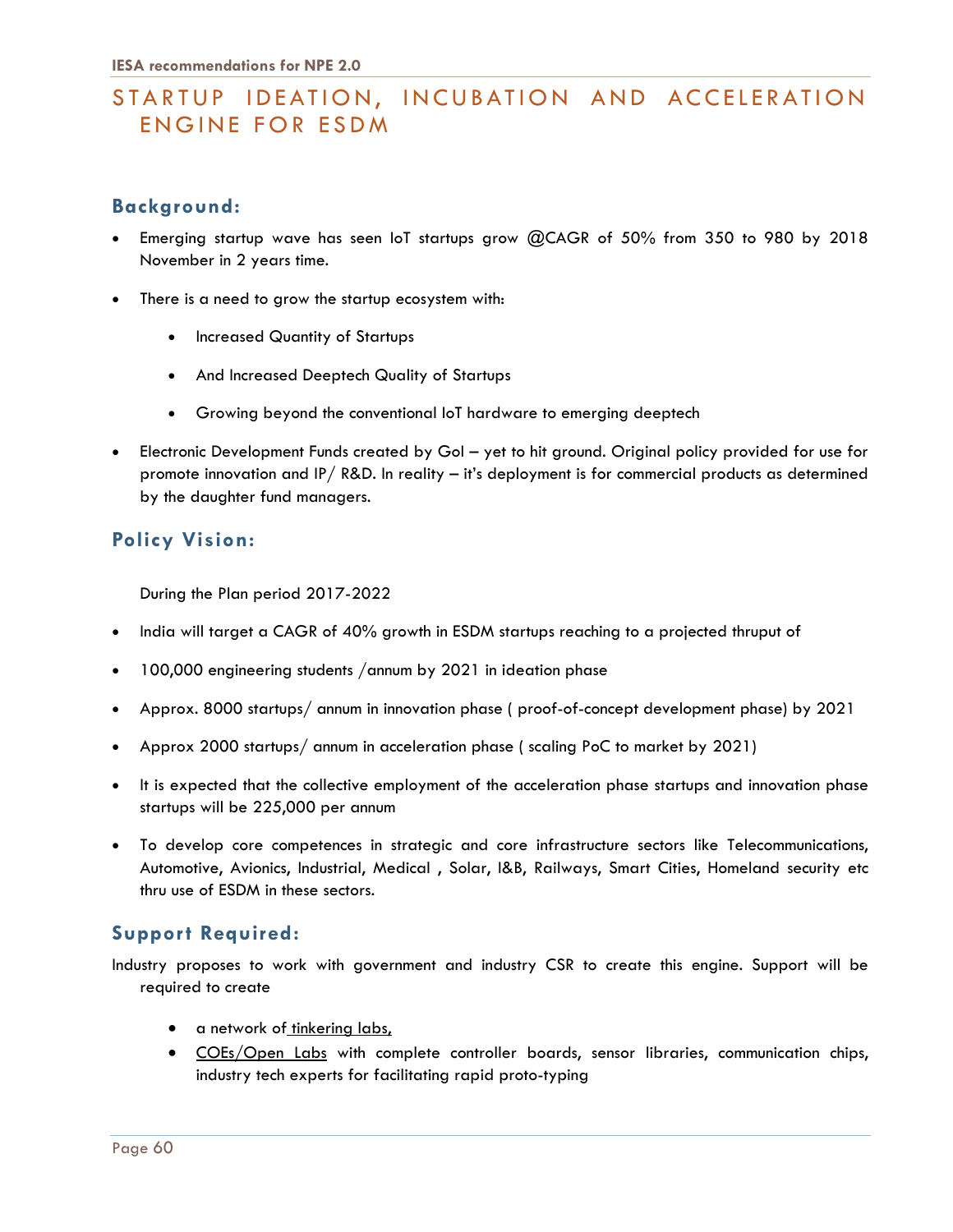# STARTUP IDEATION, INCUBATION AND ACCELER ATION ENGINE FOR ESDM

#### **Background:**

- Emerging startup wave has seen IoT startups grow @CAGR of 50% from 350 to 980 by 2018 November in 2 years time.
- There is a need to grow the startup ecosystem with:
	- Increased Quantity of Startups
	- And Increased Deeptech Quality of Startups
	- Growing beyond the conventional IoT hardware to emerging deeptech
- Electronic Development Funds created by GoI yet to hit ground. Original policy provided for use for promote innovation and IP/ R&D. In reality – it's deployment is for commercial products as determined by the daughter fund managers.

#### **Policy Vision:**

During the Plan period 2017-2022

- India will target a CAGR of 40% growth in ESDM startups reaching to a projected thruput of
- 100,000 engineering students /annum by 2021 in ideation phase
- Approx. 8000 startups/ annum in innovation phase ( proof-of-concept development phase) by 2021
- Approx 2000 startups/ annum in acceleration phase ( scaling PoC to market by 2021)
- It is expected that the collective employment of the acceleration phase startups and innovation phase startups will be 225,000 per annum
- To develop core competences in strategic and core infrastructure sectors like Telecommunications, Automotive, Avionics, Industrial, Medical , Solar, I&B, Railways, Smart Cities, Homeland security etc thru use of ESDM in these sectors.

#### **Support Required:**

Industry proposes to work with government and industry CSR to create this engine. Support will be required to create

- a network of tinkering labs,
- COEs/Open Labs with complete controller boards, sensor libraries, communication chips, industry tech experts for facilitating rapid proto-typing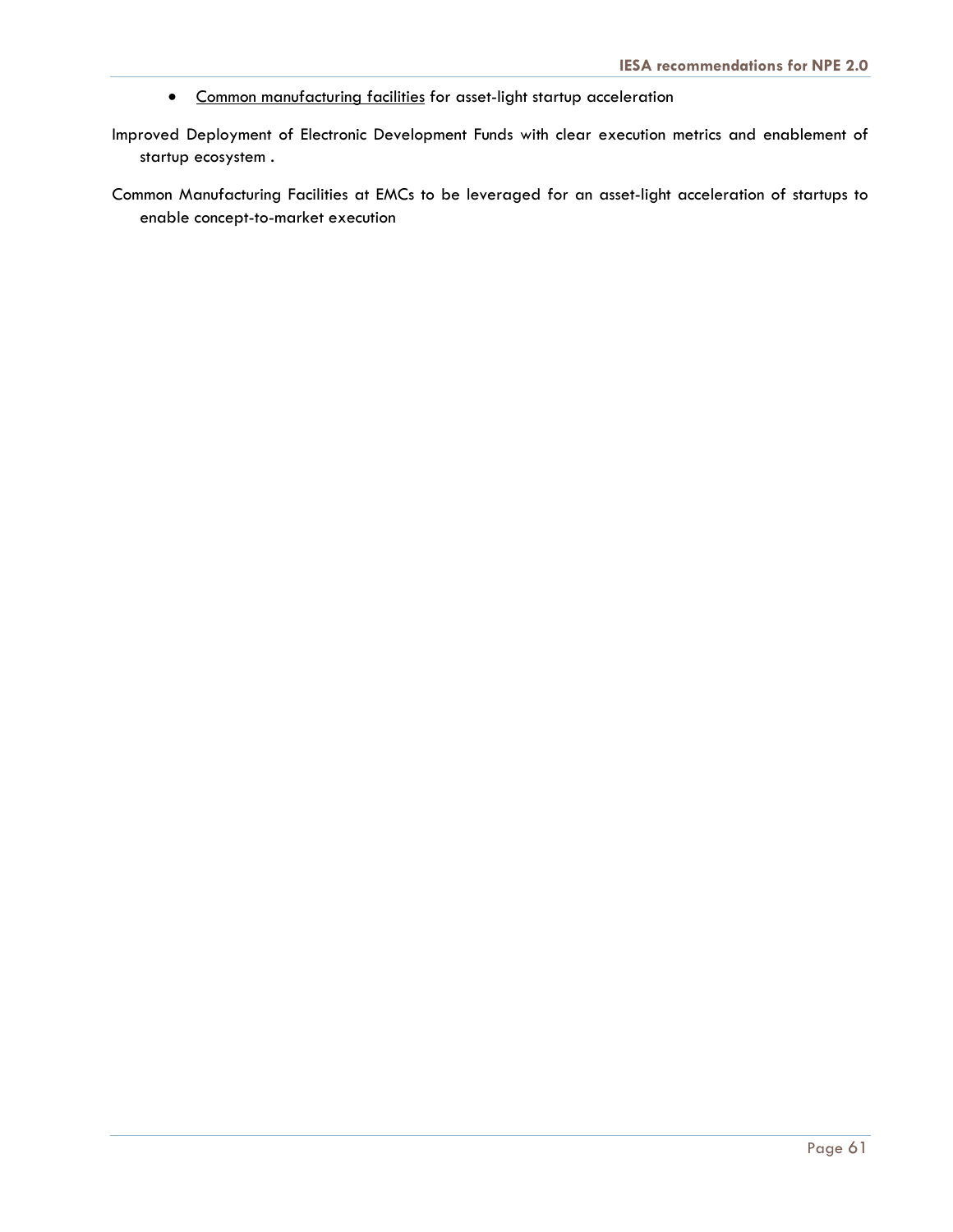- Common manufacturing facilities for asset-light startup acceleration
- Improved Deployment of Electronic Development Funds with clear execution metrics and enablement of startup ecosystem .
- Common Manufacturing Facilities at EMCs to be leveraged for an asset-light acceleration of startups to enable concept-to-market execution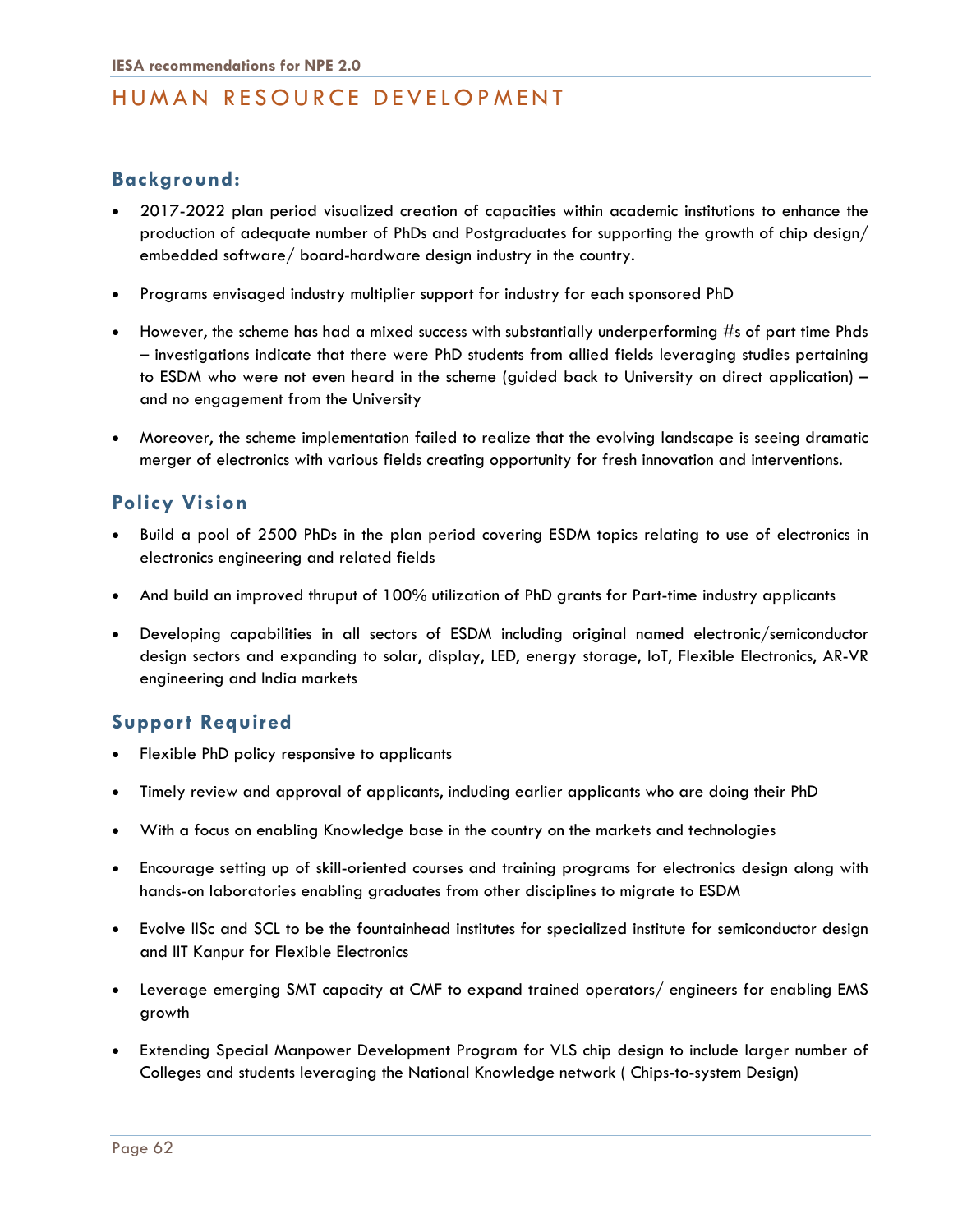# HUMAN RESOURCE DEVELOPMENT

#### **Background:**

- 2017-2022 plan period visualized creation of capacities within academic institutions to enhance the production of adequate number of PhDs and Postgraduates for supporting the growth of chip design/ embedded software/ board-hardware design industry in the country.
- Programs envisaged industry multiplier support for industry for each sponsored PhD
- However, the scheme has had a mixed success with substantially underperforming #s of part time Phds – investigations indicate that there were PhD students from allied fields leveraging studies pertaining to ESDM who were not even heard in the scheme (guided back to University on direct application) – and no engagement from the University
- Moreover, the scheme implementation failed to realize that the evolving landscape is seeing dramatic merger of electronics with various fields creating opportunity for fresh innovation and interventions.

#### **Policy Vision**

- Build a pool of 2500 PhDs in the plan period covering ESDM topics relating to use of electronics in electronics engineering and related fields
- And build an improved thruput of 100% utilization of PhD grants for Part-time industry applicants
- Developing capabilities in all sectors of ESDM including original named electronic/semiconductor design sectors and expanding to solar, display, LED, energy storage, IoT, Flexible Electronics, AR-VR engineering and India markets

#### **Support Required**

- Flexible PhD policy responsive to applicants
- Timely review and approval of applicants, including earlier applicants who are doing their PhD
- With a focus on enabling Knowledge base in the country on the markets and technologies
- Encourage setting up of skill-oriented courses and training programs for electronics design along with hands-on laboratories enabling graduates from other disciplines to migrate to ESDM
- Evolve IISc and SCL to be the fountainhead institutes for specialized institute for semiconductor design and IIT Kanpur for Flexible Electronics
- Leverage emerging SMT capacity at CMF to expand trained operators/ engineers for enabling EMS growth
- Extending Special Manpower Development Program for VLS chip design to include larger number of Colleges and students leveraging the National Knowledge network ( Chips-to-system Design)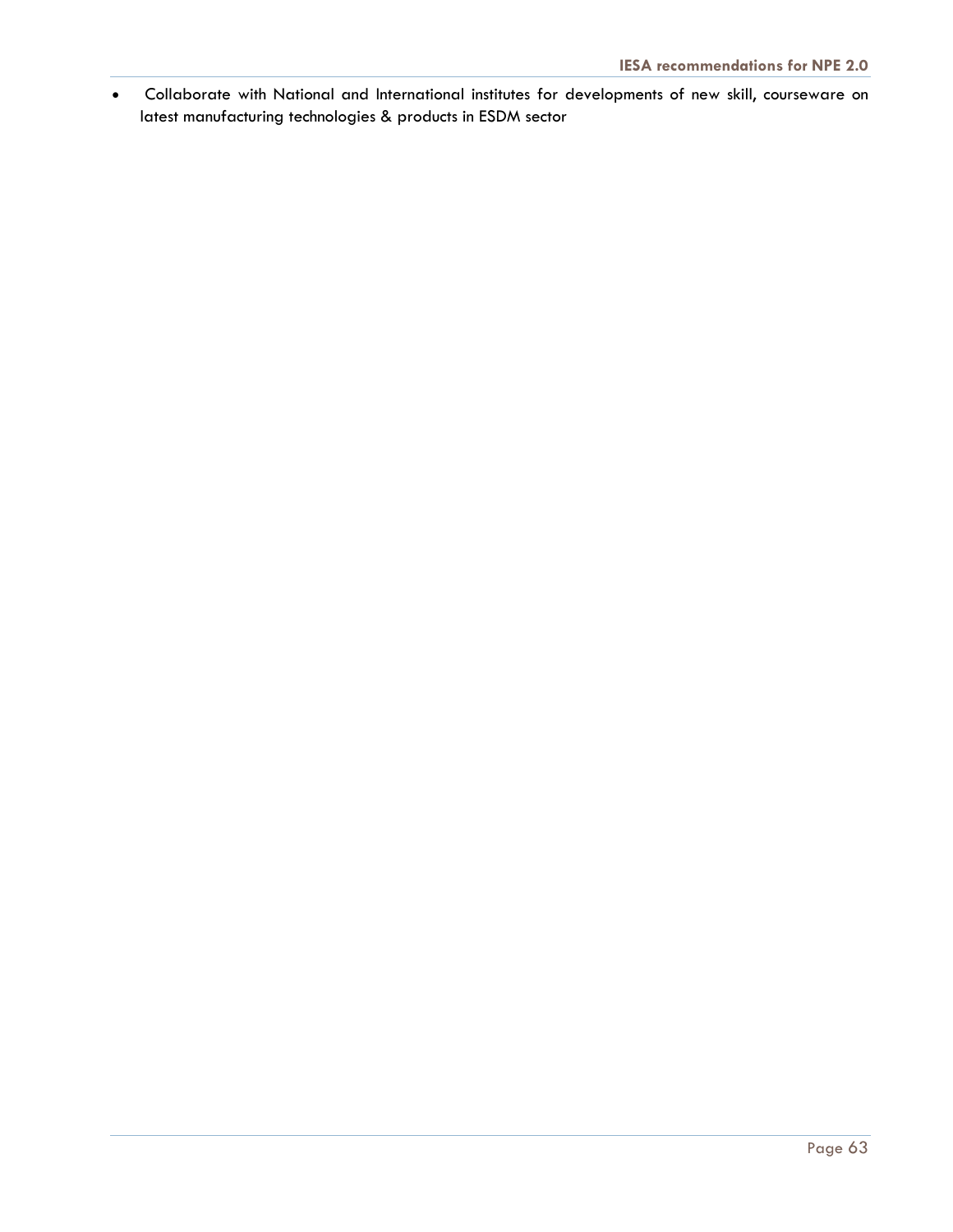• Collaborate with National and International institutes for developments of new skill, courseware on latest manufacturing technologies & products in ESDM sector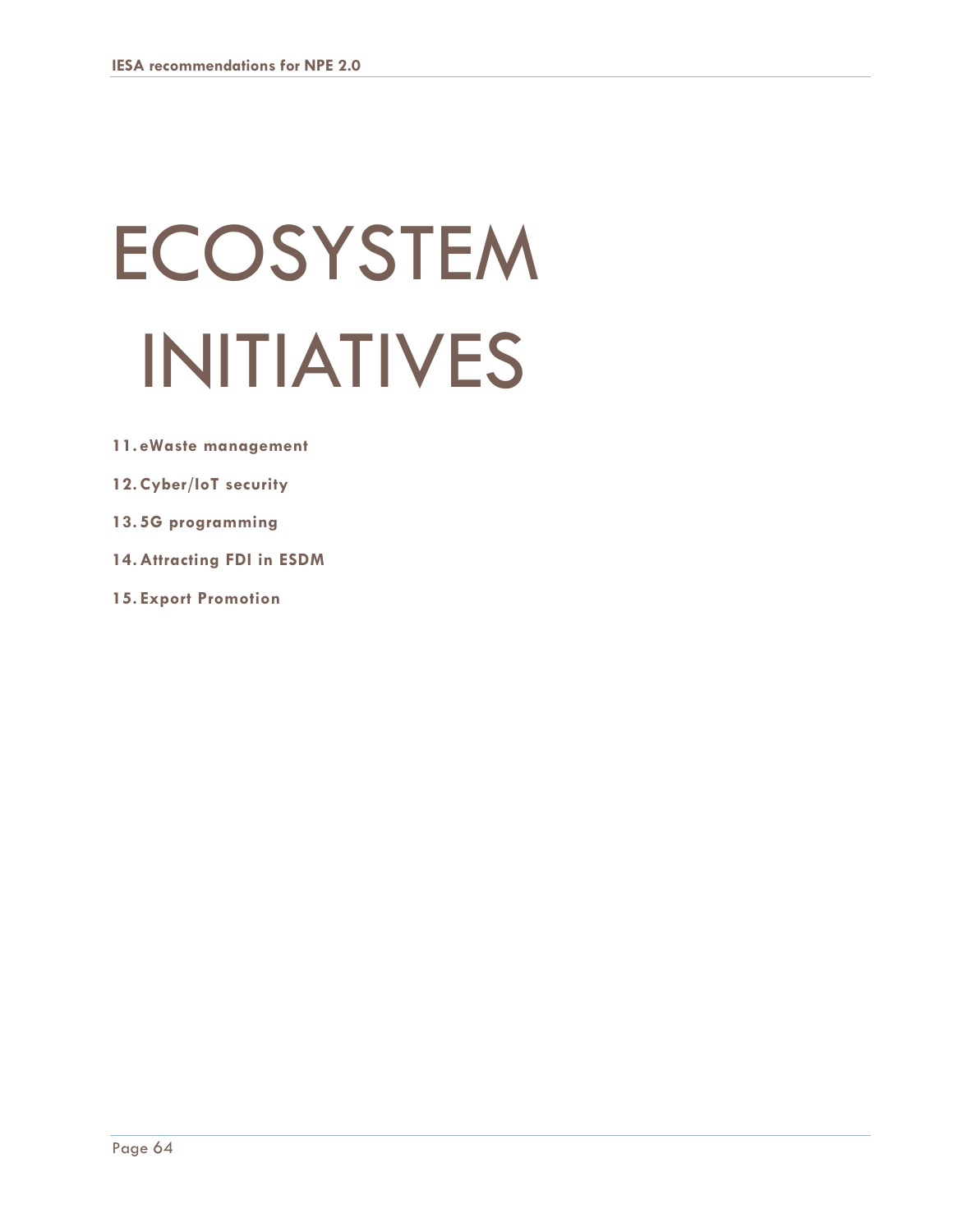# ECOSYSTEM INITIATIVES

- **11. eWaste management**
- **12. Cyber/IoT security**
- **13. 5G programming**
- **14.Attracting FDI in ESDM**
- **15. Export Promotion**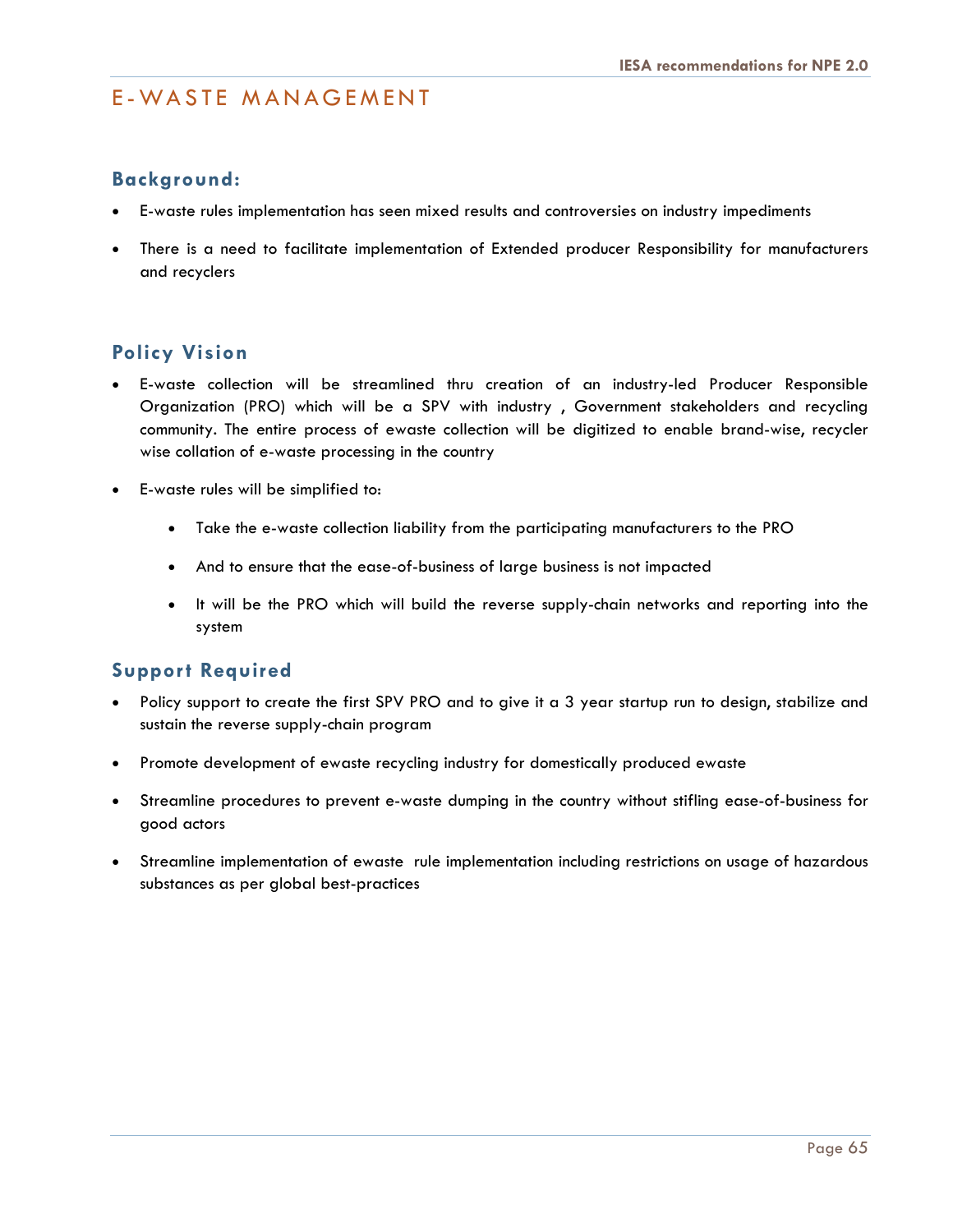# E -WASTE MANAGEMENT

#### **Background:**

- E-waste rules implementation has seen mixed results and controversies on industry impediments
- There is a need to facilitate implementation of Extended producer Responsibility for manufacturers and recyclers

## **Policy Vision**

- E-waste collection will be streamlined thru creation of an industry-led Producer Responsible Organization (PRO) which will be a SPV with industry , Government stakeholders and recycling community. The entire process of ewaste collection will be digitized to enable brand-wise, recycler wise collation of e-waste processing in the country
- E-waste rules will be simplified to:
	- Take the e-waste collection liability from the participating manufacturers to the PRO
	- And to ensure that the ease-of-business of large business is not impacted
	- It will be the PRO which will build the reverse supply-chain networks and reporting into the system

## **Support Required**

- Policy support to create the first SPV PRO and to give it a 3 year startup run to design, stabilize and sustain the reverse supply-chain program
- Promote development of ewaste recycling industry for domestically produced ewaste
- Streamline procedures to prevent e-waste dumping in the country without stifling ease-of-business for good actors
- Streamline implementation of ewaste rule implementation including restrictions on usage of hazardous substances as per global best-practices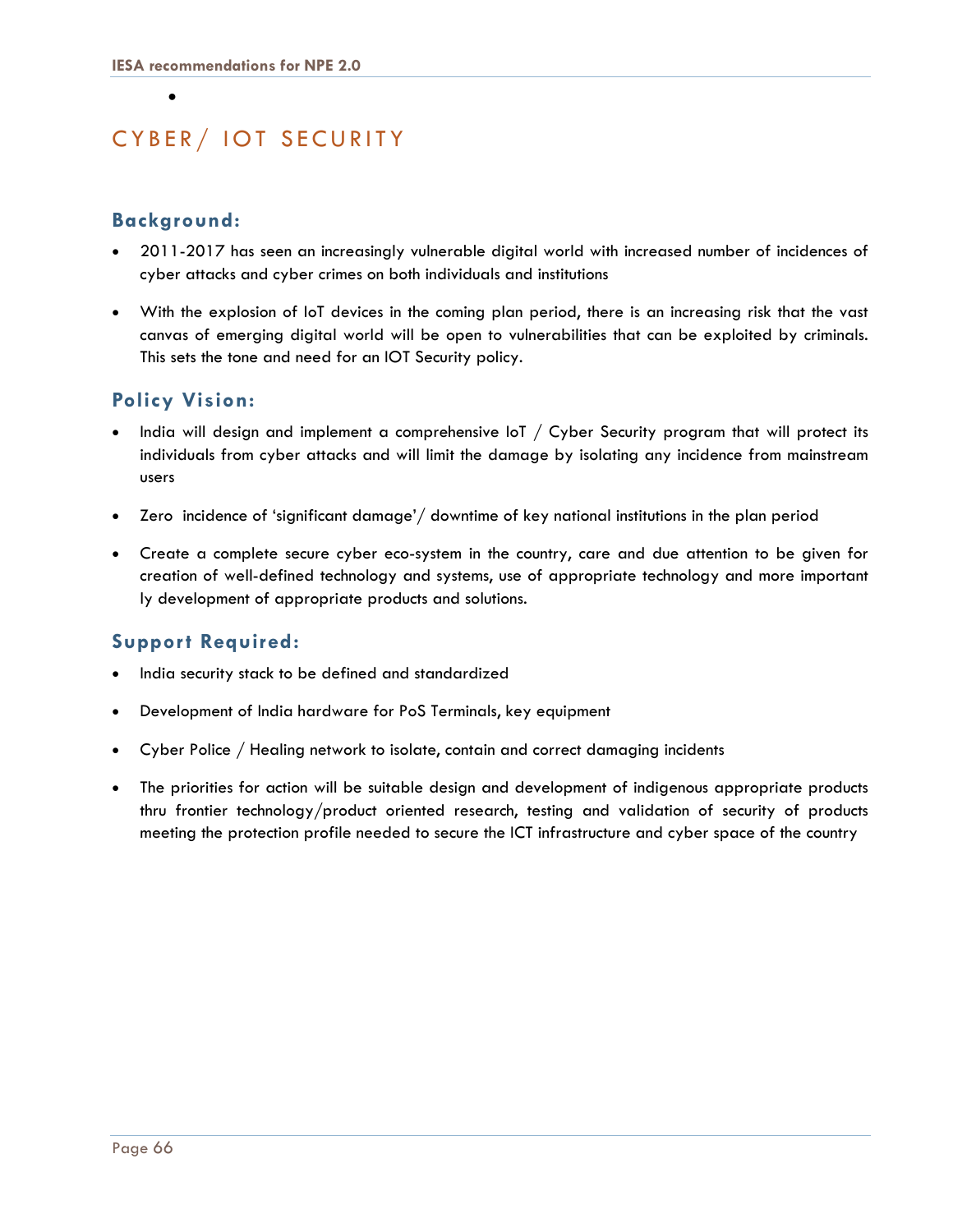# CYBER/ IOT SECURITY

#### **Background:**

•

- 2011-2017 has seen an increasingly vulnerable digital world with increased number of incidences of cyber attacks and cyber crimes on both individuals and institutions
- With the explosion of IoT devices in the coming plan period, there is an increasing risk that the vast canvas of emerging digital world will be open to vulnerabilities that can be exploited by criminals. This sets the tone and need for an IOT Security policy.

## **Policy Vision:**

- India will design and implement a comprehensive IoT / Cyber Security program that will protect its individuals from cyber attacks and will limit the damage by isolating any incidence from mainstream users
- Zero incidence of 'significant damage'/ downtime of key national institutions in the plan period
- Create a complete secure cyber eco-system in the country, care and due attention to be given for creation of well-defined technology and systems, use of appropriate technology and more important ly development of appropriate products and solutions.

#### **Support Required:**

- India security stack to be defined and standardized
- Development of India hardware for PoS Terminals, key equipment
- Cyber Police / Healing network to isolate, contain and correct damaging incidents
- The priorities for action will be suitable design and development of indigenous appropriate products thru frontier technology/product oriented research, testing and validation of security of products meeting the protection profile needed to secure the ICT infrastructure and cyber space of the country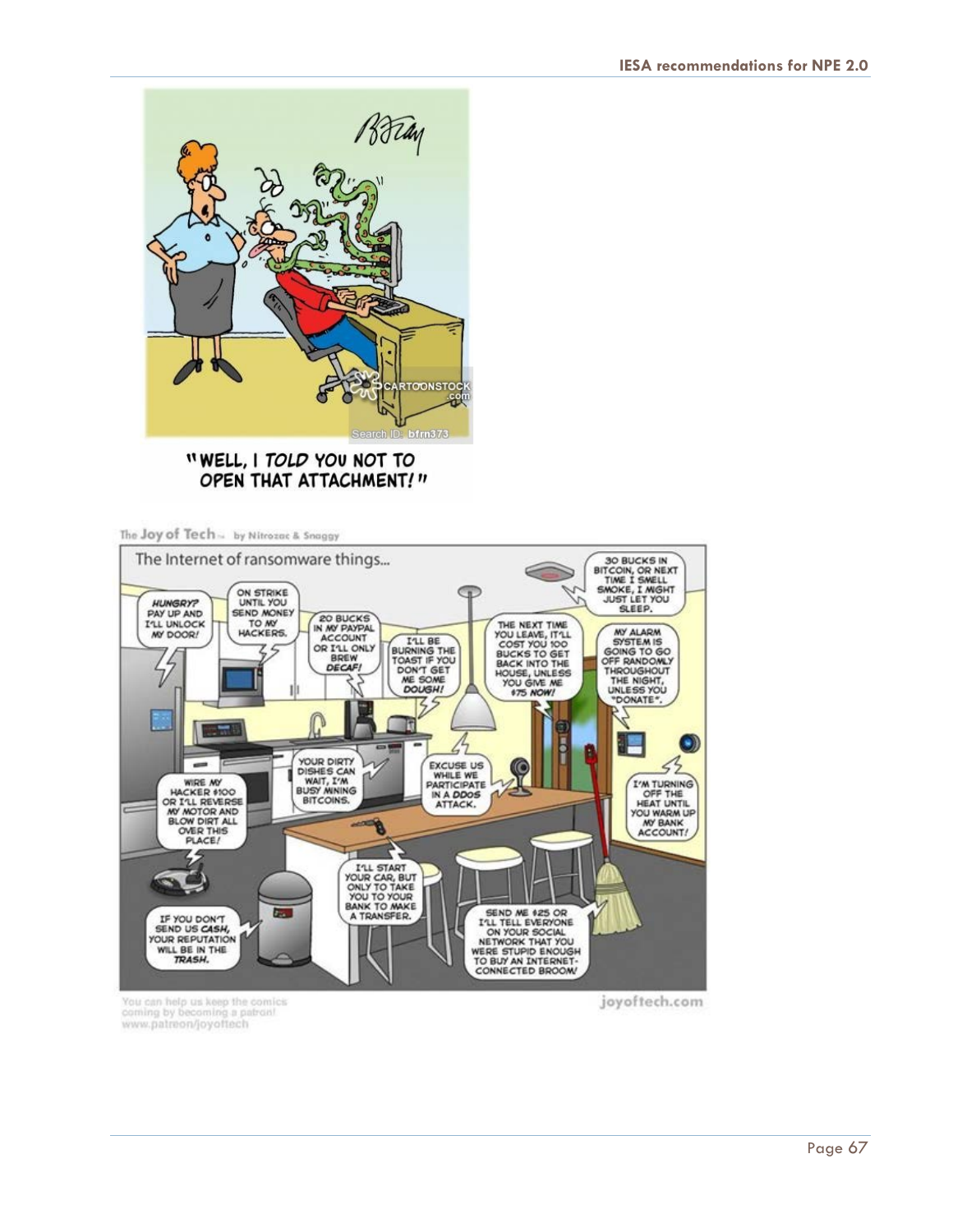

#### "WELL, I TOLD YOU NOT TO OPEN THAT ATTACHMENT!"

The Joy of Tech - by Nitrozac & Snaggy



You can help us keep the comics<br>coming by becoming a patron! www.patreon/joyoftech

joyoftech.com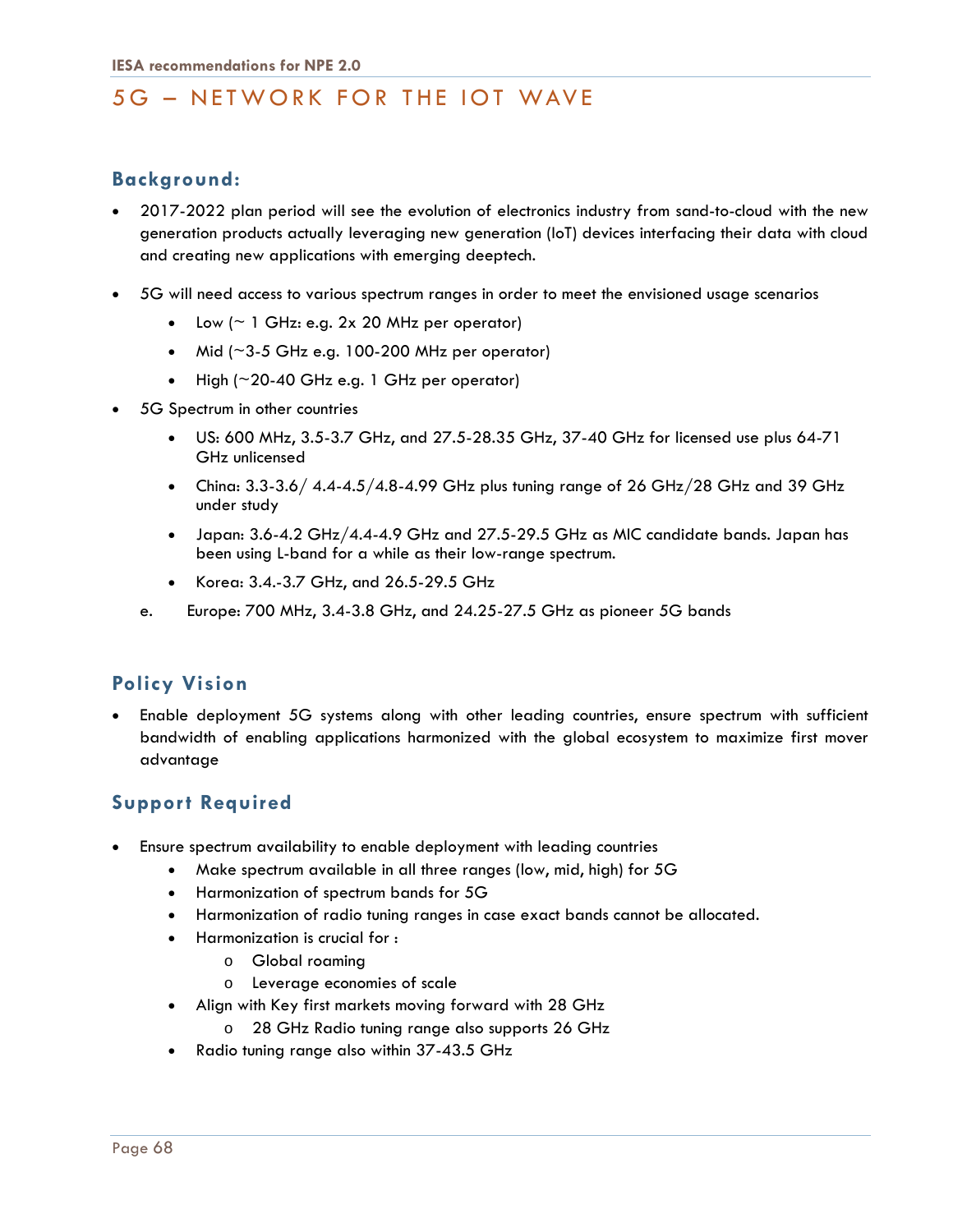# 5G - NETWORK FOR THE IOT WAVE

#### **Background:**

- 2017-2022 plan period will see the evolution of electronics industry from sand-to-cloud with the new generation products actually leveraging new generation (IoT) devices interfacing their data with cloud and creating new applications with emerging deeptech.
- 5G will need access to various spectrum ranges in order to meet the envisioned usage scenarios
	- Low  $($   $\sim$  1 GHz: e.g. 2x 20 MHz per operator)
	- Mid  $(~3-5$  GHz e.g. 100-200 MHz per operator)
	- High (~20-40 GHz e.g. 1 GHz per operator)
- 5G Spectrum in other countries
	- US: 600 MHz, 3.5-3.7 GHz, and 27.5-28.35 GHz, 37-40 GHz for licensed use plus 64-71 GHz unlicensed
	- China:  $3.3-3.6/$  4.4-4.5/4.8-4.99 GHz plus tuning range of 26 GHz/28 GHz and 39 GHz under study
	- Japan: 3.6-4.2 GHz/4.4-4.9 GHz and 27.5-29.5 GHz as MIC candidate bands. Japan has been using L-band for a while as their low-range spectrum.
	- Korea: 3.4.-3.7 GHz, and 26.5-29.5 GHz
	- e. Europe: 700 MHz, 3.4-3.8 GHz, and 24.25-27.5 GHz as pioneer 5G bands

#### **Policy Vision**

• Enable deployment 5G systems along with other leading countries, ensure spectrum with sufficient bandwidth of enabling applications harmonized with the global ecosystem to maximize first mover advantage

#### **Support Required**

- Ensure spectrum availability to enable deployment with leading countries
	- Make spectrum available in all three ranges (low, mid, high) for 5G
	- Harmonization of spectrum bands for 5G
	- Harmonization of radio tuning ranges in case exact bands cannot be allocated.
	- Harmonization is crucial for :
		- o Global roaming
		- o Leverage economies of scale
	- Align with Key first markets moving forward with 28 GHz
		- o 28 GHz Radio tuning range also supports 26 GHz
	- Radio tuning range also within 37-43.5 GHz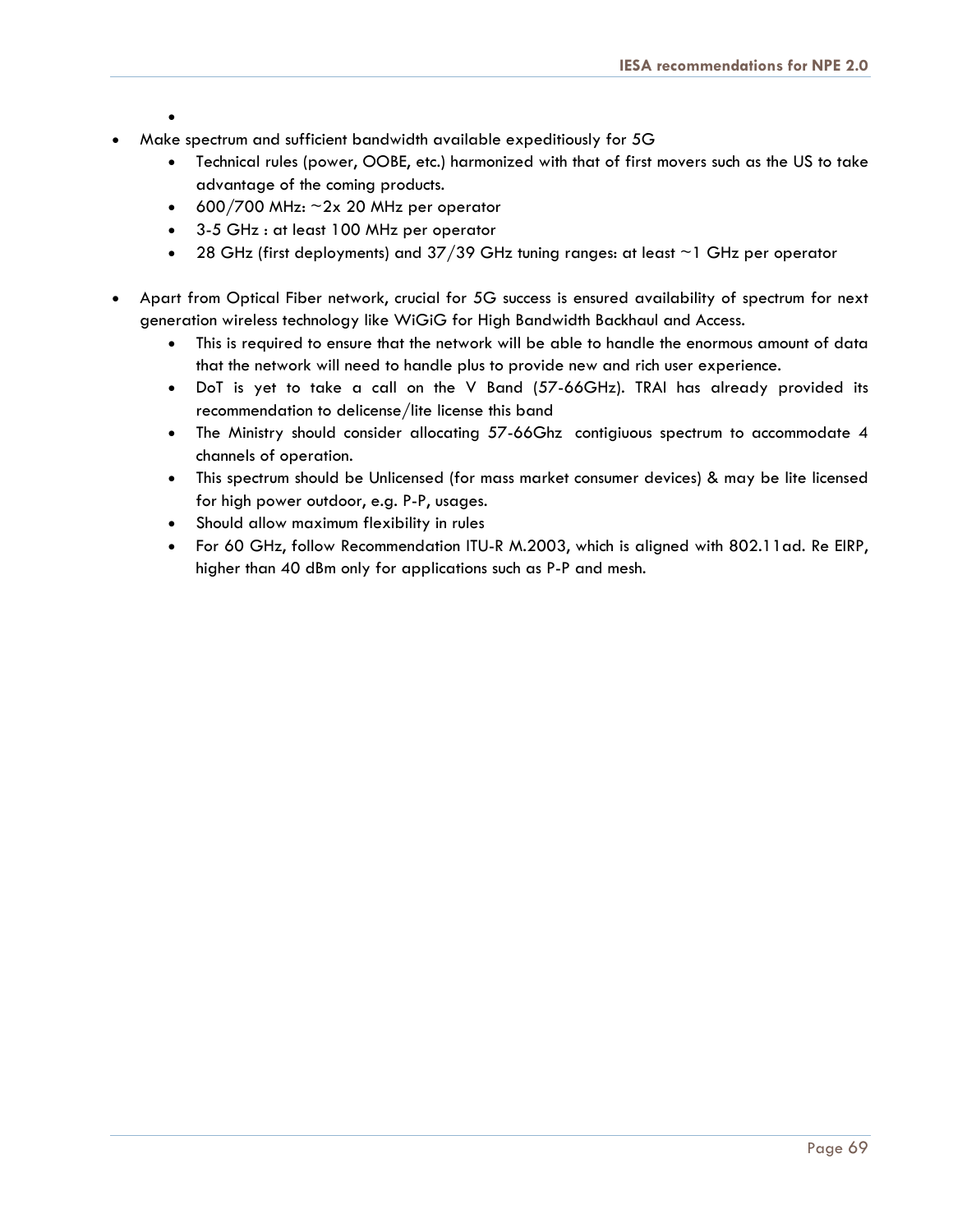- •
- Make spectrum and sufficient bandwidth available expeditiously for 5G
	- Technical rules (power, OOBE, etc.) harmonized with that of first movers such as the US to take advantage of the coming products.
	- 600/700 MHz:  $\sim$ 2x 20 MHz per operator
	- 3-5 GHz : at least 100 MHz per operator
	- 28 GHz (first deployments) and  $37/39$  GHz tuning ranges: at least  $\sim$  1 GHz per operator
- Apart from Optical Fiber network, crucial for 5G success is ensured availability of spectrum for next generation wireless technology like WiGiG for High Bandwidth Backhaul and Access.
	- This is required to ensure that the network will be able to handle the enormous amount of data that the network will need to handle plus to provide new and rich user experience.
	- DoT is yet to take a call on the V Band (57-66GHz). TRAI has already provided its recommendation to delicense/lite license this band
	- The Ministry should consider allocating 57-66Ghz contigiuous spectrum to accommodate 4 channels of operation.
	- This spectrum should be Unlicensed (for mass market consumer devices) & may be lite licensed for high power outdoor, e.g. P-P, usages.
	- Should allow maximum flexibility in rules
	- For 60 GHz, follow Recommendation ITU-R M.2003, which is aligned with 802.11ad. Re EIRP, higher than 40 dBm only for applications such as P-P and mesh.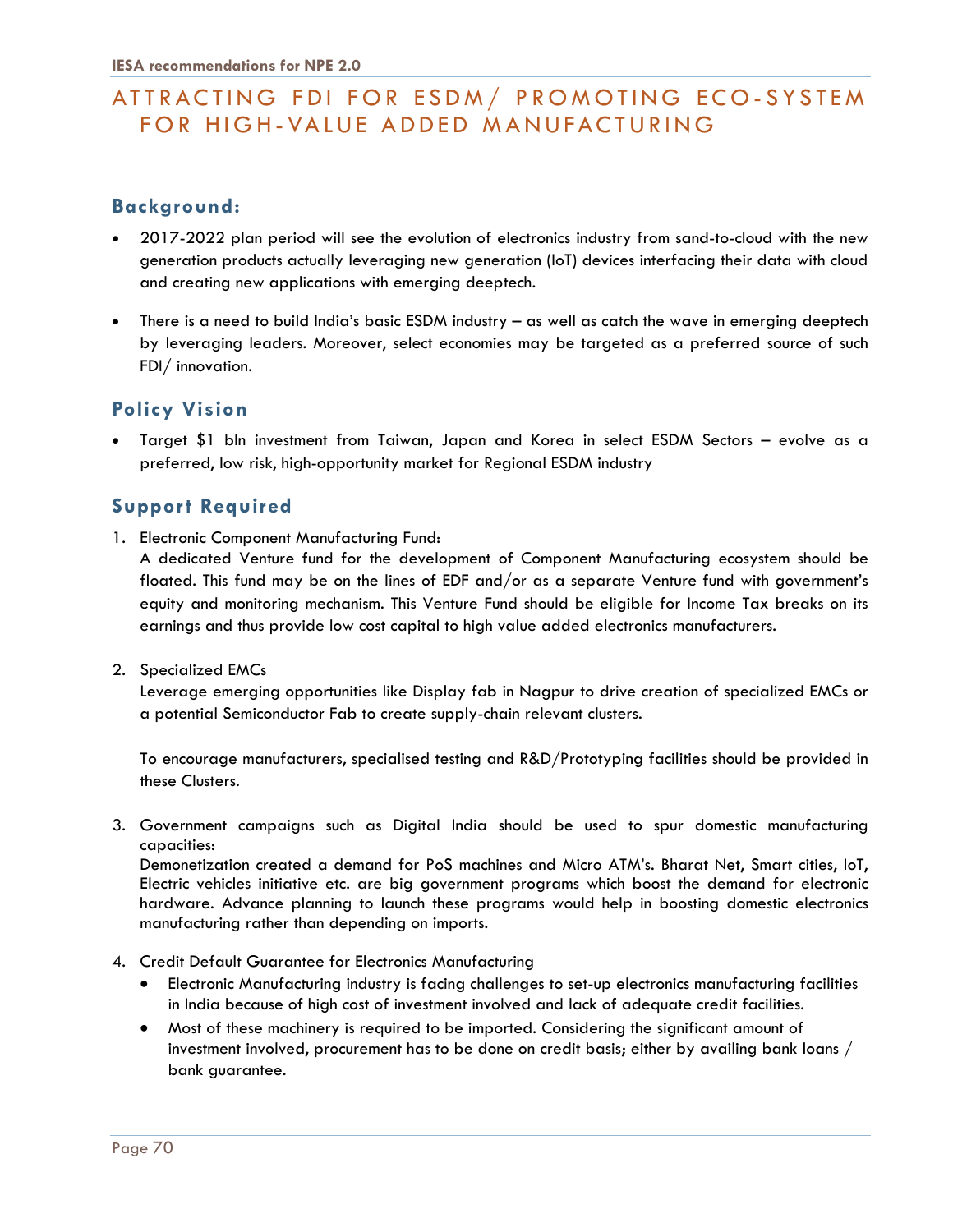# ATTRACTING FDI FOR ESDM / PROMOTING ECO-SYSTEM FOR HIGH-VALUE ADDED MANUFACTURING

#### **Background:**

- 2017-2022 plan period will see the evolution of electronics industry from sand-to-cloud with the new generation products actually leveraging new generation (IoT) devices interfacing their data with cloud and creating new applications with emerging deeptech.
- There is a need to build India's basic ESDM industry as well as catch the wave in emerging deeptech by leveraging leaders. Moreover, select economies may be targeted as a preferred source of such FDI/ innovation.

#### **Policy Vision**

• Target \$1 bln investment from Taiwan, Japan and Korea in select ESDM Sectors – evolve as a preferred, low risk, high-opportunity market for Regional ESDM industry

#### **Support Required**

1. Electronic Component Manufacturing Fund:

A dedicated Venture fund for the development of Component Manufacturing ecosystem should be floated. This fund may be on the lines of EDF and/or as a separate Venture fund with government's equity and monitoring mechanism. This Venture Fund should be eligible for Income Tax breaks on its earnings and thus provide low cost capital to high value added electronics manufacturers.

2. Specialized EMCs

Leverage emerging opportunities like Display fab in Nagpur to drive creation of specialized EMCs or a potential Semiconductor Fab to create supply-chain relevant clusters.

To encourage manufacturers, specialised testing and R&D/Prototyping facilities should be provided in these Clusters.

3. Government campaigns such as Digital India should be used to spur domestic manufacturing capacities:

Demonetization created a demand for PoS machines and Micro ATM's. Bharat Net, Smart cities, IoT, Electric vehicles initiative etc. are big government programs which boost the demand for electronic hardware. Advance planning to launch these programs would help in boosting domestic electronics manufacturing rather than depending on imports.

- 4. Credit Default Guarantee for Electronics Manufacturing
	- Electronic Manufacturing industry is facing challenges to set-up electronics manufacturing facilities in India because of high cost of investment involved and lack of adequate credit facilities.
	- Most of these machinery is required to be imported. Considering the significant amount of investment involved, procurement has to be done on credit basis; either by availing bank loans / bank guarantee.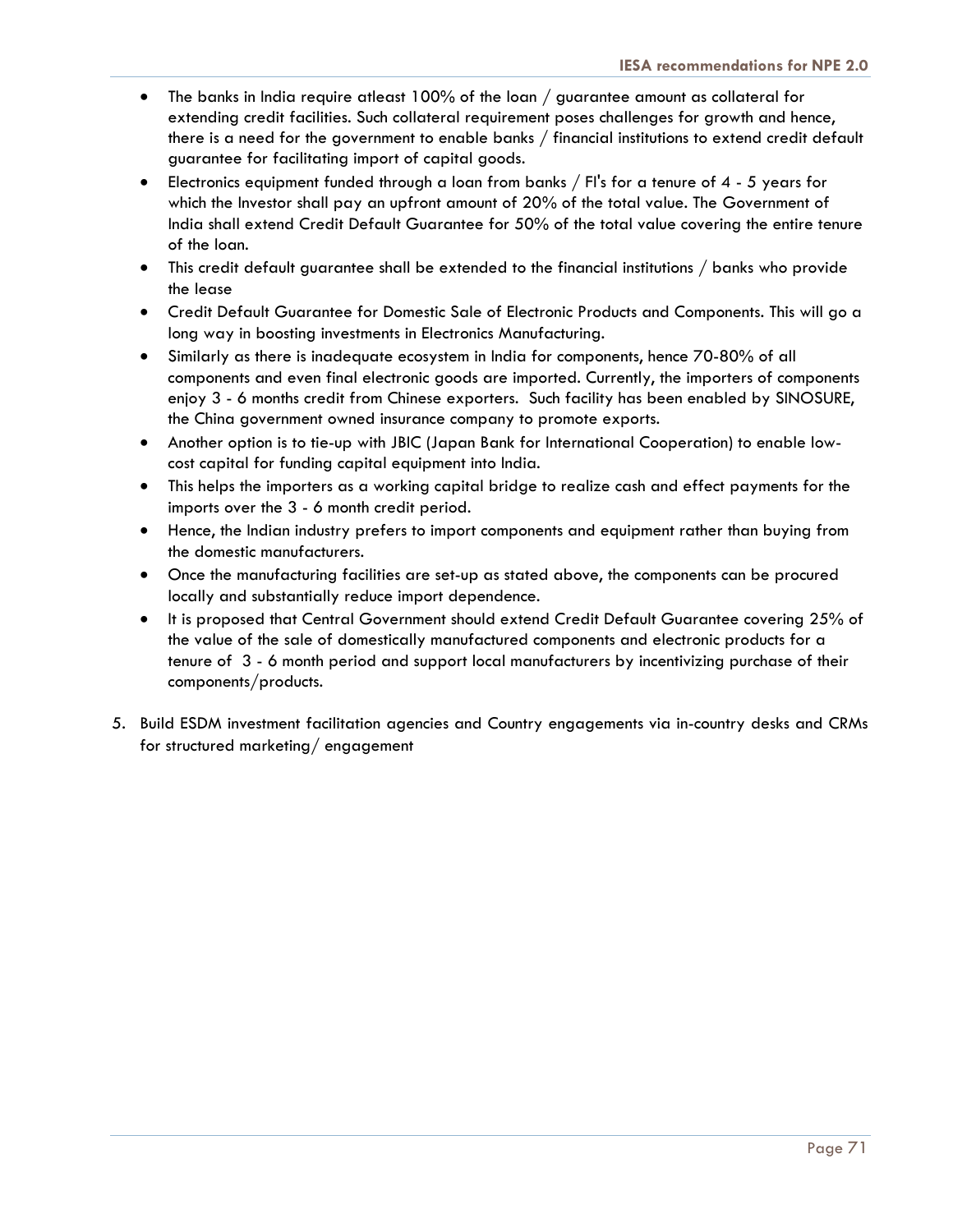- The banks in India require atleast 100% of the loan / guarantee amount as collateral for extending credit facilities. Such collateral requirement poses challenges for growth and hence, there is a need for the government to enable banks / financial institutions to extend credit default guarantee for facilitating import of capital goods.
- Electronics equipment funded through a loan from banks / FI's for a tenure of 4 5 years for which the Investor shall pay an upfront amount of 20% of the total value. The Government of India shall extend Credit Default Guarantee for 50% of the total value covering the entire tenure of the loan.
- This credit default guarantee shall be extended to the financial institutions / banks who provide the lease
- Credit Default Guarantee for Domestic Sale of Electronic Products and Components. This will go a long way in boosting investments in Electronics Manufacturing.
- Similarly as there is inadequate ecosystem in India for components, hence 70-80% of all components and even final electronic goods are imported. Currently, the importers of components enjoy 3 - 6 months credit from Chinese exporters. Such facility has been enabled by SINOSURE, the China government owned insurance company to promote exports.
- Another option is to tie-up with JBIC (Japan Bank for International Cooperation) to enable lowcost capital for funding capital equipment into India.
- This helps the importers as a working capital bridge to realize cash and effect payments for the imports over the 3 - 6 month credit period.
- Hence, the Indian industry prefers to import components and equipment rather than buying from the domestic manufacturers.
- Once the manufacturing facilities are set-up as stated above, the components can be procured locally and substantially reduce import dependence.
- It is proposed that Central Government should extend Credit Default Guarantee covering 25% of the value of the sale of domestically manufactured components and electronic products for a tenure of 3 - 6 month period and support local manufacturers by incentivizing purchase of their components/products.
- 5. Build ESDM investment facilitation agencies and Country engagements via in-country desks and CRMs for structured marketing/ engagement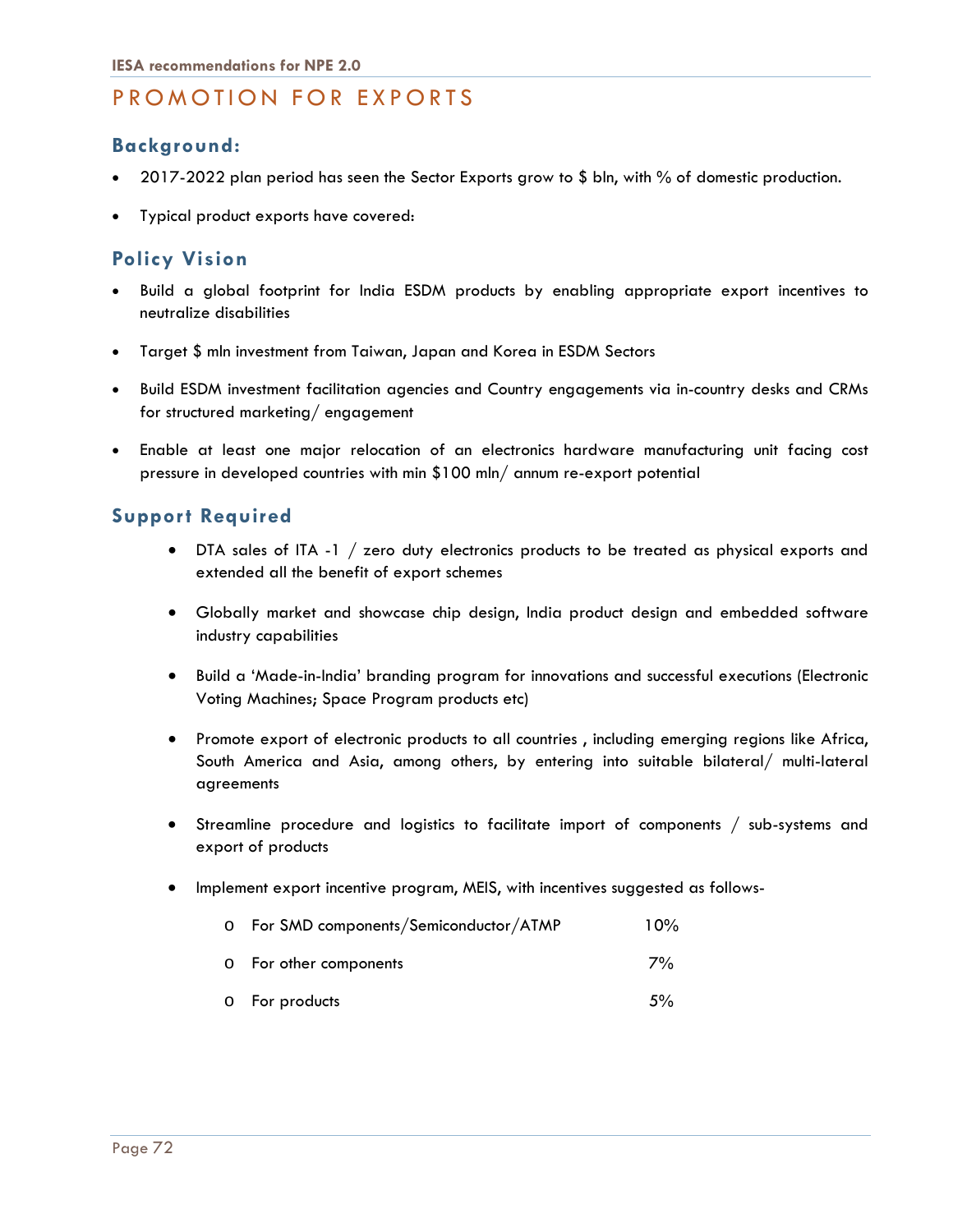# PROMOTION FOR EXPORTS

#### **Background:**

- 2017-2022 plan period has seen the Sector Exports grow to \$ bln, with % of domestic production.
- Typical product exports have covered:

## **Policy Vision**

- Build a global footprint for India ESDM products by enabling appropriate export incentives to neutralize disabilities
- Target \$ mln investment from Taiwan, Japan and Korea in ESDM Sectors
- Build ESDM investment facilitation agencies and Country engagements via in-country desks and CRMs for structured marketing/ engagement
- Enable at least one major relocation of an electronics hardware manufacturing unit facing cost pressure in developed countries with min \$100 mln/ annum re-export potential

#### **Support Required**

- DTA sales of ITA -1 / zero duty electronics products to be treated as physical exports and extended all the benefit of export schemes
- Globally market and showcase chip design, India product design and embedded software industry capabilities
- Build a 'Made-in-India' branding program for innovations and successful executions (Electronic Voting Machines; Space Program products etc)
- Promote export of electronic products to all countries , including emerging regions like Africa, South America and Asia, among others, by entering into suitable bilateral/ multi-lateral agreements
- Streamline procedure and logistics to facilitate import of components / sub-systems and export of products
- Implement export incentive program, MEIS, with incentives suggested as follows-

| O For SMD components/Semiconductor/ATMP | 10% |
|-----------------------------------------|-----|
|                                         |     |

- o For other components 7%
- o For products 5%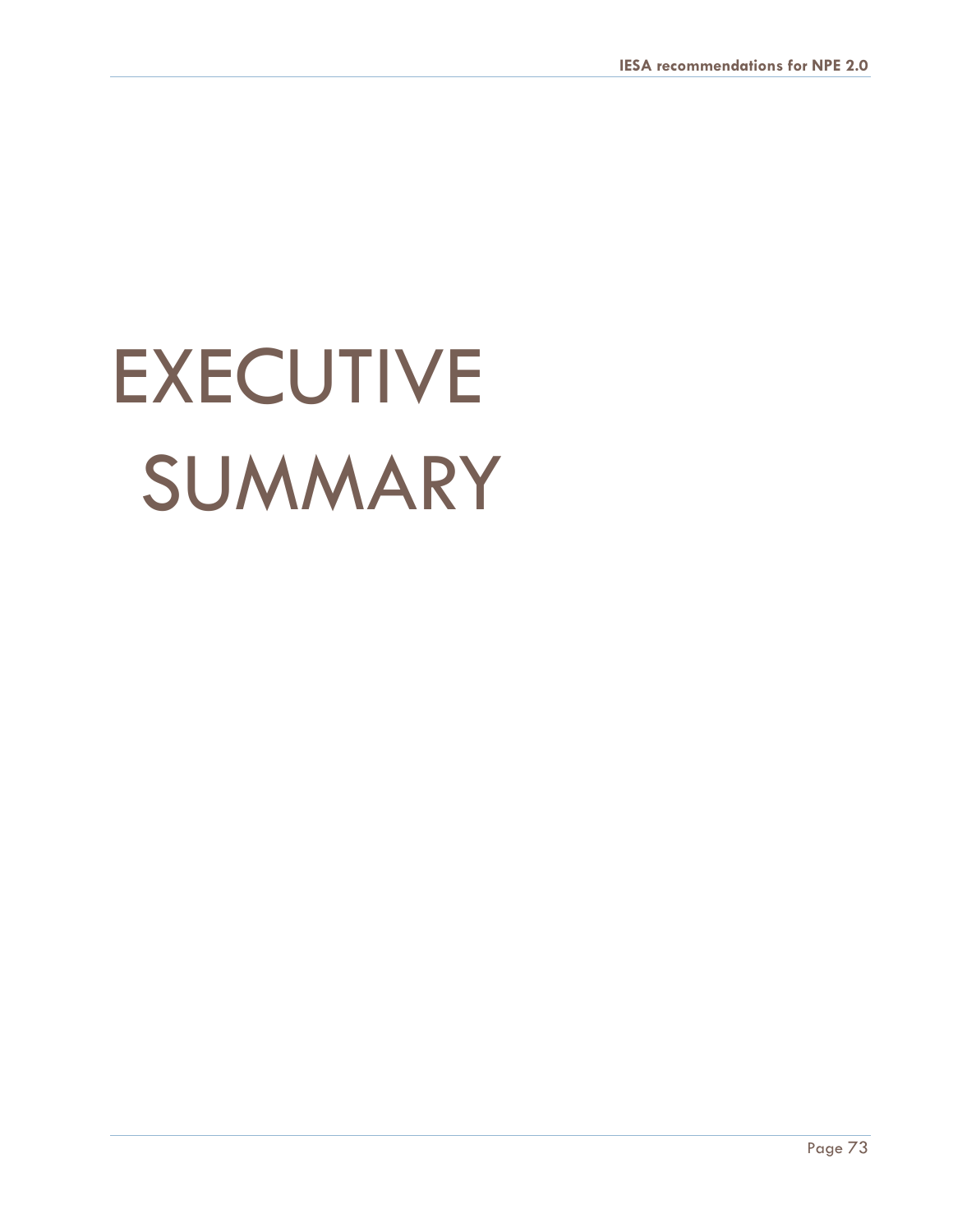# **EXECUTIVE** SUMMARY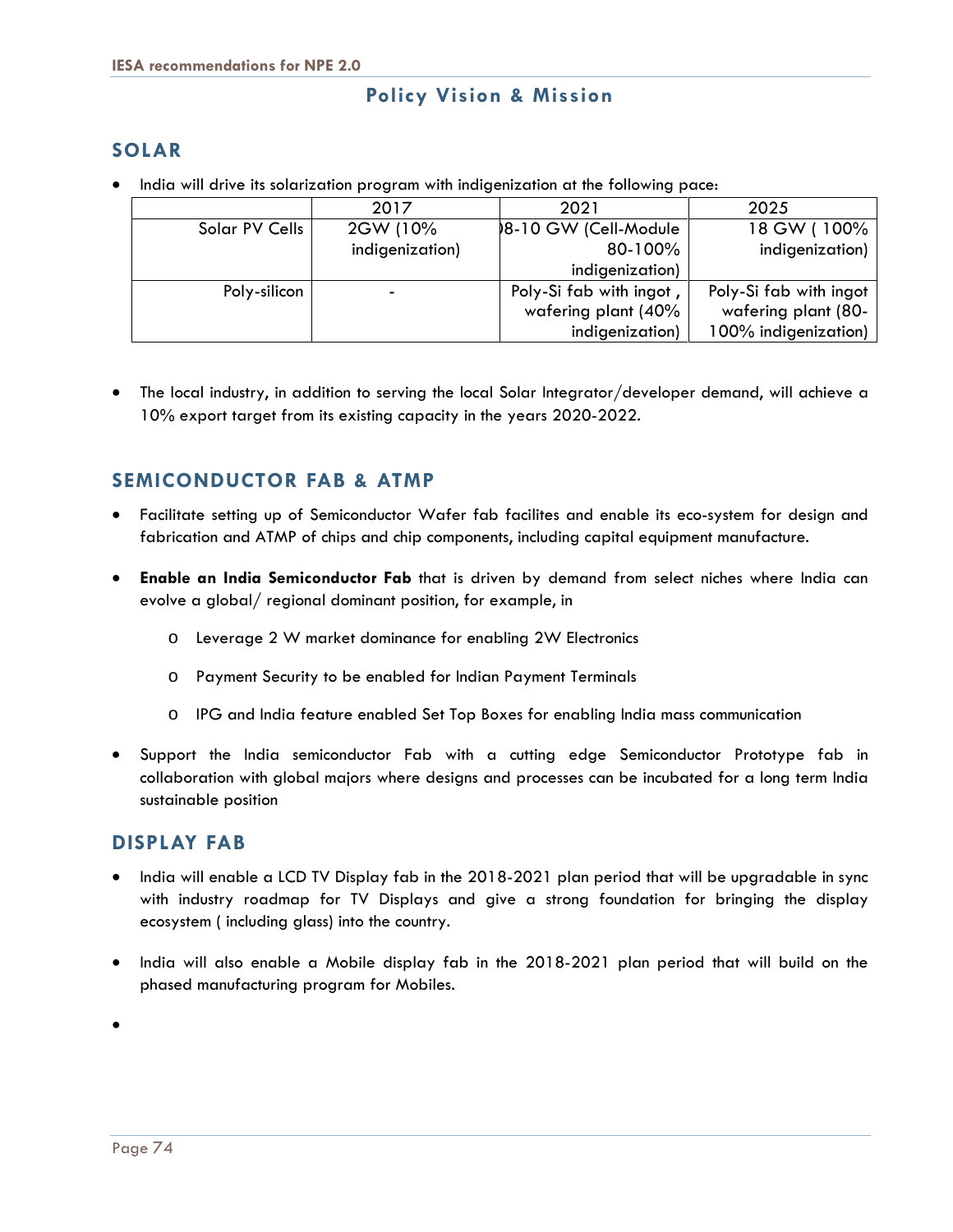## **Policy Vision & Mission**

## **SOLAR**

• India will drive its solarization program with indigenization at the following pace:

|                | 2017            | 2021                    | 2025                   |
|----------------|-----------------|-------------------------|------------------------|
| Solar PV Cells | 2GW (10%        | 8-10 GW (Cell-Module    | 18 GW (100%            |
|                | indigenization) | 80-100%                 | indigenization)        |
|                |                 | indigenization)         |                        |
| Poly-silicon   | $\blacksquare$  | Poly-Si fab with ingot, | Poly-Si fab with ingot |
|                |                 | wafering plant (40%     | wafering plant (80-    |
|                |                 | indigenization)         | 100% indigenization)   |

• The local industry, in addition to serving the local Solar Integrator/developer demand, will achieve a 10% export target from its existing capacity in the years 2020-2022.

## **SEMICONDUCTOR FAB & ATMP**

- Facilitate setting up of Semiconductor Wafer fab facilites and enable its eco-system for design and fabrication and ATMP of chips and chip components, including capital equipment manufacture.
- **Enable an India Semiconductor Fab** that is driven by demand from select niches where India can evolve a global/ regional dominant position, for example, in
	- o Leverage 2 W market dominance for enabling 2W Electronics
	- o Payment Security to be enabled for Indian Payment Terminals
	- o IPG and India feature enabled Set Top Boxes for enabling India mass communication
- Support the India semiconductor Fab with a cutting edge Semiconductor Prototype fab in collaboration with global majors where designs and processes can be incubated for a long term India sustainable position

## **DISPLAY FAB**

- India will enable a LCD TV Display fab in the 2018-2021 plan period that will be upgradable in sync with industry roadmap for TV Displays and give a strong foundation for bringing the display ecosystem ( including glass) into the country.
- India will also enable a Mobile display fab in the 2018-2021 plan period that will build on the phased manufacturing program for Mobiles.

•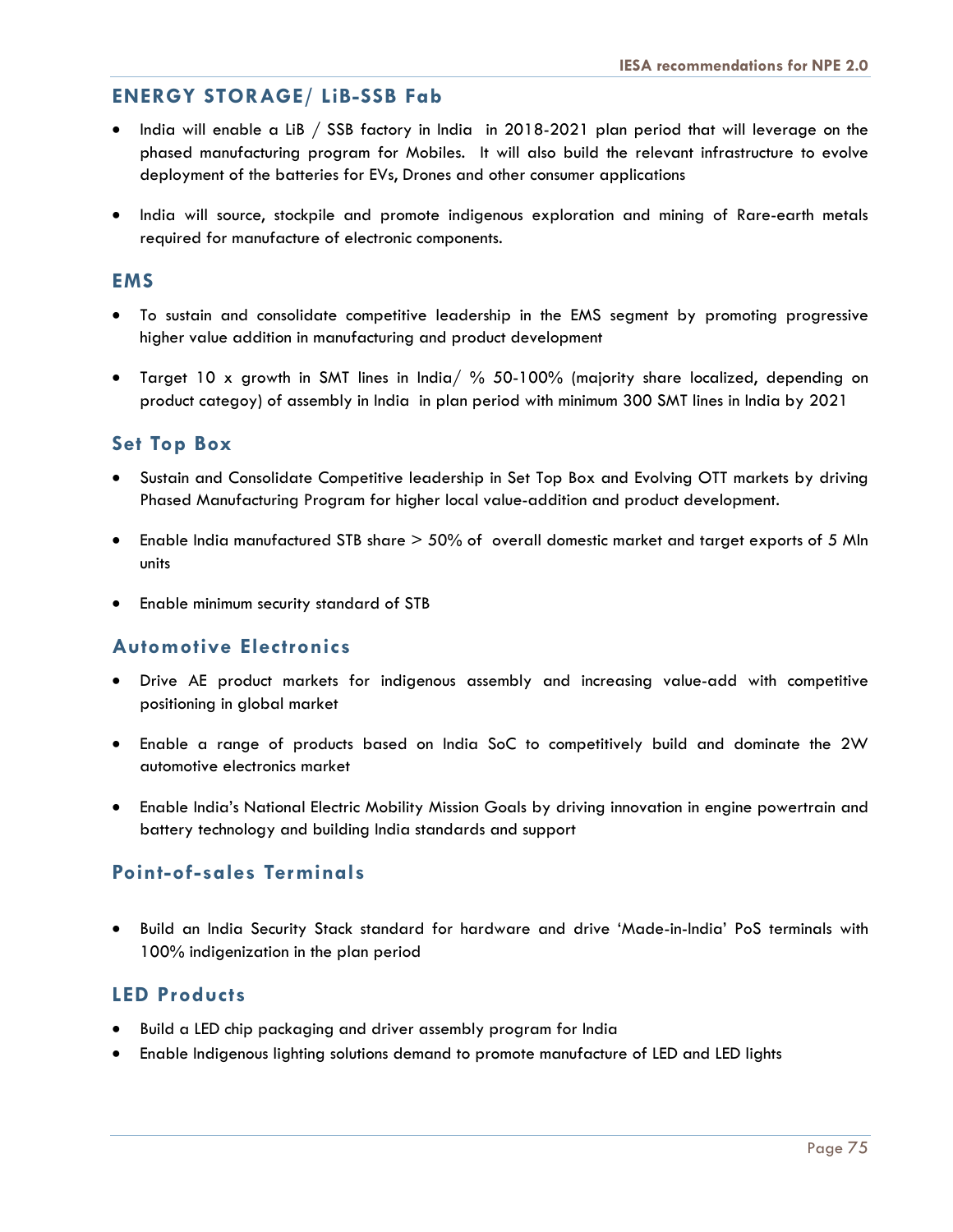## **ENERGY STORAGE/ LiB-SSB Fab**

- India will enable a LiB / SSB factory in India in 2018-2021 plan period that will leverage on the phased manufacturing program for Mobiles. It will also build the relevant infrastructure to evolve deployment of the batteries for EVs, Drones and other consumer applications
- India will source, stockpile and promote indigenous exploration and mining of Rare-earth metals required for manufacture of electronic components.

#### **EMS**

- To sustain and consolidate competitive leadership in the EMS segment by promoting progressive higher value addition in manufacturing and product development
- Target 10 x growth in SMT lines in India/ % 50-100% (majority share localized, depending on product categoy) of assembly in India in plan period with minimum 300 SMT lines in India by 2021

#### **Set Top Box**

- Sustain and Consolidate Competitive leadership in Set Top Box and Evolving OTT markets by driving Phased Manufacturing Program for higher local value-addition and product development.
- Enable India manufactured STB share  $> 50\%$  of overall domestic market and target exports of 5 Mln units
- Enable minimum security standard of STB

#### **Automotive Electronics**

- Drive AE product markets for indigenous assembly and increasing value-add with competitive positioning in global market
- Enable a range of products based on India SoC to competitively build and dominate the 2W automotive electronics market
- Enable India's National Electric Mobility Mission Goals by driving innovation in engine powertrain and battery technology and building India standards and support

## **Point-of-sales Terminals**

• Build an India Security Stack standard for hardware and drive 'Made-in-India' PoS terminals with 100% indigenization in the plan period

#### **LED Products**

- Build a LED chip packaging and driver assembly program for India
- Enable Indigenous lighting solutions demand to promote manufacture of LED and LED lights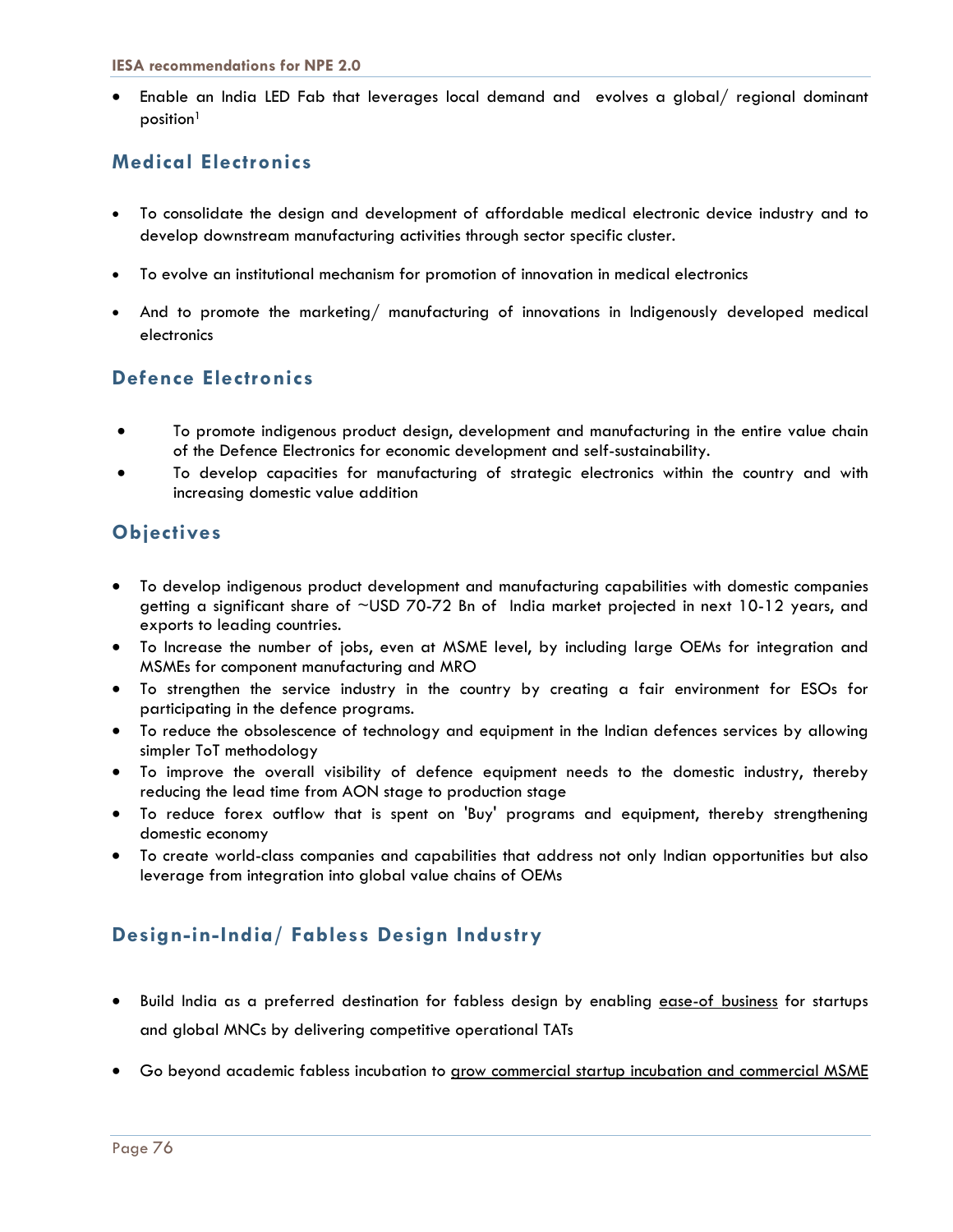• Enable an India LED Fab that leverages local demand and evolves a global/ regional dominant position<sup>1</sup>

## **Medical Electronics**

- To consolidate the design and development of affordable medical electronic device industry and to develop downstream manufacturing activities through sector specific cluster.
- To evolve an institutional mechanism for promotion of innovation in medical electronics
- And to promote the marketing/ manufacturing of innovations in Indigenously developed medical electronics

## **Defence Electronics**

- To promote indigenous product design, development and manufacturing in the entire value chain of the Defence Electronics for economic development and self-sustainability.
- To develop capacities for manufacturing of strategic electronics within the country and with increasing domestic value addition

## **Objectives**

- To develop indigenous product development and manufacturing capabilities with domestic companies getting a significant share of ~USD 70-72 Bn of India market projected in next 10-12 years, and exports to leading countries.
- To Increase the number of jobs, even at MSME level, by including large OEMs for integration and MSMEs for component manufacturing and MRO
- To strengthen the service industry in the country by creating a fair environment for ESOs for participating in the defence programs.
- To reduce the obsolescence of technology and equipment in the Indian defences services by allowing simpler ToT methodology
- To improve the overall visibility of defence equipment needs to the domestic industry, thereby reducing the lead time from AON stage to production stage
- To reduce forex outflow that is spent on 'Buy' programs and equipment, thereby strengthening domestic economy
- To create world-class companies and capabilities that address not only Indian opportunities but also leverage from integration into global value chains of OEMs

## **Design-in-India/ Fabless Design Industry**

- Build India as a preferred destination for fabless design by enabling ease-of business for startups and global MNCs by delivering competitive operational TATs
- Go beyond academic fabless incubation to grow commercial startup incubation and commercial MSME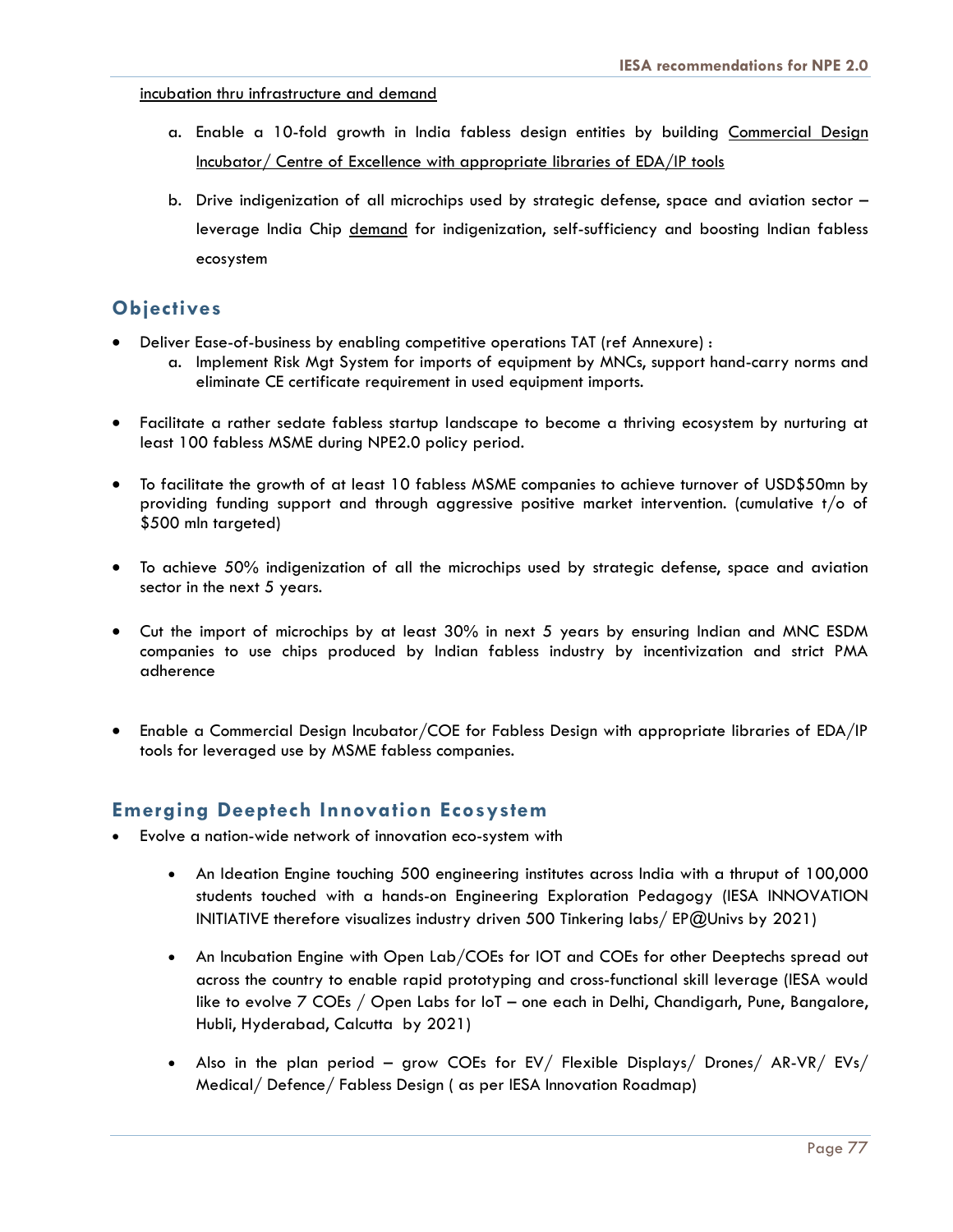incubation thru infrastructure and demand

- a. Enable a 10-fold growth in India fabless design entities by building Commercial Design Incubator/ Centre of Excellence with appropriate libraries of EDA/IP tools
- b. Drive indigenization of all microchips used by strategic defense, space and aviation sector leverage India Chip demand for indigenization, self-sufficiency and boosting Indian fabless ecosystem

## **Objectives**

- Deliver Ease-of-business by enabling competitive operations TAT (ref Annexure) :
	- a. Implement Risk Mgt System for imports of equipment by MNCs, support hand-carry norms and eliminate CE certificate requirement in used equipment imports.
- Facilitate a rather sedate fabless startup landscape to become a thriving ecosystem by nurturing at least 100 fabless MSME during NPE2.0 policy period.
- To facilitate the growth of at least 10 fabless MSME companies to achieve turnover of USD\$50mn by providing funding support and through aggressive positive market intervention. (cumulative t/o of \$500 mln targeted)
- To achieve 50% indigenization of all the microchips used by strategic defense, space and aviation sector in the next 5 years.
- Cut the import of microchips by at least 30% in next 5 years by ensuring Indian and MNC ESDM companies to use chips produced by Indian fabless industry by incentivization and strict PMA adherence
- Enable a Commercial Design Incubator/COE for Fabless Design with appropriate libraries of EDA/IP tools for leveraged use by MSME fabless companies.

## **Emerging Deeptech Innovation Ecosystem**

- Evolve a nation-wide network of innovation eco-system with
	- An Ideation Engine touching 500 engineering institutes across India with a thruput of 100,000 students touched with a hands-on Engineering Exploration Pedagogy (IESA INNOVATION INITIATIVE therefore visualizes industry driven 500 Tinkering labs/ EP@Univs by 2021)
	- An Incubation Engine with Open Lab/COEs for IOT and COEs for other Deeptechs spread out across the country to enable rapid prototyping and cross-functional skill leverage (IESA would like to evolve 7 COEs / Open Labs for IoT – one each in Delhi, Chandigarh, Pune, Bangalore, Hubli, Hyderabad, Calcutta by 2021)
	- Also in the plan period grow COEs for EV/ Flexible Displays/ Drones/ AR-VR/ EVs/ Medical/ Defence/ Fabless Design ( as per IESA Innovation Roadmap)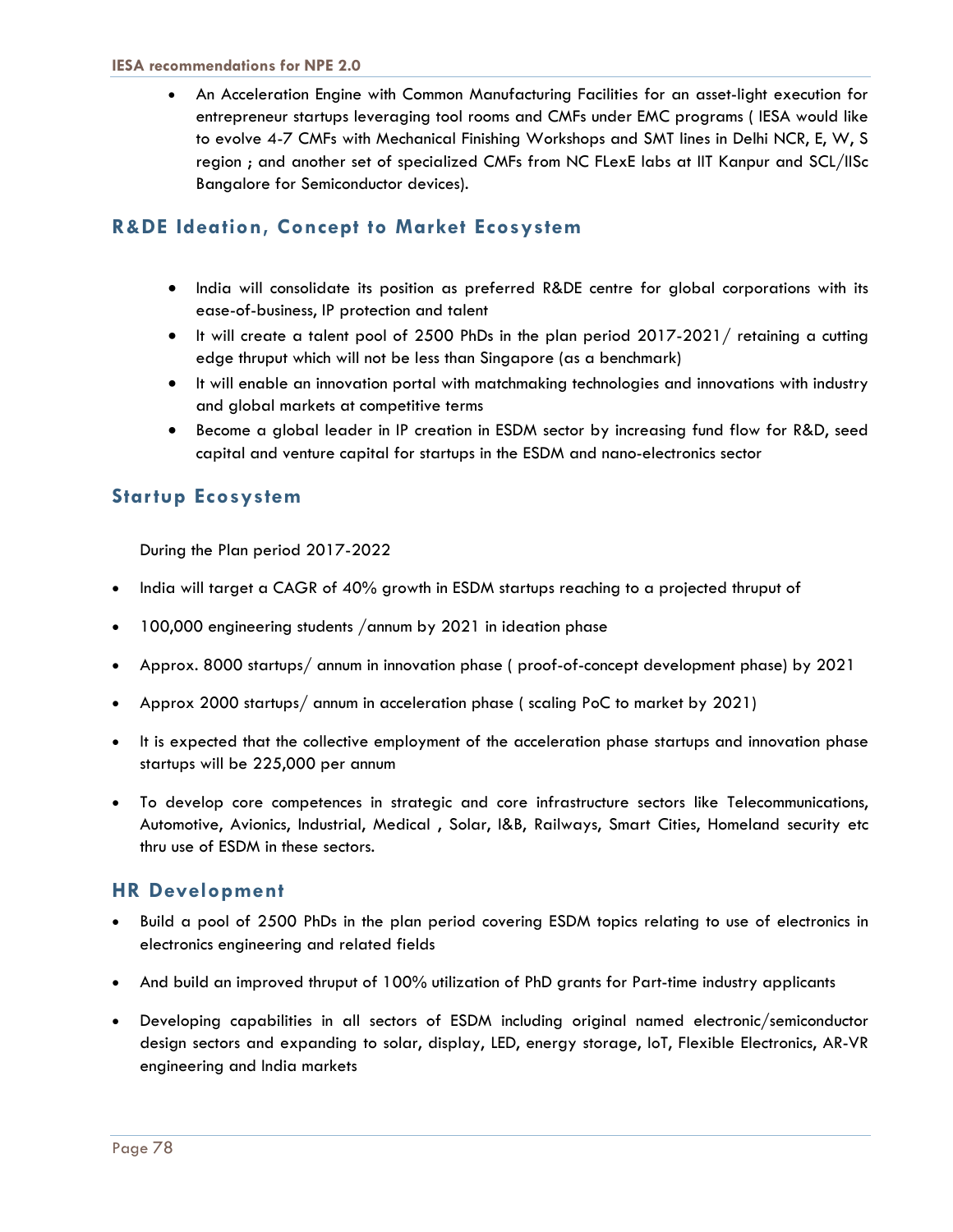#### **IESA recommendations for NPE 2.0**

• An Acceleration Engine with Common Manufacturing Facilities for an asset-light execution for entrepreneur startups leveraging tool rooms and CMFs under EMC programs ( IESA would like to evolve 4-7 CMFs with Mechanical Finishing Workshops and SMT lines in Delhi NCR, E, W, S region ; and another set of specialized CMFs from NC FLexE labs at IIT Kanpur and SCL/IISc Bangalore for Semiconductor devices).

#### **R&DE Ideation, Concept to Market Ecosystem**

- India will consolidate its position as preferred R&DE centre for global corporations with its ease-of-business, IP protection and talent
- It will create a talent pool of 2500 PhDs in the plan period 2017-2021/ retaining a cutting edge thruput which will not be less than Singapore (as a benchmark)
- It will enable an innovation portal with matchmaking technologies and innovations with industry and global markets at competitive terms
- Become a global leader in IP creation in ESDM sector by increasing fund flow for R&D, seed capital and venture capital for startups in the ESDM and nano-electronics sector

#### **Startup Ecosystem**

During the Plan period 2017-2022

- India will target a CAGR of 40% growth in ESDM startups reaching to a projected thruput of
- 100,000 engineering students /annum by 2021 in ideation phase
- Approx. 8000 startups/ annum in innovation phase ( proof-of-concept development phase) by 2021
- Approx 2000 startups/ annum in acceleration phase ( scaling PoC to market by 2021)
- It is expected that the collective employment of the acceleration phase startups and innovation phase startups will be 225,000 per annum
- To develop core competences in strategic and core infrastructure sectors like Telecommunications, Automotive, Avionics, Industrial, Medical , Solar, I&B, Railways, Smart Cities, Homeland security etc thru use of ESDM in these sectors.

#### **HR Development**

- Build a pool of 2500 PhDs in the plan period covering ESDM topics relating to use of electronics in electronics engineering and related fields
- And build an improved thruput of 100% utilization of PhD grants for Part-time industry applicants
- Developing capabilities in all sectors of ESDM including original named electronic/semiconductor design sectors and expanding to solar, display, LED, energy storage, IoT, Flexible Electronics, AR-VR engineering and India markets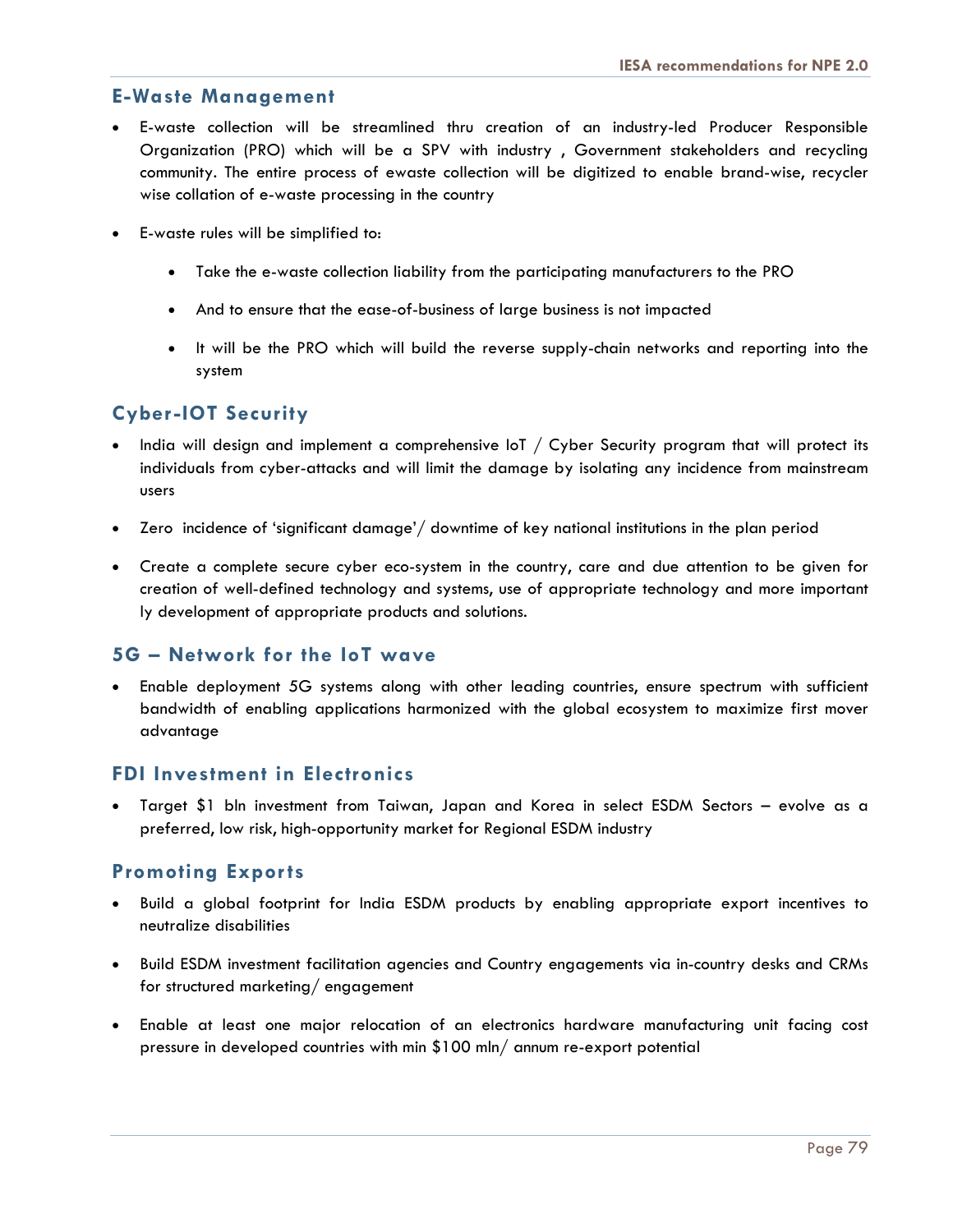### **E-Waste Management**

- E-waste collection will be streamlined thru creation of an industry-led Producer Responsible Organization (PRO) which will be a SPV with industry , Government stakeholders and recycling community. The entire process of ewaste collection will be digitized to enable brand-wise, recycler wise collation of e-waste processing in the country
- E-waste rules will be simplified to:
	- Take the e-waste collection liability from the participating manufacturers to the PRO
	- And to ensure that the ease-of-business of large business is not impacted
	- It will be the PRO which will build the reverse supply-chain networks and reporting into the system

## **Cyber-IOT Security**

- India will design and implement a comprehensive IoT / Cyber Security program that will protect its individuals from cyber-attacks and will limit the damage by isolating any incidence from mainstream users
- Zero incidence of 'significant damage'/ downtime of key national institutions in the plan period
- Create a complete secure cyber eco-system in the country, care and due attention to be given for creation of well-defined technology and systems, use of appropriate technology and more important ly development of appropriate products and solutions.

#### **5G – Network for the IoT wave**

• Enable deployment 5G systems along with other leading countries, ensure spectrum with sufficient bandwidth of enabling applications harmonized with the global ecosystem to maximize first mover advantage

#### **FDI Investment in Electronics**

• Target \$1 bln investment from Taiwan, Japan and Korea in select ESDM Sectors – evolve as a preferred, low risk, high-opportunity market for Regional ESDM industry

## **Promoting Exports**

- Build a global footprint for India ESDM products by enabling appropriate export incentives to neutralize disabilities
- Build ESDM investment facilitation agencies and Country engagements via in-country desks and CRMs for structured marketing/ engagement
- Enable at least one major relocation of an electronics hardware manufacturing unit facing cost pressure in developed countries with min \$100 mln/ annum re-export potential